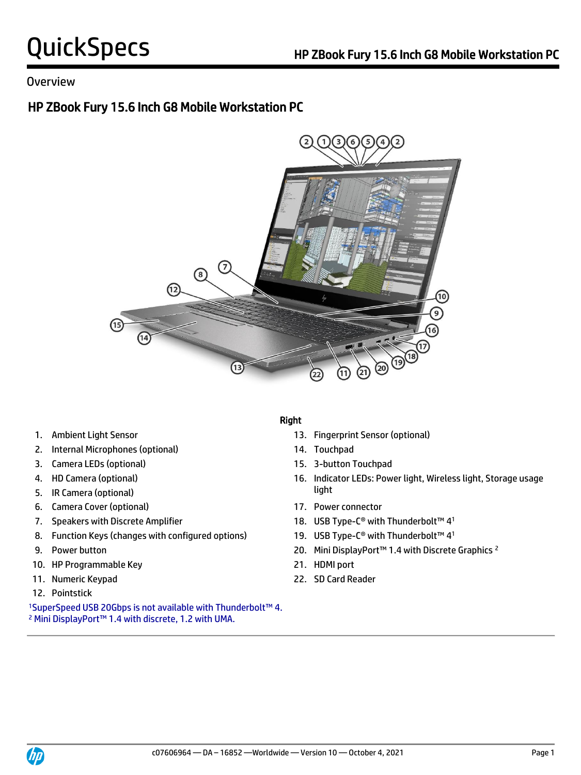### Overview

## HP ZBook Fury 15.6 Inch G8 Mobile Workstation PC



- 
- 2. Internal Microphones (optional) 14. Touchpad
- 3. Camera LEDs (optional) 15. 3-button Touchpad
- 
- **light** 5. IR Camera (optional) **Solution** 3. If  $\int$
- 6. Camera Cover (optional) 17. Power connector
- 
- 8. Function Keys (changes with configured options)
- 
- 10. HP Programmable Key 21. HDMI port
- 
- 12. Pointstick

<sup>1</sup>SuperSpeed USB 20Gbps is not available with Thunderbolt™ 4. <sup>2</sup> Mini DisplayPort™ 1.4 with discrete, 1.2 with UMA.

### Right

- 1. Ambient Light Sensor 13. Fingerprint Sensor (optional)
	-
	-
- 4. HD Camera (optional) 16. Indicator LEDs: Power light, Wireless light, Storage usage
	-
- 7. Speakers with Discrete Amplifier 18. USB Type-C® with Thunderbolt™ 41
	- 19. USB Type-C<sup>®</sup> with Thunderbolt™ 4<sup>1</sup>
- 9. Power button 20. Mini DisplayPort™ 1.4 with Discrete Graphics <sup>2</sup>
	-
- 11. Numeric Keypad 22. SD Card Reader

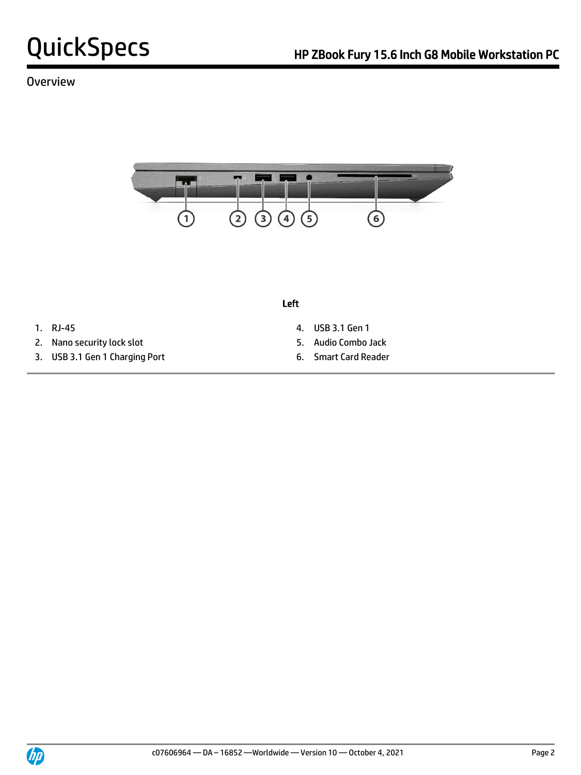## Overview



Left

- 
- 2. Nano security lock slot 5. Audio Combo Jack
- 3. USB 3.1 Gen 1 Charging Port 6. Smart Card Reader
- 1. RJ-45 4. USB 3.1 Gen 1
	-
	-

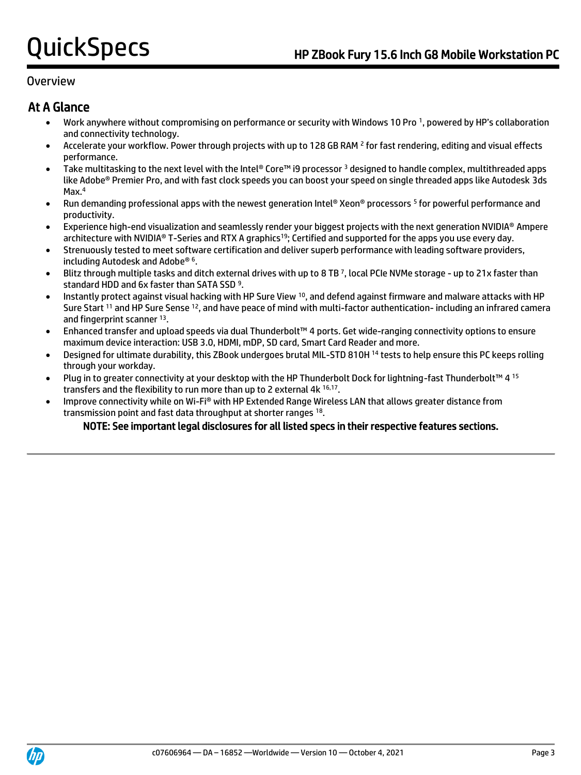### Overview

## At A Glance

- Work anywhere without compromising on performance or security with Windows 10 Pro <sup>1</sup> , powered by HP's collaboration and connectivity technology.
- Accelerate your workflow. Power through projects with up to 128 GB RAM <sup>2</sup> for fast rendering, editing and visual effects performance.
- Take multitasking to the next level with the Intel® Core™ i9 processor <sup>3</sup> designed to handle complex, multithreaded apps like Adobe® Premier Pro, and with fast clock speeds you can boost your speed on single threaded apps like Autodesk 3ds Max.<sup>4</sup>
- Run demanding professional apps with the newest generation Intel® Xeon® processors <sup>5</sup> for powerful performance and productivity.
- Experience high-end visualization and seamlessly render your biggest projects with the next generation NVIDIA® Ampere architecture with NVIDIA® T-Series and RTX A graphics<sup>19</sup>; Certified and supported for the apps you use every day.
- Strenuously tested to meet software certification and deliver superb performance with leading software providers, including Autodesk and Adobe® <sup>6</sup> .
- Blitz through multiple tasks and ditch external drives with up to 8 TB <sup>7</sup> , local PCIe NVMe storage up to 21x faster than standard HDD and 6x faster than SATA SSD<sup>9</sup>.
- Instantly protect against visual hacking with HP Sure View <sup>10</sup>, and defend against firmware and malware attacks with HP Sure Start <sup>11</sup> and HP Sure Sense <sup>12</sup>, and have peace of mind with multi-factor authentication- including an infrared camera and fingerprint scanner 13.
- Enhanced transfer and upload speeds via dual Thunderbolt™ 4 ports. Get wide-ranging connectivity options to ensure maximum device interaction: USB 3.0, HDMI, mDP, SD card, Smart Card Reader and more.
- Designed for ultimate durability, this ZBook undergoes brutal MIL-STD 810H <sup>14</sup> tests to help ensure this PC keeps rolling through your workday.
- Plug in to greater connectivity at your desktop with the HP Thunderbolt Dock for lightning-fast Thunderbolt™ 4 15 transfers and the flexibility to run more than up to 2 external 4k 16,17.
- Improve connectivity while on Wi-Fi® with HP Extended Range Wireless LAN that allows greater distance from transmission point and fast data throughput at shorter ranges 18.

### NOTE: See important legal disclosures for all listed specs in their respective features sections.

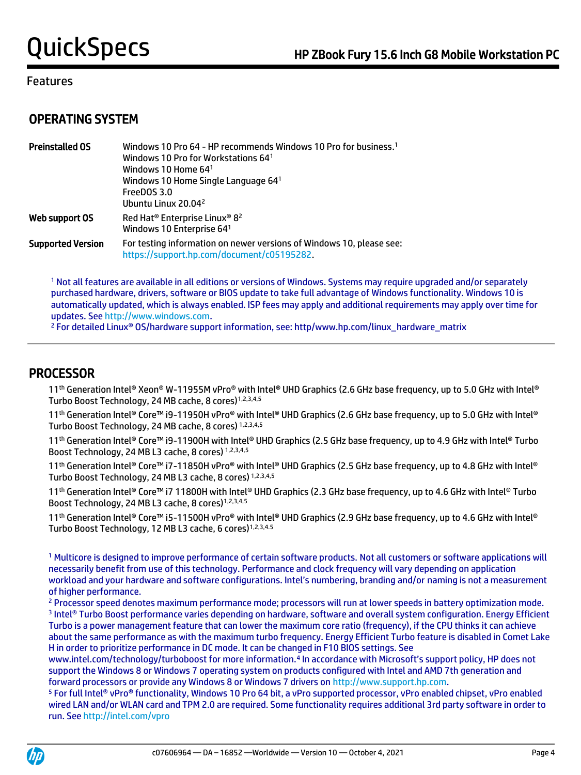## OPERATING SYSTEM

| <b>Preinstalled OS</b>   | Windows 10 Pro 64 - HP recommends Windows 10 Pro for business. <sup>1</sup><br>Windows 10 Pro for Workstations 641<br>Windows 10 Home $641$<br>Windows 10 Home Single Language 641<br>FreeDOS 3.0<br>Ubuntu Linux 20.04 <sup>2</sup> |
|--------------------------|--------------------------------------------------------------------------------------------------------------------------------------------------------------------------------------------------------------------------------------|
| Web support OS           | Red Hat <sup>®</sup> Enterprise Linux® 8 <sup>2</sup><br>Windows 10 Enterprise 641                                                                                                                                                   |
| <b>Supported Version</b> | For testing information on newer versions of Windows 10, please see:<br>https://support.hp.com/document/c05195282.                                                                                                                   |

<sup>1</sup> Not all features are available in all editions or versions of Windows. Systems may require upgraded and/or separately purchased hardware, drivers, software or BIOS update to take full advantage of Windows functionality. Windows 10 is automatically updated, which is always enabled. ISP fees may apply and additional requirements may apply over time for updates. Se[e http://www.windows.com.](http://www.windows.com/)

<sup>2</sup> For detailed Linux<sup>®</sup> OS/hardware support information, see: http/www.hp.com/linux\_hardware\_matrix

## PROCESSOR

 11 th Generation Intel® Xeon® W-11955M vPro® with Intel® UHD Graphics (2.6 GHz base frequency, up to 5.0 GHz with Intel® Turbo Boost Technology, 24 MB cache, 8 cores)<sup>1,2,3,4,5</sup>

11th Generation Intel® Core™ i9-11950H vPro® with Intel® UHD Graphics (2.6 GHz base frequency, up to 5.0 GHz with Intel® Turbo Boost Technology, 24 MB cache, 8 cores) 1,2,3,4,5

11th Generation Intel® Core™ i9-11900H with Intel® UHD Graphics (2.5 GHz base frequency, up to 4.9 GHz with Intel® Turbo Boost Technology, 24 MB L3 cache, 8 cores) 1,2,3,4,5

11th Generation Intel® Core™ i7-11850H vPro® with Intel® UHD Graphics (2.5 GHz base frequency, up to 4.8 GHz with Intel® Turbo Boost Technology, 24 MB L3 cache, 8 cores) 1,2,3,4,5

11th Generation Intel® Core™ i7 11800H with Intel® UHD Graphics (2.3 GHz base frequency, up to 4.6 GHz with Intel® Turbo Boost Technology, 24 MB L3 cache, 8 cores)<sup>1,2,3,4,5</sup>

11<sup>th</sup> Generation Intel® Core™ i5-11500H vPro® with Intel® UHD Graphics (2.9 GHz base frequency, up to 4.6 GHz with Intel® Turbo Boost Technology, 12 MB L3 cache, 6 cores)<sup>1,2,3,4.5</sup>

<sup>1</sup> Multicore is designed to improve performance of certain software products. Not all customers or software applications will necessarily benefit from use of this technology. Performance and clock frequency will vary depending on application workload and your hardware and software configurations. Intel's numbering, branding and/or naming is not a measurement of higher performance.

<sup>2</sup> Processor speed denotes maximum performance mode; processors will run at lower speeds in battery optimization mode. 3 Intel® Turbo Boost performance varies depending on hardware, software and overall system configuration. Energy Efficient Turbo is a power management feature that can lower the maximum core ratio (frequency), if the CPU thinks it can achieve about the same performance as with the maximum turbo frequency. Energy Efficient Turbo feature is disabled in Comet Lake H in order to prioritize performance in DC mode. It can be changed in F10 BIOS settings. See

www.intel.com/technology/turboboost for more information.<sup>4</sup> In accordance with Microsoft's support policy, HP does not support the Windows 8 or Windows 7 operating system on products configured with Intel and AMD 7th generation and forward processors or provide any Windows 8 or Windows 7 drivers on [http://www.support.hp.com.](http://www.support.hp.com/)

<sup>5</sup> For full Intel® vPro® functionality, Windows 10 Pro 64 bit, a vPro supported processor, vPro enabled chipset, vPro enabled wired LAN and/or WLAN card and TPM 2.0 are required. Some functionality requires additional 3rd party software in order to run. Se[e http://intel.com/vpro](http://intel.com/vpro)

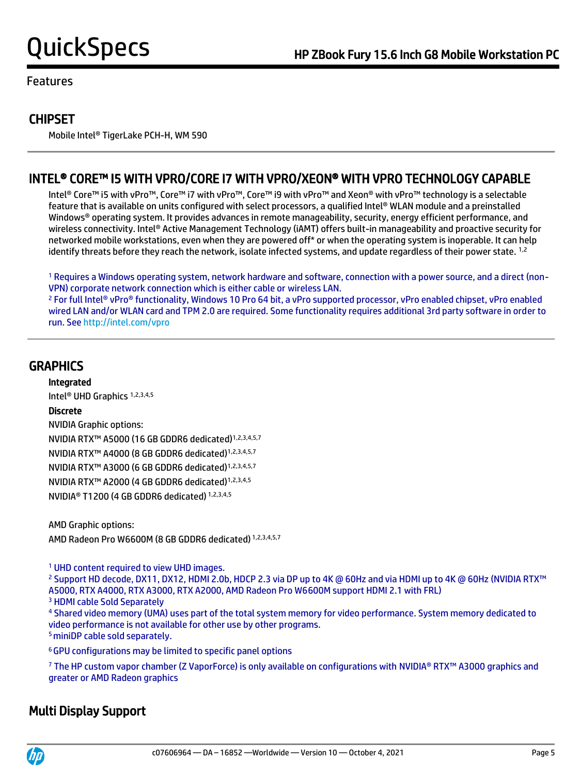## **CHIPSET**

Mobile Intel® TigerLake PCH-H, WM 590

## INTEL® CORE™ I5 WITH VPRO/CORE I7 WITH VPRO/XEON® WITH VPRO TECHNOLOGY CAPABLE

 Intel® Core™ i5 with vPro™, Core™ i7 with vPro™, Core™ i9 with vPro™ and Xeon® with vPro™ technology is a selectable feature that is available on units configured with select processors, a qualified Intel® WLAN module and a preinstalled Windows® operating system. It provides advances in remote manageability, security, energy efficient performance, and wireless connectivity. Intel® Active Management Technology (iAMT) offers built-in manageability and proactive security for networked mobile workstations, even when they are powered off\* or when the operating system is inoperable. It can help identify threats before they reach the network, isolate infected systems, and update regardless of their power state. <sup>1,2</sup>

<sup>1</sup> Requires a Windows operating system, network hardware and software, connection with a power source, and a direct (non-VPN) corporate network connection which is either cable or wireless LAN.

<sup>2</sup> For full Intel® vPro® functionality, Windows 10 Pro 64 bit, a vPro supported processor, vPro enabled chipset, vPro enabled wired LAN and/or WLAN card and TPM 2.0 are required. Some functionality requires additional 3rd party software in order to run. Se[e http://intel.com/vpro](http://intel.com/vpro)

## **GRAPHICS**

Integrated

Intel® UHD Graphics 1,2,3,4,5

### Discrete

NVIDIA Graphic options: NVIDIA RTX™ A5000 (16 GB GDDR6 dedicated)1,2,3,4,5,7 NVIDIA RTX™ A4000 (8 GB GDDR6 dedicated)1,2,3,4,5,7 NVIDIA RTX™ A3000 (6 GB GDDR6 dedicated)1,2,3,4,5,7 NVIDIA RTX™ A2000 (4 GB GDDR6 dedicated)1,2,3,4,5 NVIDIA® T1200 (4 GB GDDR6 dedicated) 1,2,3,4,5

AMD Graphic options: AMD Radeon Pro W6600M (8 GB GDDR6 dedicated) 1,2,3,4,5,7

<sup>1</sup> UHD content required to view UHD images.

<sup>2</sup> Support HD decode, DX11, DX12, HDMI 2.0b, HDCP 2.3 via DP up to 4K @ 60Hz and via HDMI up to 4K @ 60Hz (NVIDIA RTX™ A5000, RTX A4000, RTX A3000, RTX A2000, AMD Radeon Pro W6600M support HDMI 2.1 with FRL)

<sup>3</sup> HDMI cable Sold Separately

<sup>4</sup> Shared video memory (UMA) uses part of the total system memory for video performance. System memory dedicated to video performance is not available for other use by other programs. <sup>5</sup> miniDP cable sold separately.

<sup>6</sup>GPU configurations may be limited to specific panel options

<sup>7</sup> The HP custom vapor chamber (Z VaporForce) is only available on configurations with NVIDIA® RTX™ A3000 graphics and greater or AMD Radeon graphics

## Multi Display Support

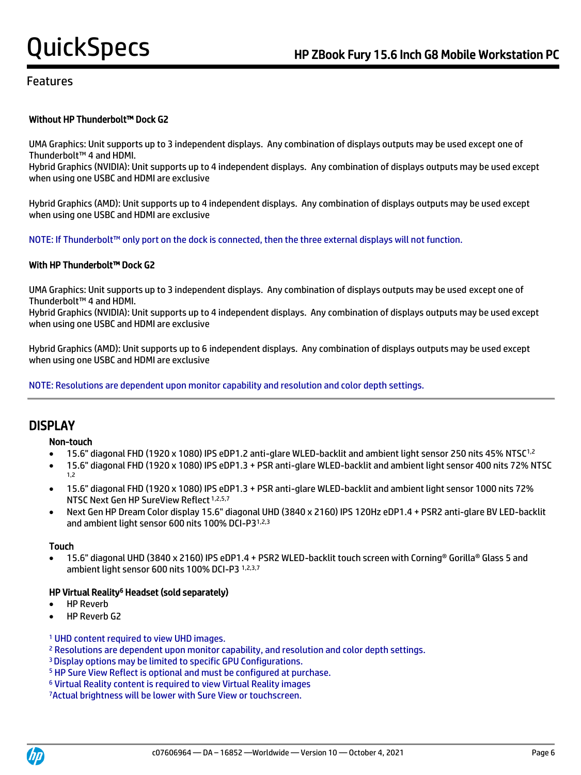#### Without HP Thunderbolt™ Dock G2

UMA Graphics: Unit supports up to 3 independent displays. Any combination of displays outputs may be used except one of Thunderbolt™ 4 and HDMI.

Hybrid Graphics (NVIDIA): Unit supports up to 4 independent displays. Any combination of displays outputs may be used except when using one USBC and HDMI are exclusive

Hybrid Graphics (AMD): Unit supports up to 4 independent displays. Any combination of displays outputs may be used except when using one USBC and HDMI are exclusive

NOTE: If Thunderbolt™ only port on the dock is connected, then the three external displays will not function.

#### With HP Thunderbolt™ Dock G2

UMA Graphics: Unit supports up to 3 independent displays. Any combination of displays outputs may be used except one of Thunderbolt™ 4 and HDMI.

Hybrid Graphics (NVIDIA): Unit supports up to 4 independent displays. Any combination of displays outputs may be used except when using one USBC and HDMI are exclusive

Hybrid Graphics (AMD): Unit supports up to 6 independent displays. Any combination of displays outputs may be used except when using one USBC and HDMI are exclusive

NOTE: Resolutions are dependent upon monitor capability and resolution and color depth settings.

## **DISPLAY**

#### Non-touch

- 15.6" diagonal FHD (1920 x 1080) IPS eDP1.2 anti-glare WLED-backlit and ambient light sensor 250 nits 45% NTSC1,2
- 15.6" diagonal FHD (1920 x 1080) IPS eDP1.3 + PSR anti-glare WLED-backlit and ambient light sensor 400 nits 72% NTSC 1,2
- 15.6" diagonal FHD (1920 x 1080) IPS eDP1.3 + PSR anti-glare WLED-backlit and ambient light sensor 1000 nits 72% NTSC Next Gen HP SureView Reflect 1,2,5,7
- Next Gen HP Dream Color display 15.6" diagonal UHD (3840 x 2160) IPS 120Hz eDP1.4 + PSR2 anti-glare BV LED-backlit and ambient light sensor 600 nits 100% DCI-P31,2,3

#### Touch

• 15.6" diagonal UHD (3840 x 2160) IPS eDP1.4 + PSR2 WLED-backlit touch screen with Corning® Gorilla® Glass 5 and ambient light sensor 600 nits 100% DCI-P3 1,2,3,7

#### HP Virtual Reality<sup>6</sup> Headset (sold separately)

- **HP Reverb**
- HP Reverb G2

#### <sup>1</sup> UHD content required to view UHD images.

- <sup>2</sup> Resolutions are dependent upon monitor capability, and resolution and color depth settings.
- <sup>3</sup>Display options may be limited to specific GPU Configurations.
- <sup>5</sup> HP Sure View Reflect is optional and must be configured at purchase.
- <sup>6</sup> Virtual Reality content is required to view Virtual Reality images

7Actual brightness will be lower with Sure View or touchscreen.



 $\overline{a}$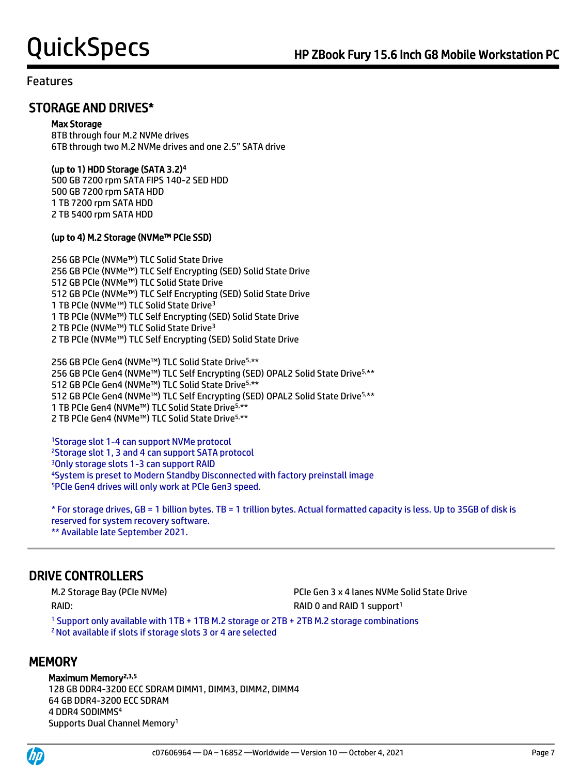## STORAGE AND DRIVES\*

#### Max Storage

8TB through four M.2 NVMe drives 6TB through two M.2 NVMe drives and one 2.5" SATA drive

### (up to 1) HDD Storage (SATA 3.2)<sup>4</sup>

500 GB 7200 rpm SATA FIPS 140-2 SED HDD 500 GB 7200 rpm SATA HDD 1 TB 7200 rpm SATA HDD 2 TB 5400 rpm SATA HDD

### (up to 4) M.2 Storage (NVMe™ PCIe SSD)

256 GB PCIe (NVMe™) TLC Solid State Drive 256 GB PCIe (NVMe™) TLC Self Encrypting (SED) Solid State Drive 512 GB PCIe (NVMe™) TLC Solid State Drive 512 GB PCIe (NVMe™) TLC Self Encrypting (SED) Solid State Drive 1 TB PCIe (NVMe™) TLC Solid State Drive<sup>3</sup> 1 TB PCIe (NVMe™) TLC Self Encrypting (SED) Solid State Drive 2 TB PCIe (NVMe™) TLC Solid State Drive<sup>3</sup> 2 TB PCIe (NVMe™) TLC Self Encrypting (SED) Solid State Drive

256 GB PCIe Gen4 (NVMe™) TLC Solid State Drive5,\*\* 256 GB PCIe Gen4 (NVMe™) TLC Self Encrypting (SED) OPAL2 Solid State Drive<sup>5,\*\*</sup> GB PCIe Gen4 (NVMe™) TLC Solid State Drive5,\*\* GB PCIe Gen4 (NVMe™) TLC Self Encrypting (SED) OPAL2 Solid State Drive5,\*\* TB PCIe Gen4 (NVMe™) TLC Solid State Drive5,\*\* TB PCIe Gen4 (NVMe™) TLC Solid State Drive5,\*\*

Storage slot 1-4 can support NVMe protocol Storage slot 1, 3 and 4 can support SATA protocol Only storage slots 1-3 can support RAID System is preset to Modern Standby Disconnected with factory preinstall image PCIe Gen4 drives will only work at PCIe Gen3 speed.

\* For storage drives, GB = 1 billion bytes. TB = 1 trillion bytes. Actual formatted capacity is less. Up to 35GB of disk is reserved for system recovery software. \*\* Available late September 2021.

## DRIVE CONTROLLERS

RAID: RAID: RAID: RAID 0 and RAID 1 support<sup>1</sup>

M.2 Storage Bay (PCIe NVMe) PCIe Gen 3 x 4 lanes NVMe Solid State Drive

<sup>1</sup> Support only available with 1TB + 1TB M.2 storage or 2TB + 2TB M.2 storage combinations <sup>2</sup>Not available if slots if storage slots 3 or 4 are selected

## **MEMORY**

#### Maximum Memory<sup>2,3,5</sup>

128 GB DDR4-3200 ECC SDRAM DIMM1, DIMM3, DIMM2, DIMM4 64 GB DDR4-3200 ECC SDRAM 4 DDR4 SODIMMS<sup>4</sup> Supports Dual Channel Memory<sup>1</sup>



 $\overline{a}$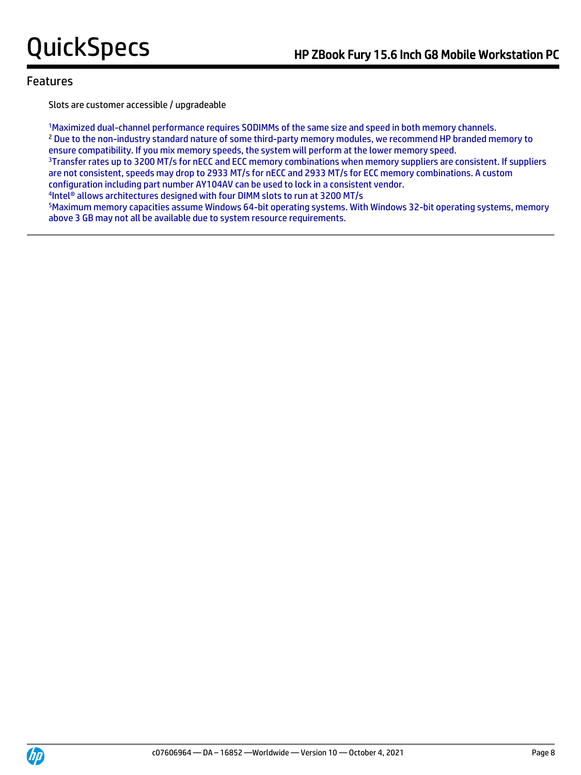Slots are customer accessible / upgradeable

<sup>1</sup>Maximized dual-channel performance requires SODIMMs of the same size and speed in both memory channels. <sup>2</sup> Due to the non-industry standard nature of some third-party memory modules, we recommend HP branded memory to ensure compatibility. If you mix memory speeds, the system will perform at the lower memory speed. <sup>3</sup>Transfer rates up to 3200 MT/s for nECC and ECC memory combinations when memory suppliers are consistent. If suppliers are not consistent, speeds may drop to 2933 MT/s for nECC and 2933 MT/s for ECC memory combinations. A custom configuration including part number AY104AV can be used to lock in a consistent vendor. 4 Intel® allows architectures designed with four DIMM slots to run at 3200 MT/s

<sup>5</sup>Maximum memory capacities assume Windows 64-bit operating systems. With Windows 32-bit operating systems, memory above 3 GB may not all be available due to system resource requirements.

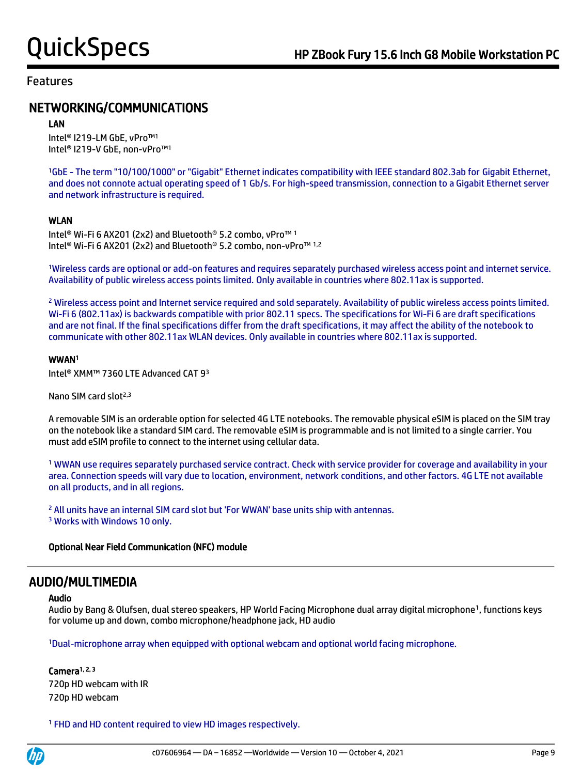## NETWORKING/COMMUNICATIONS

#### LAN

Intel® I219-LM GbE, vPro™<sup>1</sup> Intel® I219-V GbE, non-vPro™<sup>1</sup>

<sup>1</sup>GbE - The term "10/100/1000" or "Gigabit" Ethernet indicates compatibility with IEEE standard 802.3ab for Gigabit Ethernet, and does not connote actual operating speed of 1 Gb/s. For high-speed transmission, connection to a Gigabit Ethernet server and network infrastructure is required.

#### WLAN

Intel® Wi-Fi 6 AX201 (2x2) and Bluetooth® 5.2 combo, vPro™ <sup>1</sup> Intel® Wi-Fi 6 AX201 (2x2) and Bluetooth® 5.2 combo, non-vPro™ 1,2

<sup>1</sup>Wireless cards are optional or add-on features and requires separately purchased wireless access point and internet service. Availability of public wireless access points limited. Only available in countries where 802.11ax is supported.

<sup>2</sup> Wireless access point and Internet service required and sold separately. Availability of public wireless access points limited. Wi-Fi 6 (802.11ax) is backwards compatible with prior 802.11 specs. The specifications for Wi-Fi 6 are draft specifications and are not final. If the final specifications differ from the draft specifications, it may affect the ability of the notebook to communicate with other 802.11ax WLAN devices. Only available in countries where 802.11ax is supported.

#### WWAN<sup>1</sup>

Intel® XMM™ 7360 LTE Advanced CAT 9<sup>3</sup>

Nano SIM card slot<sup>2,3</sup>

A removable SIM is an orderable option for selected 4G LTE notebooks. The removable physical eSIM is placed on the SIM tray on the notebook like a standard SIM card. The removable eSIM is programmable and is not limited to a single carrier. You must add eSIM profile to connect to the internet using cellular data.

<sup>1</sup> WWAN use requires separately purchased service contract. Check with service provider for coverage and availability in your area. Connection speeds will vary due to location, environment, network conditions, and other factors. 4G LTE not available on all products, and in all regions.

<sup>2</sup> All units have an internal SIM card slot but 'For WWAN' base units ship with antennas. <sup>3</sup> Works with Windows 10 only.

#### Optional Near Field Communication (NFC) module

## AUDIO/MULTIMEDIA

#### Audio

Audio by Bang & Olufsen, dual stereo speakers, HP World Facing Microphone dual array digital microphone<sup>1</sup>, functions keys for volume up and down, combo microphone/headphone jack, HD audio

<sup>1</sup>Dual-microphone array when equipped with optional webcam and optional world facing microphone.

#### Camera<sup>1, 2, 3</sup> 720p HD webcam with IR 720p HD webcam

<sup>1</sup> FHD and HD content required to view HD images respectively.

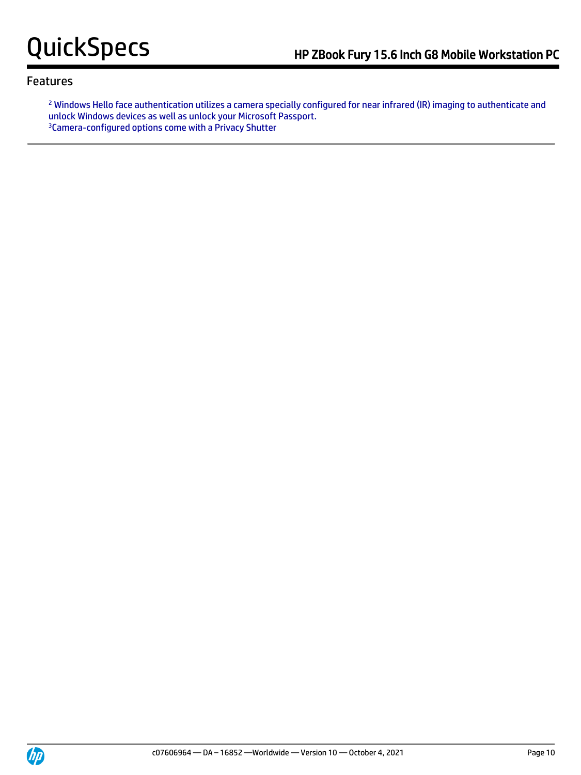<sup>2</sup> Windows Hello face authentication utilizes a camera specially configured for near infrared (IR) imaging to authenticate and unlock Windows devices as well as unlock your Microsoft Passport. 3Camera-configured options come with a Privacy Shutter

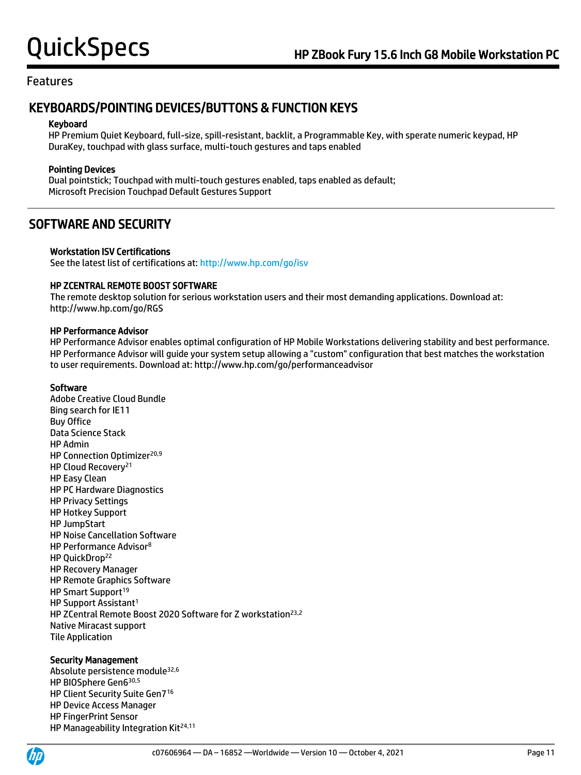## KEYBOARDS/POINTING DEVICES/BUTTONS & FUNCTION KEYS

#### Keyboard

HP Premium Quiet Keyboard, full-size, spill-resistant, backlit, a Programmable Key, with sperate numeric keypad, HP DuraKey, touchpad with glass surface, multi-touch gestures and taps enabled

### Pointing Devices

Dual pointstick; Touchpad with multi-touch gestures enabled, taps enabled as default; Microsoft Precision Touchpad Default Gestures Support

## SOFTWARE AND SECURITY

#### Workstation ISV Certifications

See the latest list of certifications at[: http://www.hp.com/go/isv](http://www.hp.com/go/isv)

#### HP ZCENTRAL REMOTE BOOST SOFTWARE

The remote desktop solution for serious workstation users and their most demanding applications. Download at: http://www.hp.com/go/RGS

#### HP Performance Advisor

HP Performance Advisor enables optimal configuration of HP Mobile Workstations delivering stability and best performance. HP Performance Advisor will guide your system setup allowing a "custom" configuration that best matches the workstation to user requirements. Download at: http://www.hp.com/go/performanceadvisor

#### Software

Adobe Creative Cloud Bundle Bing search for IE11 Buy Office Data Science Stack HP Admin HP Connection Optimizer<sup>20,9</sup> HP Cloud Recovery<sup>21</sup> HP Easy Clean HP PC Hardware Diagnostics HP Privacy Settings HP Hotkey Support HP JumpStart HP Noise Cancellation Software HP Performance Advisor<sup>8</sup> HP QuickDrop<sup>22</sup> HP Recovery Manager HP Remote Graphics Software HP Smart Support<sup>19</sup> HP Support Assistant<sup>1</sup> HP ZCentral Remote Boost 2020 Software for Z workstation<sup>23,2</sup> Native Miracast support Tile Application

#### Security Management

Absolute persistence module32,6 HP BIOSphere Gen6 30,5 HP Client Security Suite Gen7<sup>16</sup> HP Device Access Manager HP FingerPrint Sensor HP Manageability Integration Kit<sup>24,11</sup>

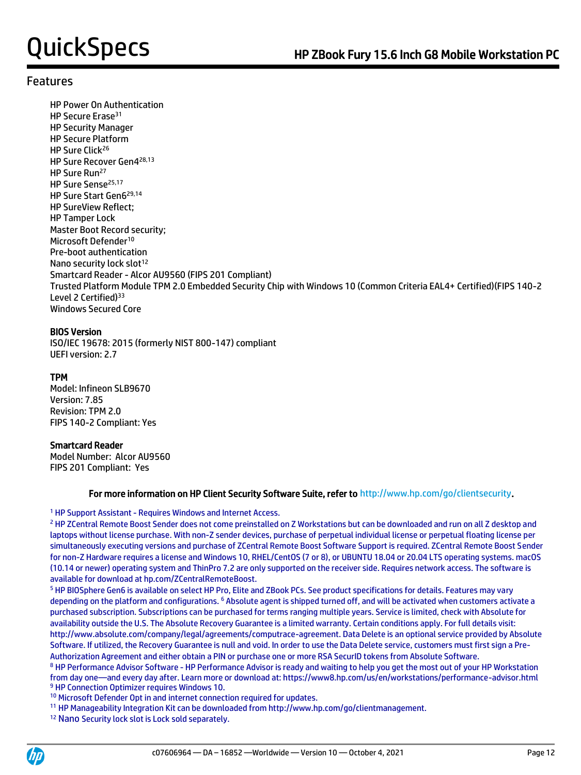HP Power On Authentication HP Secure Erase<sup>31</sup> HP Security Manager HP Secure Platform HP Sure Click<sup>26</sup> HP Sure Recover Gen4 28,13 HP Sure Run<sup>27</sup> HP Sure Sense<sup>25,17</sup> HP Sure Start Gen6 29,14 HP SureView Reflect; HP Tamper Lock Master Boot Record security; Microsoft Defender<sup>10</sup> Pre-boot authentication Nano security lock slot<sup>12</sup> Smartcard Reader - Alcor AU9560 (FIPS 201 Compliant) Trusted Platform Module TPM 2.0 Embedded Security Chip with Windows 10 (Common Criteria EAL4+ Certified)(FIPS 140-2 Level 2 Certified)<sup>33</sup> Windows Secured Core

### BIOS Version

ISO/IEC 19678: 2015 (formerly NIST 800-147) compliant UEFI version: 2.7

### TPM

Model: Infineon SLB9670 Version: 7.85 Revision: TPM 2.0 FIPS 140-2 Compliant: Yes

### Smartcard Reader

Model Number: Alcor AU9560 FIPS 201 Compliant: Yes

#### For more information on HP Client Security Software Suite, refer to http://www.hp.com/go/clientsecurity.

#### <sup>1</sup> HP Support Assistant - Requires Windows and Internet Access.

<sup>2</sup> HP ZCentral Remote Boost Sender does not come preinstalled on Z Workstations but can be downloaded and run on all Z desktop and laptops without license purchase. With non-Z sender devices, purchase of perpetual individual license or perpetual floating license per simultaneously executing versions and purchase of ZCentral Remote Boost Software Support is required. ZCentral Remote Boost Sender for non-Z Hardware requires a license and Windows 10, RHEL/CentOS (7 or 8), or UBUNTU 18.04 or 20.04 LTS operating systems. macOS (10.14 or newer) operating system and ThinPro 7.2 are only supported on the receiver side. Requires network access. The software is available for download at hp.com/ZCentralRemoteBoost.

<sup>5</sup> HP BIOSphere Gen6 is available on select HP Pro, Elite and ZBook PCs. See product specifications for details. Features may vary depending on the platform and configurations. <sup>6</sup> Absolute agent is shipped turned off, and will be activated when customers activate a purchased subscription. Subscriptions can be purchased for terms ranging multiple years. Service is limited, check with Absolute for availability outside the U.S. The Absolute Recovery Guarantee is a limited warranty. Certain conditions apply. For full details visit: http://www.absolute.com/company/legal/agreements/computrace-agreement. Data Delete is an optional service provided by Absolute Software. If utilized, the Recovery Guarantee is null and void. In order to use the Data Delete service, customers must first sign a Pre-Authorization Agreement and either obtain a PIN or purchase one or more RSA SecurID tokens from Absolute Software.

<sup>8</sup> HP Performance Advisor Software - HP Performance Advisor is ready and waiting to help you get the most out of your HP Workstation from day one—and every day after. Learn more or download at: https://www8.hp.com/us/en/workstations/performance-advisor.html <sup>9</sup> HP Connection Optimizer requires Windows 10.

<sup>10</sup> Microsoft Defender Opt in and internet connection required for updates.

<sup>11</sup> HP Manageability Integration Kit can be downloaded from http://www.hp.com/go/clientmanagement.

<sup>12</sup> Nano Security lock slot is Lock sold separately.

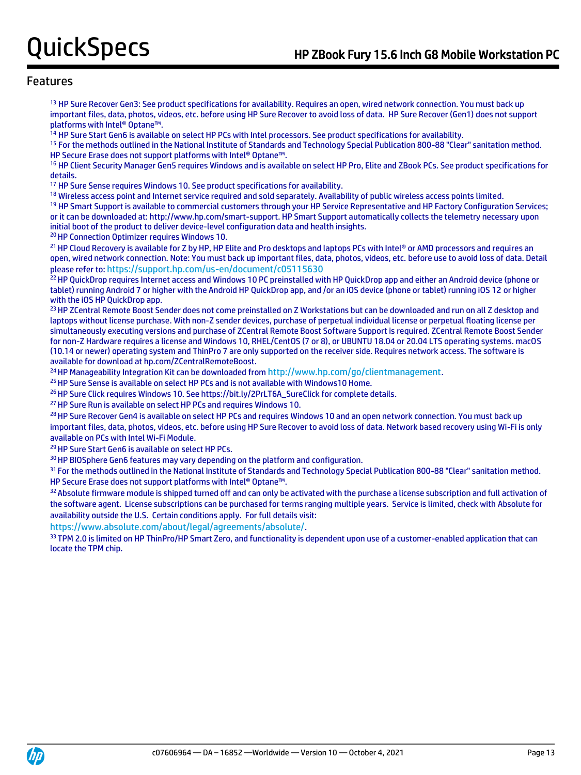<sup>13</sup> HP Sure Recover Gen3: See product specifications for availability. Requires an open, wired network connection. You must back up important files, data, photos, videos, etc. before using HP Sure Recover to avoid loss of data. HP Sure Recover (Gen1) does not support platforms with Intel® Optane™.

<sup>14</sup> HP Sure Start Gen6 is available on select HP PCs with Intel processors. See product specifications for availability.

<sup>15</sup> For the methods outlined in the National Institute of Standards and Technology Special Publication 800-88 "Clear" sanitation method. HP Secure Erase does not support platforms with Intel® Optane™.

<sup>16</sup> HP Client Security Manager Gen5 requires Windows and is available on select HP Pro, Elite and ZBook PCs. See product specifications for details.

<sup>17</sup> HP Sure Sense requires Windows 10. See product specifications for availability.

<sup>18</sup> Wireless access point and Internet service required and sold separately. Availability of public wireless access points limited.

<sup>19</sup> HP Smart Support is available to commercial customers through your HP Service Representative and HP Factory Configuration Services; or it can be downloaded at: http://www.hp.com/smart-support. HP Smart Support automatically collects the telemetry necessary upon initial boot of the product to deliver device-level configuration data and health insights.

<sup>20</sup> HP Connection Optimizer requires Windows 10.

21 HP Cloud Recovery is available for Z by HP, HP Elite and Pro desktops and laptops PCs with Intel® or AMD processors and requires an open, wired network connection. Note: You must back up important files, data, photos, videos, etc. before use to avoid loss of data. Detail please refer to: <https://support.hp.com/us-en/document/c05115630>

<sup>22</sup> HP QuickDrop requires Internet access and Windows 10 PC preinstalled with HP QuickDrop app and either an Android device (phone or tablet) running Android 7 or higher with the Android HP QuickDrop app, and /or an iOS device (phone or tablet) running iOS 12 or higher with the iOS HP QuickDrop app.

<sup>23</sup> HP ZCentral Remote Boost Sender does not come preinstalled on Z Workstations but can be downloaded and run on all Z desktop and laptops without license purchase. With non-Z sender devices, purchase of perpetual individual license or perpetual floating license per simultaneously executing versions and purchase of ZCentral Remote Boost Software Support is required. ZCentral Remote Boost Sender for non-Z Hardware requires a license and Windows 10, RHEL/CentOS (7 or 8), or UBUNTU 18.04 or 20.04 LTS operating systems. macOS (10.14 or newer) operating system and ThinPro 7 are only supported on the receiver side. Requires network access. The software is available for download at hp.com/ZCentralRemoteBoost.

<sup>24</sup> HP Manageability Integration Kit can be downloaded from <http://www.hp.com/go/clientmanagement>.

<sup>25</sup> HP Sure Sense is available on select HP PCs and is not available with Windows10 Home.

<sup>26</sup> HP Sure Click requires Windows 10. See https://bit.ly/2PrLT6A\_SureClick for complete details.

<sup>27</sup> HP Sure Run is available on select HP PCs and requires Windows 10.

<sup>28</sup> HP Sure Recover Gen4 is available on select HP PCs and requires Windows 10 and an open network connection. You must back up important files, data, photos, videos, etc. before using HP Sure Recover to avoid loss of data. Network based recovery using Wi-Fi is only available on PCs with Intel Wi-Fi Module.

<sup>29</sup> HP Sure Start Gen6 is available on select HP PCs.

<sup>30</sup> HP BIOSphere Gen6 features may vary depending on the platform and configuration.

<sup>31</sup> For the methods outlined in the National Institute of Standards and Technology Special Publication 800-88 "Clear" sanitation method. HP Secure Erase does not support platforms with Intel® Optane™.

32 Absolute firmware module is shipped turned off and can only be activated with the purchase a license subscription and full activation of the software agent. License subscriptions can be purchased for terms ranging multiple years. Service is limited, check with Absolute for availability outside the U.S. Certain conditions apply. For full details visit:

<https://www.absolute.com/about/legal/agreements/absolute/>.

33 TPM 2.0 is limited on HP ThinPro/HP Smart Zero, and functionality is dependent upon use of a customer-enabled application that can locate the TPM chip.

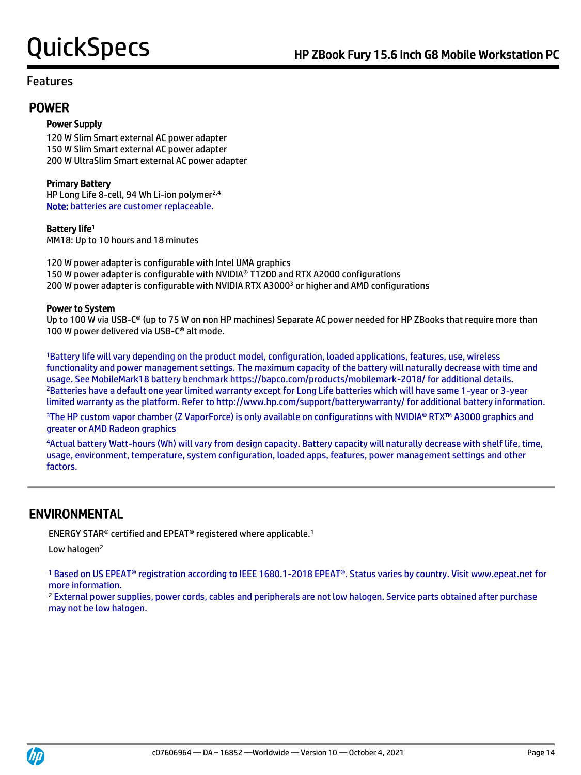## POWER

### Power Supply

120 W Slim Smart external AC power adapter 150 W Slim Smart external AC power adapter 200 W UltraSlim Smart external AC power adapter

### Primary Battery

HP Long Life 8-cell, 94 Wh Li-ion polymer<sup>2,4</sup> Note: batteries are customer replaceable.

### Battery life<sup>1</sup>

MM18: Up to 10 hours and 18 minutes

120 W power adapter is configurable with Intel UMA graphics 150 W power adapter is configurable with NVIDIA® T1200 and RTX A2000 configurations 200 W power adapter is configurable with NVIDIA RTX A3000<sup>3</sup> or higher and AMD configurations

#### Power to System

Up to 100 W via USB-C<sup>®</sup> (up to 75 W on non HP machines) Separate AC power needed for HP ZBooks that require more than 100 W power delivered via USB-C® alt mode.

<sup>1</sup>Battery life will vary depending on the product model, configuration, loaded applications, features, use, wireless functionality and power management settings. The maximum capacity of the battery will naturally decrease with time and usage. See MobileMark18 battery benchmark https://bapco.com/products/mobilemark-2018/ for additional details. <sup>2</sup>Batteries have a default one year limited warranty except for Long Life batteries which will have same 1-year or 3-year limited warranty as the platform. Refer to http://www.hp.com/support/batterywarranty/ for additional battery information.

<sup>3</sup>The HP custom vapor chamber (Z VaporForce) is only available on configurations with NVIDIA® RTX™ A3000 graphics and greater or AMD Radeon graphics

<sup>4</sup>Actual battery Watt-hours (Wh) will vary from design capacity. Battery capacity will naturally decrease with shelf life, time, usage, environment, temperature, system configuration, loaded apps, features, power management settings and other factors.

## ENVIRONMENTAL

ENERGY STAR® certified and EPEAT® registered where applicable.<sup>1</sup>

Low halogen<sup>2</sup>

<sup>1</sup> Based on US EPEAT® registration according to IEEE 1680.1-2018 EPEAT®. Status varies by country. Visit www.epeat.net for more information.

<sup>2</sup> External power supplies, power cords, cables and peripherals are not low halogen. Service parts obtained after purchase may not be low halogen.

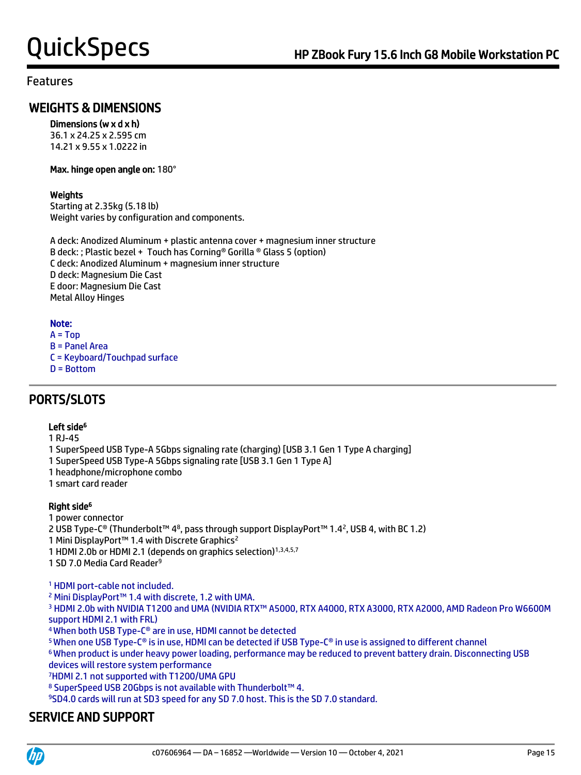## WEIGHTS & DIMENSIONS

### Dimensions (w x d x h)

36.1 x 24.25 x 2.595 cm 14.21 x 9.55 x 1.0222 in

#### Max. hinge open angle on: 180°

### **Weights**

Starting at 2.35kg (5.18 lb) Weight varies by configuration and components.

A deck: Anodized Aluminum + plastic antenna cover + magnesium inner structure B deck: ; Plastic bezel + Touch has Corning® Gorilla ® Glass 5 (option) C deck: Anodized Aluminum + magnesium inner structure D deck: Magnesium Die Cast E door: Magnesium Die Cast Metal Alloy Hinges

### Note:

- $A = Top$ B = Panel Area C = Keyboard/Touchpad surface
- D = Bottom

## PORTS/SLOTS

### Left side<sup>6</sup>

1 RJ-45

- 1 SuperSpeed USB Type-A 5Gbps signaling rate (charging) [USB 3.1 Gen 1 Type A charging]
- 1 SuperSpeed USB Type-A 5Gbps signaling rate [USB 3.1 Gen 1 Type A]
- 1 headphone/microphone combo
- 1 smart card reader

### Right side<sup>6</sup>

1 power connector

2 USB Type-C® (Thunderbolt™ 48, pass through support DisplayPort™ 1.42, USB 4, with BC 1.2)

1 Mini DisplayPort™ 1.4 with Discrete Graphics<sup>2</sup>

1 HDMI 2.0b or HDMI 2.1 (depends on graphics selection)<sup>1,3,4,5,7</sup>

1 SD 7.0 Media Card Reader<sup>9</sup>

<sup>1</sup> HDMI port-cable not included.

<sup>2</sup> Mini DisplayPort™ 1.4 with discrete, 1.2 with UMA.

3 HDMI 2.0b with NVIDIA T1200 and UMA (NVIDIA RTX™ A5000, RTX A4000, RTX A3000, RTX A2000, AMD Radeon Pro W6600M support HDMI 2.1 with FRL)

<sup>4</sup>When both USB Type-C® are in use, HDMI cannot be detected

<sup>5</sup>When one USB Type-C® is in use, HDMI can be detected if USB Type-C® in use is assigned to different channel

<sup>6</sup>When product is under heavy power loading, performance may be reduced to prevent battery drain. Disconnecting USB devices will restore system performance

<sup>7</sup>HDMI 2.1 not supported with T1200/UMA GPU

<sup>8</sup> SuperSpeed USB 20Gbps is not available with Thunderbolt™ 4.

<sup>9</sup>SD4.0 cards will run at SD3 speed for any SD 7.0 host. This is the SD 7.0 standard.

## SERVICE AND SUPPORT

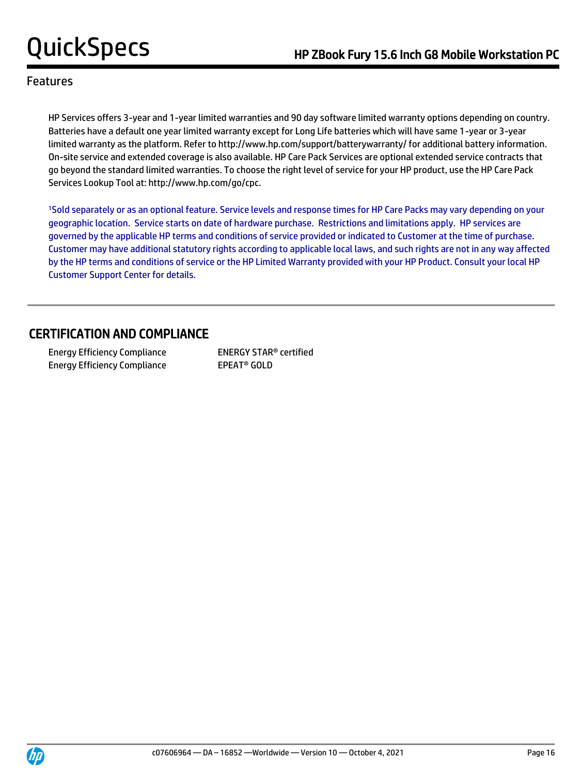HP Services offers 3-year and 1-year limited warranties and 90 day software limited warranty options depending on country. Batteries have a default one year limited warranty except for Long Life batteries which will have same 1-year or 3-year limited warranty as the platform. Refer to http://www.hp.com/support/batterywarranty/ for additional battery information. On-site service and extended coverage is also available. HP Care Pack Services are optional extended service contracts that go beyond the standard limited warranties. To choose the right level of service for your HP product, use the HP Care Pack Services Lookup Tool at: http://www.hp.com/go/cpc.

<sup>1</sup>Sold separately or as an optional feature. Service levels and response times for HP Care Packs may vary depending on your geographic location. Service starts on date of hardware purchase. Restrictions and limitations apply. HP services are governed by the applicable HP terms and conditions of service provided or indicated to Customer at the time of purchase. Customer may have additional statutory rights according to applicable local laws, and such rights are not in any way affected by the HP terms and conditions of service or the HP Limited Warranty provided with your HP Product. Consult your local HP Customer Support Center for details.

## CERTIFICATION AND COMPLIANCE

 Energy Efficiency Compliance ENERGY STAR® certified Energy Efficiency Compliance EPEAT<sup>®</sup> GOLD

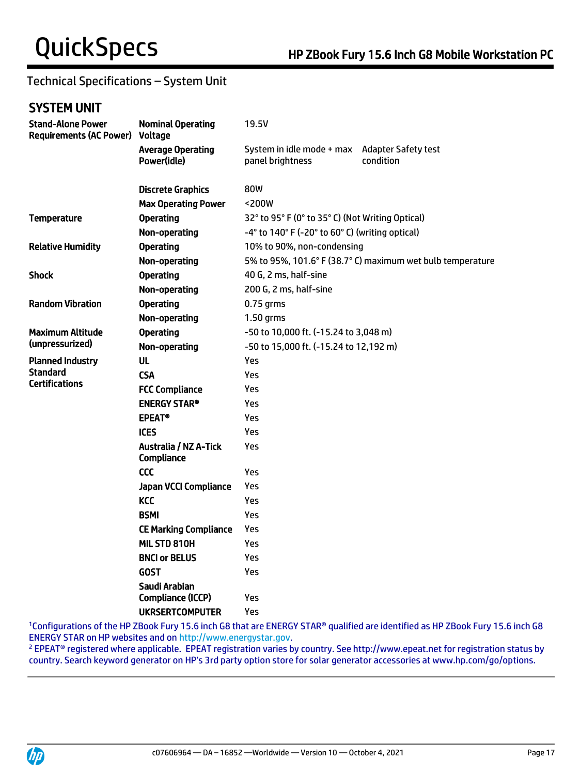## Technical Specifications – System Unit

## SYSTEM UNIT

| <b>Stand-Alone Power</b><br><b>Requirements (AC Power)</b> | <b>Nominal Operating</b><br>Voltage        | 19.5V                                                      |                                         |  |
|------------------------------------------------------------|--------------------------------------------|------------------------------------------------------------|-----------------------------------------|--|
|                                                            | <b>Average Operating</b><br>Power(idle)    | System in idle mode + max<br>panel brightness              | <b>Adapter Safety test</b><br>condition |  |
|                                                            | <b>Discrete Graphics</b>                   | 80W                                                        |                                         |  |
|                                                            | <b>Max Operating Power</b>                 | <200W                                                      |                                         |  |
| <b>Temperature</b>                                         | <b>Operating</b>                           | 32° to 95° F (0° to 35° C) (Not Writing Optical)           |                                         |  |
|                                                            | Non-operating                              | -4° to 140° F (-20° to 60° C) (writing optical)            |                                         |  |
| <b>Relative Humidity</b>                                   | <b>Operating</b>                           | 10% to 90%, non-condensing                                 |                                         |  |
|                                                            | Non-operating                              | 5% to 95%, 101.6° F (38.7° C) maximum wet bulb temperature |                                         |  |
| <b>Shock</b>                                               | <b>Operating</b>                           | 40 G, 2 ms, half-sine                                      |                                         |  |
|                                                            | Non-operating                              | 200 G, 2 ms, half-sine                                     |                                         |  |
| <b>Random Vibration</b>                                    | <b>Operating</b>                           | $0.75$ grms                                                |                                         |  |
|                                                            | Non-operating                              | 1.50 grms                                                  |                                         |  |
| <b>Maximum Altitude</b>                                    | <b>Operating</b>                           | -50 to 10,000 ft. (-15.24 to 3,048 m)                      |                                         |  |
| (unpressurized)                                            | Non-operating                              | -50 to 15,000 ft. (-15.24 to 12,192 m)                     |                                         |  |
| <b>Planned Industry</b>                                    | <b>UL</b>                                  | Yes                                                        |                                         |  |
| <b>Standard</b><br><b>Certifications</b>                   | <b>CSA</b>                                 | Yes                                                        |                                         |  |
|                                                            | <b>FCC Compliance</b>                      | Yes                                                        |                                         |  |
|                                                            | <b>ENERGY STAR®</b>                        | Yes                                                        |                                         |  |
|                                                            | <b>EPEAT®</b>                              | Yes                                                        |                                         |  |
|                                                            | <b>ICES</b>                                | Yes                                                        |                                         |  |
|                                                            | <b>Australia / NZ A-Tick</b><br>Compliance | Yes                                                        |                                         |  |
|                                                            | <b>CCC</b>                                 | Yes                                                        |                                         |  |
|                                                            | <b>Japan VCCI Compliance</b>               | Yes                                                        |                                         |  |
|                                                            | <b>KCC</b>                                 | Yes                                                        |                                         |  |
|                                                            | <b>BSMI</b>                                | Yes                                                        |                                         |  |
|                                                            | <b>CE Marking Compliance</b>               | Yes                                                        |                                         |  |
|                                                            | MIL STD 810H                               | Yes                                                        |                                         |  |
|                                                            | <b>BNCI or BELUS</b>                       | Yes                                                        |                                         |  |
|                                                            | <b>GOST</b>                                | Yes                                                        |                                         |  |
|                                                            | Saudi Arabian                              |                                                            |                                         |  |
|                                                            | Compliance (ICCP)                          | Yes                                                        |                                         |  |
|                                                            | <b>UKRSERTCOMPUTER</b>                     | Yes                                                        |                                         |  |

<sup>1</sup>Configurations of the HP ZBook Fury 15.6 inch G8 that are ENERGY STAR® qualified are identified as HP ZBook Fury 15.6 inch G8 ENERGY STAR on HP websites and o[n http://www.energystar.gov.](http://www.energystar.gov/)

<sup>2</sup> EPEAT® registered where applicable. EPEAT registration varies by country. See http://www.epeat.net for registration status by country. Search keyword generator on HP's 3rd party option store for solar generator accessories at www.hp.com/go/options.

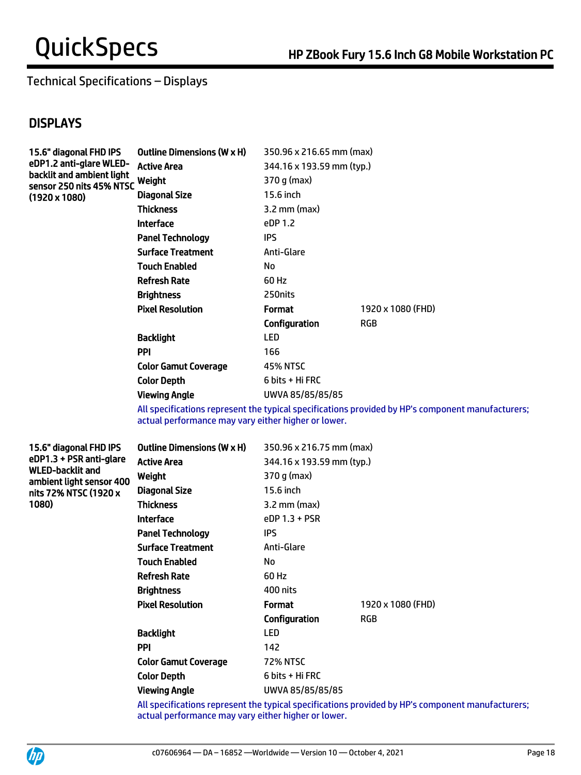## Technical Specifications – Displays

## **DISPLAYS**

| <b>Outline Dimensions (W x H)</b> | 350.96 x 216.65 mm (max)                     |                   |
|-----------------------------------|----------------------------------------------|-------------------|
| <b>Active Area</b>                | 344.16 x 193.59 mm (typ.)                    |                   |
| Weight                            | 370 g (max)                                  |                   |
| <b>Diagonal Size</b>              | 15.6 inch                                    |                   |
| <b>Thickness</b>                  | $3.2$ mm (max)                               |                   |
| <b>Interface</b>                  | eDP 1.2                                      |                   |
| <b>Panel Technology</b>           | <b>IPS</b>                                   |                   |
| <b>Surface Treatment</b>          | Anti-Glare                                   |                   |
| <b>Touch Enabled</b>              | No                                           |                   |
| <b>Refresh Rate</b>               | 60 Hz                                        |                   |
| <b>Brightness</b>                 | 250 nits                                     |                   |
| <b>Pixel Resolution</b>           | <b>Format</b>                                | 1920 x 1080 (FHD) |
|                                   | Configuration                                | RGB               |
| <b>Backlight</b>                  | <b>LED</b>                                   |                   |
| <b>PPI</b>                        | 166                                          |                   |
| <b>Color Gamut Coverage</b>       | <b>45% NTSC</b>                              |                   |
| <b>Color Depth</b>                | $6 \text{ bits } + \text{ Hi } \textsf{FRC}$ |                   |
| <b>Viewing Angle</b>              | UWVA 85/85/85/85                             |                   |
|                                   | sensor 250 nits 45% NTSC                     |                   |

All specifications represent the typical specifications provided by HP's component manufacturers; actual performance may vary either higher or lower.

15.6" diagonal FHD IPS eDP1.3 + PSR anti-glare WLED-backlit and ambient light sensor 400 nits 72% NTSC (1920 x 1080)

| <b>Outline Dimensions (W x H)</b> | 350.96 x 216.75 mm (max)  |                   |  |
|-----------------------------------|---------------------------|-------------------|--|
| Active Area                       | 344.16 x 193.59 mm (typ.) |                   |  |
| Weight                            | 370 g (max)               |                   |  |
| <b>Diagonal Size</b>              | 15.6 inch                 |                   |  |
| <b>Thickness</b>                  | $3.2 \text{ mm}$ (max)    |                   |  |
| <b>Interface</b>                  | eDP 1.3 + PSR             |                   |  |
| <b>Panel Technology</b>           | <b>IPS</b>                |                   |  |
| <b>Surface Treatment</b>          | Anti-Glare                |                   |  |
| <b>Touch Enabled</b>              | No                        |                   |  |
| <b>Refresh Rate</b>               | 60 Hz                     |                   |  |
| <b>Brightness</b>                 | 400 nits                  |                   |  |
| <b>Pixel Resolution</b>           | <b>Format</b>             | 1920 x 1080 (FHD) |  |
|                                   | Configuration             | RGB               |  |
| <b>Backlight</b>                  | LED                       |                   |  |
| PPI                               | 142                       |                   |  |
| <b>Color Gamut Coverage</b>       | <b>72% NTSC</b>           |                   |  |
| <b>Color Depth</b>                | 6 bits + Hi FRC           |                   |  |
| <b>Viewing Angle</b>              | UWVA 85/85/85/85          |                   |  |

All specifications represent the typical specifications provided by HP's component manufacturers; actual performance may vary either higher or lower.

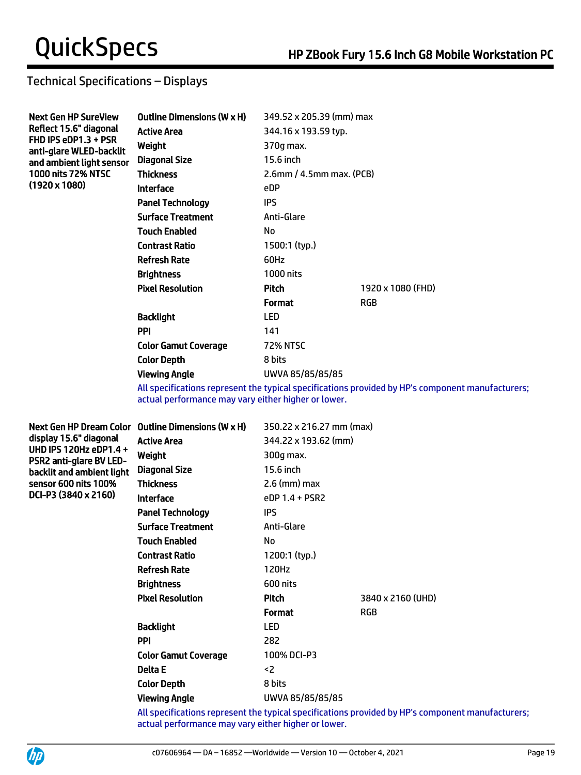## Technical Specifications – Displays

| <b>Next Gen HP SureView</b>                     | <b>Outline Dimensions (W x H)</b> | 349.52 x 205.39 (mm) max                                                                                                                                                                                                       |                                                                                                                                                                                                                                |  |
|-------------------------------------------------|-----------------------------------|--------------------------------------------------------------------------------------------------------------------------------------------------------------------------------------------------------------------------------|--------------------------------------------------------------------------------------------------------------------------------------------------------------------------------------------------------------------------------|--|
| Reflect 15.6" diagonal                          | <b>Active Area</b>                | 344.16 x 193.59 typ.                                                                                                                                                                                                           |                                                                                                                                                                                                                                |  |
| FHD IPS eDP1.3 + PSR<br>anti-glare WLED-backlit | Weight                            | 370g max.                                                                                                                                                                                                                      |                                                                                                                                                                                                                                |  |
| and ambient light sensor                        | Diagonal Size                     | 15.6 inch                                                                                                                                                                                                                      |                                                                                                                                                                                                                                |  |
| <b>1000 nits 72% NTSC</b>                       | Thickness                         | $2.6$ mm / 4.5mm max. (PCB)                                                                                                                                                                                                    |                                                                                                                                                                                                                                |  |
| $(1920 \times 1080)$                            | <b>Interface</b>                  | eDP                                                                                                                                                                                                                            |                                                                                                                                                                                                                                |  |
|                                                 | <b>Panel Technology</b>           | <b>IPS</b>                                                                                                                                                                                                                     |                                                                                                                                                                                                                                |  |
|                                                 | <b>Surface Treatment</b>          | Anti-Glare                                                                                                                                                                                                                     |                                                                                                                                                                                                                                |  |
|                                                 | <b>Touch Enabled</b>              | No                                                                                                                                                                                                                             |                                                                                                                                                                                                                                |  |
|                                                 | <b>Contrast Ratio</b>             | 1500:1 (typ.)                                                                                                                                                                                                                  |                                                                                                                                                                                                                                |  |
|                                                 | <b>Refresh Rate</b>               | 60Hz                                                                                                                                                                                                                           |                                                                                                                                                                                                                                |  |
|                                                 | <b>Brightness</b>                 | 1000 nits                                                                                                                                                                                                                      |                                                                                                                                                                                                                                |  |
|                                                 | <b>Pixel Resolution</b>           | <b>Pitch</b>                                                                                                                                                                                                                   | 1920 x 1080 (FHD)                                                                                                                                                                                                              |  |
|                                                 |                                   | <b>Format</b>                                                                                                                                                                                                                  | <b>RGB</b>                                                                                                                                                                                                                     |  |
|                                                 | <b>Backlight</b>                  | <b>LED</b>                                                                                                                                                                                                                     |                                                                                                                                                                                                                                |  |
|                                                 | <b>PPI</b>                        | 141                                                                                                                                                                                                                            |                                                                                                                                                                                                                                |  |
|                                                 | <b>Color Gamut Coverage</b>       | <b>72% NTSC</b>                                                                                                                                                                                                                |                                                                                                                                                                                                                                |  |
|                                                 | <b>Color Depth</b>                | 8 bits                                                                                                                                                                                                                         |                                                                                                                                                                                                                                |  |
|                                                 | <b>Viewing Angle</b>              | UWVA 85/85/85/85                                                                                                                                                                                                               |                                                                                                                                                                                                                                |  |
|                                                 |                                   | the second control of the second control of the second control of the second control of the second control of the second control of the second control of the second control of the second control of the second control of th | the state of the state of the state of the state of the state of the state of the state of the state of the state of the state of the state of the state of the state of the state of the state of the state of the state of t |  |

All specifications represent the typical specifications provided by HP's component manufacturers; actual performance may vary either higher or lower.

Next Gen HP Dream Color Outline Dimensions (W x H) 350.22 x 216.27 mm (max) display 15.6" diagonal UHD IPS 120Hz eDP1.4 + PSR2 anti-glare BV LEDbacklit and ambient light sensor 600 nits 100% DCI-P3 (3840 x 2160)

| Active Area             | 344.22 x 193.62 (mm) |                   |
|-------------------------|----------------------|-------------------|
| Weight                  | 300g max.            |                   |
| Diagonal Size           | 15.6 inch            |                   |
| Thickness               | $2.6$ (mm) max       |                   |
| Interface               | $eDP 1.4 + PSR2$     |                   |
| Panel Technology        | <b>IPS</b>           |                   |
| Surface Treatment       | Anti-Glare           |                   |
| Touch Enabled           | No                   |                   |
| Contrast Ratio          | 1200:1 (typ.)        |                   |
| Refresh Rate            | 120Hz                |                   |
| Brightness              | 600 nits             |                   |
| <b>Pixel Resolution</b> | Pitch                | 3840 x 2160 (UHD) |
|                         | <b>Format</b>        | <b>RGB</b>        |
| Backlight               | <b>LED</b>           |                   |
| PPI                     | 282                  |                   |
| Color Gamut Coverage    | 100% DCI-P3          |                   |
| Delta E                 | $2$                  |                   |
| <b>Color Depth</b>      | 8 bits               |                   |
| Viewing Angle           | UWVA 85/85/85/85     |                   |

All specifications represent the typical specifications provided by HP's component manufacturers; actual performance may vary either higher or lower.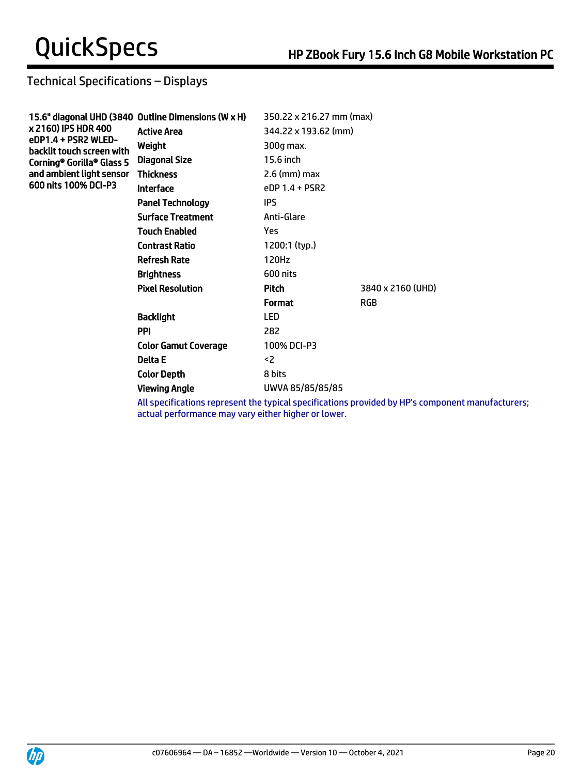## Technical Specifications – Displays

| 15.6" diagonal UHD (3840 Outline Dimensions (W x H) |                          |                          |
|-----------------------------------------------------|--------------------------|--------------------------|
| <b>Active Area</b>                                  | 344.22 x 193.62 (mm)     |                          |
| Weight                                              | 300g max.                |                          |
| Diagonal Size                                       | 15.6 inch                |                          |
| <b>Thickness</b>                                    | $2.6 \, \text{(mm)}$ max |                          |
| <b>Interface</b>                                    | eDP 1.4 + PSR2           |                          |
| <b>Panel Technology</b>                             | <b>IPS</b>               |                          |
| <b>Surface Treatment</b>                            | Anti-Glare               |                          |
| <b>Touch Enabled</b>                                | Yes                      |                          |
| <b>Contrast Ratio</b>                               | 1200:1 (typ.)            |                          |
| <b>Refresh Rate</b>                                 | 120Hz                    |                          |
| <b>Brightness</b>                                   | 600 nits                 |                          |
| <b>Pixel Resolution</b>                             | Pitch                    | 3840 x 2160 (UHD)        |
|                                                     | <b>Format</b>            | <b>RGB</b>               |
| <b>Backlight</b>                                    | <b>LED</b>               |                          |
| <b>PPI</b>                                          | 282                      |                          |
| <b>Color Gamut Coverage</b>                         | 100% DCI-P3              |                          |
| Delta E                                             | $2$                      |                          |
| <b>Color Depth</b>                                  | 8 bits                   |                          |
| <b>Viewing Angle</b>                                | UWVA 85/85/85/85         |                          |
|                                                     |                          | 350.22 x 216.27 mm (max) |

All specifications represent the typical specifications provided by HP's component manufacturers; actual performance may vary either higher or lower.

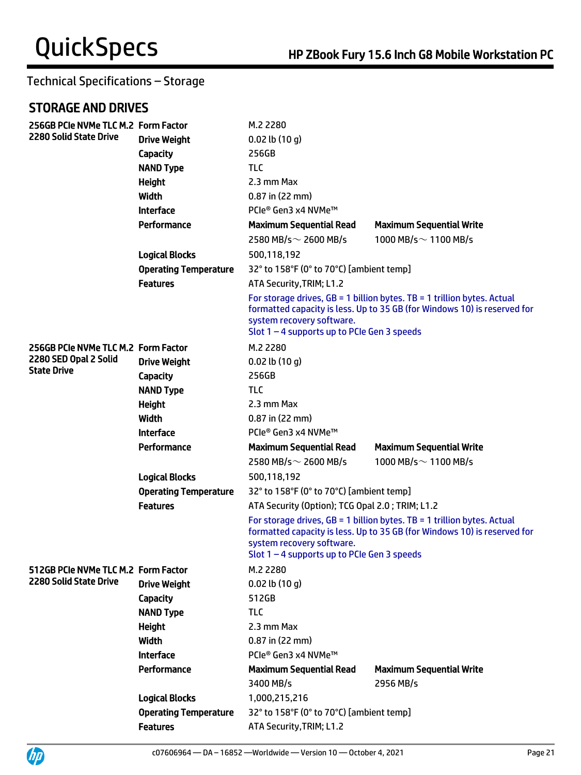## STORAGE AND DRIVES

UP

| 256GB PCIe NVMe TLC M.2 Form Factor         |                              | M.2 2280                                                                   |                                                                                                                                                       |  |
|---------------------------------------------|------------------------------|----------------------------------------------------------------------------|-------------------------------------------------------------------------------------------------------------------------------------------------------|--|
| <b>2280 Solid State Drive</b>               | <b>Drive Weight</b>          | $0.02$ lb $(10 g)$                                                         |                                                                                                                                                       |  |
|                                             | Capacity                     | 256GB                                                                      |                                                                                                                                                       |  |
|                                             | <b>NAND Type</b>             | <b>TLC</b>                                                                 |                                                                                                                                                       |  |
|                                             | <b>Height</b>                | 2.3 mm Max                                                                 |                                                                                                                                                       |  |
|                                             | Width                        | $0.87$ in (22 mm)                                                          |                                                                                                                                                       |  |
|                                             | <b>Interface</b>             | PCIe® Gen3 x4 NVMe™                                                        |                                                                                                                                                       |  |
|                                             | Performance                  | <b>Maximum Sequential Read</b>                                             | <b>Maximum Sequential Write</b>                                                                                                                       |  |
|                                             |                              | 2580 MB/s $\sim$ 2600 MB/s                                                 | 1000 MB/s $\sim$ 1100 MB/s                                                                                                                            |  |
|                                             | <b>Logical Blocks</b>        | 500,118,192                                                                |                                                                                                                                                       |  |
|                                             | <b>Operating Temperature</b> | 32° to 158°F (0° to 70°C) [ambient temp]                                   |                                                                                                                                                       |  |
|                                             | <b>Features</b>              | ATA Security, TRIM; L1.2                                                   |                                                                                                                                                       |  |
|                                             |                              | system recovery software.<br>Slot $1 - 4$ supports up to PCIe Gen 3 speeds | For storage drives, $GB = 1$ billion bytes. TB = 1 trillion bytes. Actual<br>formatted capacity is less. Up to 35 GB (for Windows 10) is reserved for |  |
| 256GB PCIe NVMe TLC M.2 Form Factor         |                              | M.2 2280                                                                   |                                                                                                                                                       |  |
| 2280 SED Opal 2 Solid<br><b>State Drive</b> | <b>Drive Weight</b>          | $0.02$ lb $(10 g)$                                                         |                                                                                                                                                       |  |
|                                             | Capacity                     | 256GB                                                                      |                                                                                                                                                       |  |
|                                             | <b>NAND Type</b>             | <b>TLC</b>                                                                 |                                                                                                                                                       |  |
|                                             | <b>Height</b>                | 2.3 mm Max                                                                 |                                                                                                                                                       |  |
|                                             | Width                        | $0.87$ in (22 mm)                                                          |                                                                                                                                                       |  |
|                                             | <b>Interface</b>             | PCIe® Gen3 x4 NVMe™                                                        |                                                                                                                                                       |  |
|                                             | Performance                  | <b>Maximum Sequential Read</b>                                             | <b>Maximum Sequential Write</b>                                                                                                                       |  |
|                                             |                              | 2580 MB/s $\sim$ 2600 MB/s                                                 | 1000 MB/s $\sim$ 1100 MB/s                                                                                                                            |  |
|                                             | <b>Logical Blocks</b>        | 500,118,192                                                                |                                                                                                                                                       |  |
|                                             | <b>Operating Temperature</b> | 32° to 158°F (0° to 70°C) [ambient temp]                                   |                                                                                                                                                       |  |
|                                             | <b>Features</b>              | ATA Security (Option); TCG Opal 2.0; TRIM; L1.2                            |                                                                                                                                                       |  |
|                                             |                              | system recovery software.<br>Slot $1 - 4$ supports up to PCIe Gen 3 speeds | For storage drives, $GB = 1$ billion bytes. TB = 1 trillion bytes. Actual<br>formatted capacity is less. Up to 35 GB (for Windows 10) is reserved for |  |
| 512GB PCIe NVMe TLC M.2 Form Factor         |                              | M.2 2280                                                                   |                                                                                                                                                       |  |
| 2280 Solid State Drive                      | <b>Drive Weight</b>          | $0.02$ lb $(10q)$                                                          |                                                                                                                                                       |  |
|                                             | Capacity                     | 512GB                                                                      |                                                                                                                                                       |  |
|                                             | <b>NAND Type</b>             | <b>TLC</b>                                                                 |                                                                                                                                                       |  |
|                                             | <b>Height</b>                | 2.3 mm Max                                                                 |                                                                                                                                                       |  |
|                                             | Width                        | 0.87 in (22 mm)                                                            |                                                                                                                                                       |  |
|                                             | <b>Interface</b>             | PCIe® Gen3 x4 NVMe™                                                        |                                                                                                                                                       |  |
|                                             | Performance                  | <b>Maximum Sequential Read</b>                                             | <b>Maximum Sequential Write</b>                                                                                                                       |  |
|                                             |                              | 3400 MB/s                                                                  | 2956 MB/s                                                                                                                                             |  |
|                                             | <b>Logical Blocks</b>        | 1,000,215,216                                                              |                                                                                                                                                       |  |
|                                             | <b>Operating Temperature</b> | 32° to 158°F (0° to 70°C) [ambient temp]                                   |                                                                                                                                                       |  |
|                                             | <b>Features</b>              | ATA Security, TRIM; L1.2                                                   |                                                                                                                                                       |  |

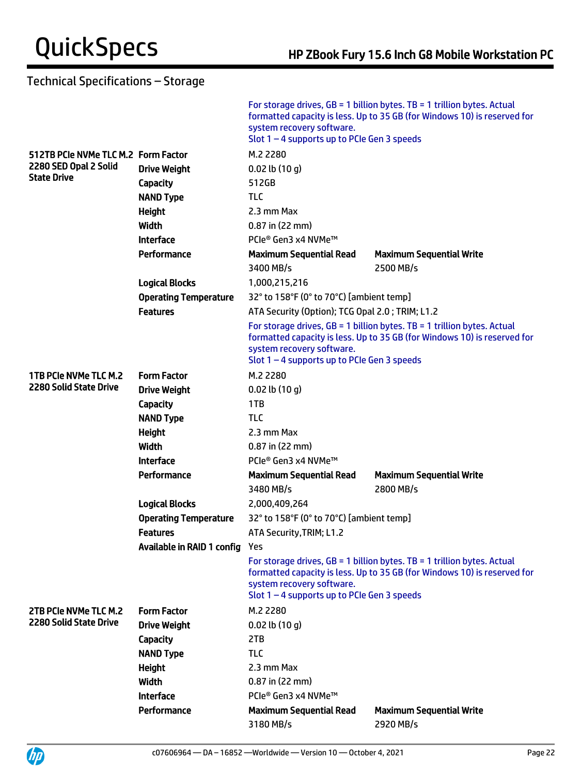|                                     |                                | system recovery software.<br>Slot $1 - 4$ supports up to PCIe Gen 3 speeds | For storage drives, $GB = 1$ billion bytes. TB = 1 trillion bytes. Actual<br>formatted capacity is less. Up to 35 GB (for Windows 10) is reserved for |  |
|-------------------------------------|--------------------------------|----------------------------------------------------------------------------|-------------------------------------------------------------------------------------------------------------------------------------------------------|--|
| 512TB PCIe NVMe TLC M.2 Form Factor |                                | M.2 2280                                                                   |                                                                                                                                                       |  |
| 2280 SED Opal 2 Solid               | <b>Drive Weight</b>            | $0.02$ lb $(10 g)$                                                         |                                                                                                                                                       |  |
| <b>State Drive</b>                  | Capacity                       | 512GB                                                                      |                                                                                                                                                       |  |
|                                     | <b>NAND Type</b>               | <b>TLC</b>                                                                 |                                                                                                                                                       |  |
|                                     | Height                         | 2.3 mm Max                                                                 |                                                                                                                                                       |  |
|                                     | Width                          | $0.87$ in (22 mm)                                                          |                                                                                                                                                       |  |
|                                     | <b>Interface</b>               | PCIe® Gen3 x4 NVMe™                                                        |                                                                                                                                                       |  |
|                                     | Performance                    | <b>Maximum Sequential Read</b>                                             | <b>Maximum Sequential Write</b>                                                                                                                       |  |
|                                     |                                | 3400 MB/s                                                                  | 2500 MB/s                                                                                                                                             |  |
|                                     | <b>Logical Blocks</b>          | 1,000,215,216                                                              |                                                                                                                                                       |  |
|                                     | <b>Operating Temperature</b>   | 32° to 158°F (0° to 70°C) [ambient temp]                                   |                                                                                                                                                       |  |
|                                     | <b>Features</b>                | ATA Security (Option); TCG Opal 2.0; TRIM; L1.2                            |                                                                                                                                                       |  |
|                                     |                                | system recovery software.<br>Slot $1 - 4$ supports up to PCIe Gen 3 speeds | For storage drives, $GB = 1$ billion bytes. TB = 1 trillion bytes. Actual<br>formatted capacity is less. Up to 35 GB (for Windows 10) is reserved for |  |
| 1TB PCIe NVMe TLC M.2               | <b>Form Factor</b>             | M.2 2280                                                                   |                                                                                                                                                       |  |
| 2280 Solid State Drive              | <b>Drive Weight</b>            | $0.02$ lb $(10 g)$                                                         |                                                                                                                                                       |  |
|                                     | Capacity                       | 1TB                                                                        |                                                                                                                                                       |  |
|                                     | <b>NAND Type</b>               | <b>TLC</b>                                                                 |                                                                                                                                                       |  |
|                                     | Height                         | 2.3 mm Max                                                                 |                                                                                                                                                       |  |
|                                     | Width                          | $0.87$ in (22 mm)                                                          |                                                                                                                                                       |  |
|                                     | <b>Interface</b>               | PCIe® Gen3 x4 NVMe™                                                        |                                                                                                                                                       |  |
|                                     | Performance                    | <b>Maximum Sequential Read</b>                                             | <b>Maximum Sequential Write</b>                                                                                                                       |  |
|                                     |                                | 3480 MB/s                                                                  | 2800 MB/s                                                                                                                                             |  |
|                                     | <b>Logical Blocks</b>          | 2,000,409,264                                                              |                                                                                                                                                       |  |
|                                     | <b>Operating Temperature</b>   | 32° to 158°F (0° to 70°C) [ambient temp]                                   |                                                                                                                                                       |  |
|                                     | <b>Features</b>                | ATA Security, TRIM; L1.2                                                   |                                                                                                                                                       |  |
|                                     | Available in RAID 1 config Yes |                                                                            |                                                                                                                                                       |  |
|                                     |                                | system recovery software.<br>Slot $1 - 4$ supports up to PCIe Gen 3 speeds | For storage drives, $GB = 1$ billion bytes. TB = 1 trillion bytes. Actual<br>formatted capacity is less. Up to 35 GB (for Windows 10) is reserved for |  |
| 2TB PCIe NVMe TLC M.2               | <b>Form Factor</b>             | M.2 2280                                                                   |                                                                                                                                                       |  |
| <b>2280 Solid State Drive</b>       | <b>Drive Weight</b>            | $0.02$ lb $(10 g)$                                                         |                                                                                                                                                       |  |
|                                     | <b>Capacity</b>                | 2TB                                                                        |                                                                                                                                                       |  |
|                                     | <b>NAND Type</b>               | <b>TLC</b>                                                                 |                                                                                                                                                       |  |
|                                     | <b>Height</b>                  | 2.3 mm Max                                                                 |                                                                                                                                                       |  |
|                                     | Width                          | $0.87$ in (22 mm)                                                          |                                                                                                                                                       |  |
|                                     | <b>Interface</b>               | PCIe® Gen3 x4 NVMe™                                                        |                                                                                                                                                       |  |
|                                     | Performance                    | <b>Maximum Sequential Read</b>                                             | <b>Maximum Sequential Write</b>                                                                                                                       |  |
|                                     |                                | 3180 MB/s                                                                  | 2920 MB/s                                                                                                                                             |  |

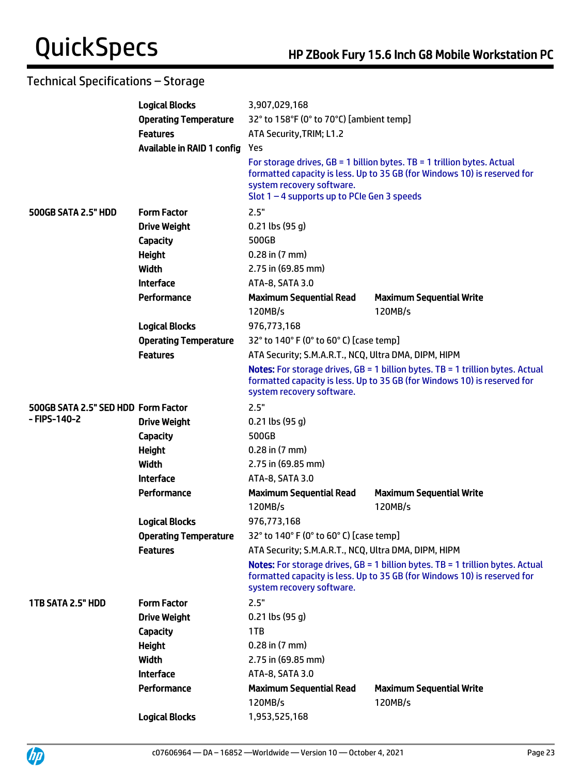|                                     | <b>Logical Blocks</b>        | 3,907,029,168                                                              |                                                                                                                                                                     |  |
|-------------------------------------|------------------------------|----------------------------------------------------------------------------|---------------------------------------------------------------------------------------------------------------------------------------------------------------------|--|
|                                     | <b>Operating Temperature</b> | 32° to 158°F (0° to 70°C) [ambient temp]                                   |                                                                                                                                                                     |  |
|                                     | <b>Features</b>              | ATA Security, TRIM; L1.2                                                   |                                                                                                                                                                     |  |
|                                     | Available in RAID 1 config   | Yes                                                                        |                                                                                                                                                                     |  |
|                                     |                              | system recovery software.<br>Slot $1 - 4$ supports up to PCIe Gen 3 speeds | For storage drives, $GB = 1$ billion bytes. TB = 1 trillion bytes. Actual<br>formatted capacity is less. Up to 35 GB (for Windows 10) is reserved for               |  |
| 500GB SATA 2.5" HDD                 | <b>Form Factor</b>           | 2.5"                                                                       |                                                                                                                                                                     |  |
|                                     | <b>Drive Weight</b>          | $0.21$ lbs (95 g)                                                          |                                                                                                                                                                     |  |
|                                     | <b>Capacity</b>              | 500GB                                                                      |                                                                                                                                                                     |  |
|                                     | <b>Height</b>                | $0.28$ in $(7 \text{ mm})$                                                 |                                                                                                                                                                     |  |
|                                     | Width                        | 2.75 in (69.85 mm)                                                         |                                                                                                                                                                     |  |
|                                     | <b>Interface</b>             | ATA-8, SATA 3.0                                                            |                                                                                                                                                                     |  |
|                                     | Performance                  | <b>Maximum Sequential Read</b>                                             | <b>Maximum Sequential Write</b>                                                                                                                                     |  |
|                                     |                              | 120MB/s                                                                    | 120MB/s                                                                                                                                                             |  |
|                                     | <b>Logical Blocks</b>        | 976,773,168                                                                |                                                                                                                                                                     |  |
|                                     | <b>Operating Temperature</b> | 32° to 140° F (0° to 60° C) [case temp]                                    |                                                                                                                                                                     |  |
|                                     | <b>Features</b>              | ATA Security; S.M.A.R.T., NCQ, Ultra DMA, DIPM, HIPM                       |                                                                                                                                                                     |  |
|                                     |                              | system recovery software.                                                  | <b>Notes:</b> For storage drives, $GB = 1$ billion bytes. TB = 1 trillion bytes. Actual<br>formatted capacity is less. Up to 35 GB (for Windows 10) is reserved for |  |
| 500GB SATA 2.5" SED HDD Form Factor |                              | 2.5"                                                                       |                                                                                                                                                                     |  |
| - FIPS-140-2                        | <b>Drive Weight</b>          | $0.21$ lbs (95 g)                                                          |                                                                                                                                                                     |  |
|                                     | <b>Capacity</b>              | 500GB                                                                      |                                                                                                                                                                     |  |
|                                     | <b>Height</b>                | $0.28$ in $(7 \text{ mm})$                                                 |                                                                                                                                                                     |  |
|                                     | Width                        | 2.75 in (69.85 mm)                                                         |                                                                                                                                                                     |  |
|                                     | <b>Interface</b>             | ATA-8, SATA 3.0                                                            |                                                                                                                                                                     |  |
|                                     | Performance                  | <b>Maximum Sequential Read</b>                                             | <b>Maximum Sequential Write</b>                                                                                                                                     |  |
|                                     |                              | 120MB/s                                                                    | 120MB/s                                                                                                                                                             |  |
|                                     | <b>Logical Blocks</b>        | 976,773,168                                                                |                                                                                                                                                                     |  |
|                                     | <b>Operating Temperature</b> | 32° to 140° F (0° to 60° C) [case temp]                                    |                                                                                                                                                                     |  |
|                                     | <b>Features</b>              | ATA Security; S.M.A.R.T., NCQ, Ultra DMA, DIPM, HIPM                       |                                                                                                                                                                     |  |
|                                     |                              | system recovery software.                                                  | Notes: For storage drives, GB = 1 billion bytes. TB = 1 trillion bytes. Actual<br>formatted capacity is less. Up to 35 GB (for Windows 10) is reserved for          |  |
| 1TB SATA 2.5" HDD                   | <b>Form Factor</b>           | 2.5"                                                                       |                                                                                                                                                                     |  |
|                                     | <b>Drive Weight</b>          | $0.21$ lbs (95 g)                                                          |                                                                                                                                                                     |  |
|                                     | <b>Capacity</b>              | 1TB                                                                        |                                                                                                                                                                     |  |
|                                     | <b>Height</b>                | $0.28$ in $(7 \text{ mm})$                                                 |                                                                                                                                                                     |  |
|                                     | <b>Width</b>                 | 2.75 in (69.85 mm)                                                         |                                                                                                                                                                     |  |
|                                     | <b>Interface</b>             | ATA-8, SATA 3.0                                                            |                                                                                                                                                                     |  |
|                                     | Performance                  | <b>Maximum Sequential Read</b>                                             | <b>Maximum Sequential Write</b>                                                                                                                                     |  |
|                                     |                              | 120MB/s                                                                    | 120MB/s                                                                                                                                                             |  |
|                                     | <b>Logical Blocks</b>        | 1,953,525,168                                                              |                                                                                                                                                                     |  |

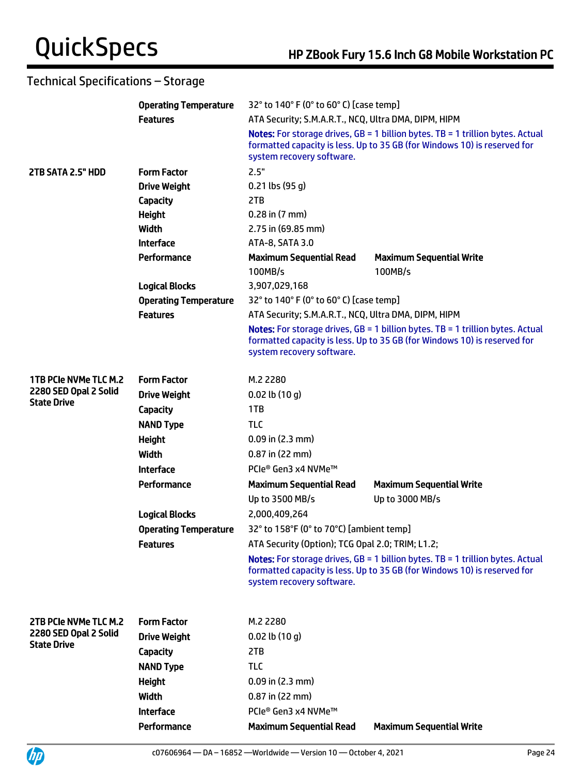|                              | <b>Operating Temperature</b> | 32° to 140° F (0° to 60° C) [case temp]                                                                                                                                                 |                                                                                                                                                                     |  |
|------------------------------|------------------------------|-----------------------------------------------------------------------------------------------------------------------------------------------------------------------------------------|---------------------------------------------------------------------------------------------------------------------------------------------------------------------|--|
|                              | <b>Features</b>              | ATA Security; S.M.A.R.T., NCQ, Ultra DMA, DIPM, HIPM                                                                                                                                    |                                                                                                                                                                     |  |
|                              |                              | Notes: For storage drives, GB = 1 billion bytes. TB = 1 trillion bytes. Actual<br>formatted capacity is less. Up to 35 GB (for Windows 10) is reserved for<br>system recovery software. |                                                                                                                                                                     |  |
| 2TB SATA 2.5" HDD            | <b>Form Factor</b>           | 2.5"                                                                                                                                                                                    |                                                                                                                                                                     |  |
|                              | <b>Drive Weight</b>          | $0.21$ lbs (95 g)                                                                                                                                                                       |                                                                                                                                                                     |  |
|                              | Capacity                     | 2TB                                                                                                                                                                                     |                                                                                                                                                                     |  |
|                              | <b>Height</b>                | $0.28$ in $(7$ mm $)$                                                                                                                                                                   |                                                                                                                                                                     |  |
|                              | Width                        | 2.75 in (69.85 mm)                                                                                                                                                                      |                                                                                                                                                                     |  |
|                              | <b>Interface</b>             | ATA-8, SATA 3.0                                                                                                                                                                         |                                                                                                                                                                     |  |
|                              | Performance                  | <b>Maximum Sequential Read</b><br>100MB/s                                                                                                                                               | <b>Maximum Sequential Write</b><br>100MB/s                                                                                                                          |  |
|                              | <b>Logical Blocks</b>        | 3,907,029,168                                                                                                                                                                           |                                                                                                                                                                     |  |
|                              | <b>Operating Temperature</b> | 32° to 140° F (0° to 60° C) [case temp]                                                                                                                                                 |                                                                                                                                                                     |  |
|                              | <b>Features</b>              | ATA Security; S.M.A.R.T., NCQ, Ultra DMA, DIPM, HIPM                                                                                                                                    |                                                                                                                                                                     |  |
|                              |                              | system recovery software.                                                                                                                                                               | <b>Notes:</b> For storage drives, $GB = 1$ billion bytes. TB = 1 trillion bytes. Actual<br>formatted capacity is less. Up to 35 GB (for Windows 10) is reserved for |  |
| <b>1TB PCIe NVMe TLC M.2</b> | <b>Form Factor</b>           | M.2 2280                                                                                                                                                                                |                                                                                                                                                                     |  |
| 2280 SED Opal 2 Solid        | <b>Drive Weight</b>          | $0.02$ lb $(10 g)$                                                                                                                                                                      |                                                                                                                                                                     |  |
| <b>State Drive</b>           | Capacity                     | 1TB                                                                                                                                                                                     |                                                                                                                                                                     |  |
|                              | <b>NAND Type</b>             | <b>TLC</b>                                                                                                                                                                              |                                                                                                                                                                     |  |
|                              | <b>Height</b>                | $0.09$ in $(2.3$ mm)                                                                                                                                                                    |                                                                                                                                                                     |  |
|                              | <b>Width</b>                 | $0.87$ in (22 mm)                                                                                                                                                                       |                                                                                                                                                                     |  |
|                              | <b>Interface</b>             | PCIe® Gen3 x4 NVMe™                                                                                                                                                                     |                                                                                                                                                                     |  |
|                              | Performance                  | <b>Maximum Sequential Read</b>                                                                                                                                                          | <b>Maximum Sequential Write</b>                                                                                                                                     |  |
|                              |                              | Up to 3500 MB/s                                                                                                                                                                         | Up to 3000 MB/s                                                                                                                                                     |  |
|                              | <b>Logical Blocks</b>        | 2,000,409,264                                                                                                                                                                           |                                                                                                                                                                     |  |
|                              | <b>Operating Temperature</b> | 32° to 158°F (0° to 70°C) [ambient temp]                                                                                                                                                |                                                                                                                                                                     |  |
|                              | <b>Features</b>              | ATA Security (Option); TCG Opal 2.0; TRIM; L1.2;                                                                                                                                        |                                                                                                                                                                     |  |
|                              |                              | system recovery software.                                                                                                                                                               | <b>Notes:</b> For storage drives, $GB = 1$ billion bytes. TB = 1 trillion bytes. Actual<br>formatted capacity is less. Up to 35 GB (for Windows 10) is reserved for |  |
| 2TB PCIe NVMe TLC M.2        | <b>Form Factor</b>           | M.2 2280                                                                                                                                                                                |                                                                                                                                                                     |  |
| 2280 SED Opal 2 Solid        | <b>Drive Weight</b>          | $0.02$ lb $(10q)$                                                                                                                                                                       |                                                                                                                                                                     |  |
| <b>State Drive</b>           | Capacity                     | 2TB                                                                                                                                                                                     |                                                                                                                                                                     |  |
|                              | <b>NAND Type</b>             | <b>TLC</b>                                                                                                                                                                              |                                                                                                                                                                     |  |
|                              | <b>Height</b>                | $0.09$ in $(2.3$ mm)                                                                                                                                                                    |                                                                                                                                                                     |  |
|                              | <b>Width</b>                 | $0.87$ in (22 mm)                                                                                                                                                                       |                                                                                                                                                                     |  |
|                              | <b>Interface</b>             | PCIe® Gen3 x4 NVMe™                                                                                                                                                                     |                                                                                                                                                                     |  |
|                              | Performance                  | <b>Maximum Sequential Read</b>                                                                                                                                                          | <b>Maximum Sequential Write</b>                                                                                                                                     |  |

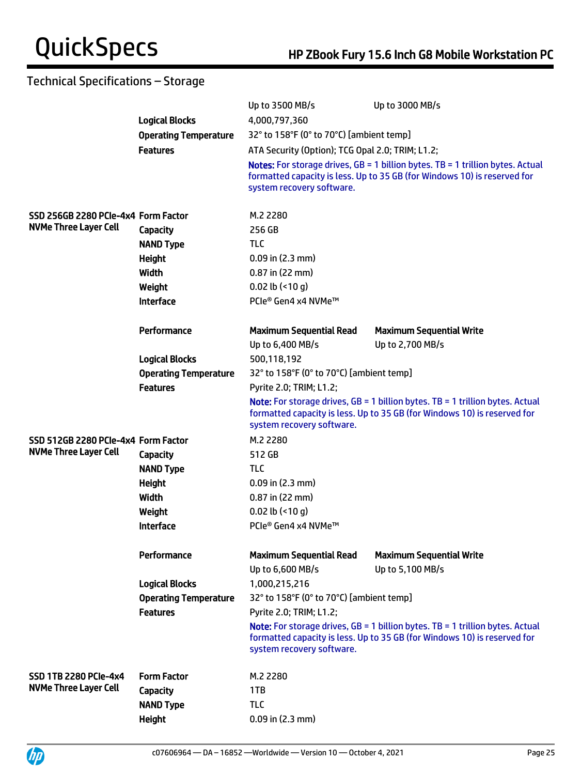|                                     |                              | Up to 3500 MB/s                                    | Up to 3000 MB/s                                                                                                                                                     |  |
|-------------------------------------|------------------------------|----------------------------------------------------|---------------------------------------------------------------------------------------------------------------------------------------------------------------------|--|
|                                     | <b>Logical Blocks</b>        | 4,000,797,360                                      |                                                                                                                                                                     |  |
|                                     | <b>Operating Temperature</b> | 32° to 158°F (0° to 70°C) [ambient temp]           |                                                                                                                                                                     |  |
|                                     | <b>Features</b>              | ATA Security (Option); TCG Opal 2.0; TRIM; L1.2;   |                                                                                                                                                                     |  |
|                                     |                              | system recovery software.                          | <b>Notes:</b> For storage drives, $GB = 1$ billion bytes. TB = 1 trillion bytes. Actual<br>formatted capacity is less. Up to 35 GB (for Windows 10) is reserved for |  |
| SSD 256GB 2280 PCIe-4x4 Form Factor |                              | M.2 2280                                           |                                                                                                                                                                     |  |
| <b>NVMe Three Layer Cell</b>        | <b>Capacity</b>              | 256 GB                                             |                                                                                                                                                                     |  |
|                                     | <b>NAND Type</b>             | <b>TLC</b>                                         |                                                                                                                                                                     |  |
|                                     | <b>Height</b>                | $0.09$ in $(2.3$ mm)                               |                                                                                                                                                                     |  |
|                                     | Width                        | 0.87 in (22 mm)                                    |                                                                                                                                                                     |  |
|                                     | Weight                       | $0.02$ lb (<10 g)                                  |                                                                                                                                                                     |  |
|                                     | <b>Interface</b>             | PCIe® Gen4 x4 NVMe™                                |                                                                                                                                                                     |  |
|                                     | Performance                  | <b>Maximum Sequential Read</b>                     | <b>Maximum Sequential Write</b>                                                                                                                                     |  |
|                                     |                              | Up to 6,400 MB/s                                   | Up to 2,700 MB/s                                                                                                                                                    |  |
|                                     | <b>Logical Blocks</b>        | 500,118,192                                        |                                                                                                                                                                     |  |
|                                     | <b>Operating Temperature</b> | 32° to 158°F (0° to 70°C) [ambient temp]           |                                                                                                                                                                     |  |
|                                     | <b>Features</b>              | Pyrite 2.0; TRIM; L1.2;                            |                                                                                                                                                                     |  |
|                                     |                              | system recovery software.                          | <b>Note:</b> For storage drives, $GB = 1$ billion bytes. TB = 1 trillion bytes. Actual<br>formatted capacity is less. Up to 35 GB (for Windows 10) is reserved for  |  |
| SSD 512GB 2280 PCIe-4x4 Form Factor |                              | M.2 2280                                           |                                                                                                                                                                     |  |
| <b>NVMe Three Layer Cell</b>        | <b>Capacity</b>              | 512 GB                                             |                                                                                                                                                                     |  |
|                                     | <b>NAND Type</b>             | <b>TLC</b>                                         |                                                                                                                                                                     |  |
|                                     | <b>Height</b>                | $0.09$ in $(2.3$ mm)                               |                                                                                                                                                                     |  |
|                                     | <b>Width</b>                 | $0.87$ in (22 mm)                                  |                                                                                                                                                                     |  |
|                                     | Weight                       | 0.02 lb $($ <10 g)                                 |                                                                                                                                                                     |  |
|                                     | <b>Interface</b>             | PCIe® Gen4 x4 NVMe™                                |                                                                                                                                                                     |  |
|                                     | Performance                  | <b>Maximum Sequential Read</b><br>Up to 6,600 MB/s | <b>Maximum Sequential Write</b><br>Up to 5,100 MB/s                                                                                                                 |  |
|                                     | <b>Logical Blocks</b>        | 1,000,215,216                                      |                                                                                                                                                                     |  |
|                                     | <b>Operating Temperature</b> | 32° to 158°F (0° to 70°C) [ambient temp]           |                                                                                                                                                                     |  |
|                                     | <b>Features</b>              | Pyrite 2.0; TRIM; L1.2;                            |                                                                                                                                                                     |  |
|                                     |                              | system recovery software.                          | <b>Note:</b> For storage drives, $GB = 1$ billion bytes. TB = 1 trillion bytes. Actual<br>formatted capacity is less. Up to 35 GB (for Windows 10) is reserved for  |  |
| <b>SSD 1TB 2280 PCIe-4x4</b>        | <b>Form Factor</b>           | M.2 2280                                           |                                                                                                                                                                     |  |
| <b>NVMe Three Layer Cell</b>        | <b>Capacity</b>              | 1TB                                                |                                                                                                                                                                     |  |
|                                     | <b>NAND Type</b>             | <b>TLC</b>                                         |                                                                                                                                                                     |  |
|                                     | <b>Height</b>                | $0.09$ in $(2.3$ mm)                               |                                                                                                                                                                     |  |
|                                     |                              |                                                    |                                                                                                                                                                     |  |

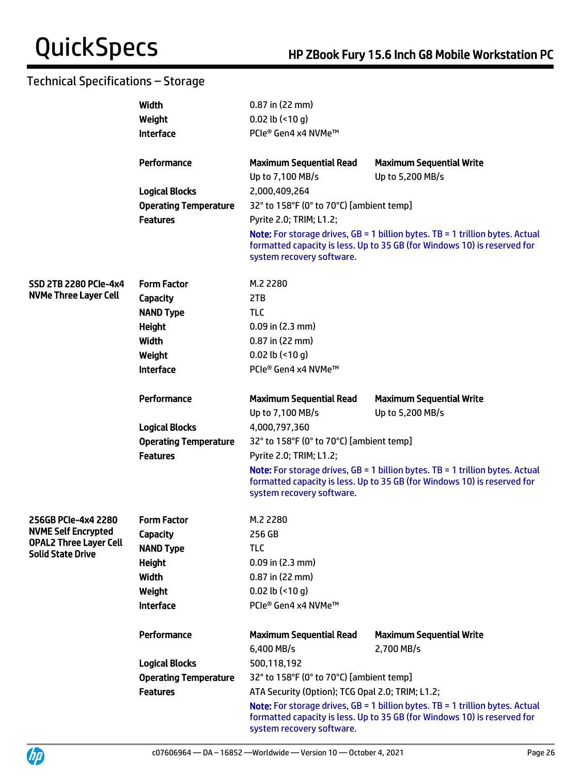UP

|                               | Width                        | $0.87$ in (22 mm)                                |                                                                                                                                                                      |
|-------------------------------|------------------------------|--------------------------------------------------|----------------------------------------------------------------------------------------------------------------------------------------------------------------------|
|                               | Weight                       | 0.02 lb $($ <10 g)                               |                                                                                                                                                                      |
|                               | <b>Interface</b>             | PCIe® Gen4 x4 NVMe™                              |                                                                                                                                                                      |
|                               |                              |                                                  |                                                                                                                                                                      |
|                               | Performance                  | <b>Maximum Sequential Read</b>                   | <b>Maximum Sequential Write</b>                                                                                                                                      |
|                               |                              | Up to 7,100 MB/s                                 | Up to 5,200 MB/s                                                                                                                                                     |
|                               | <b>Logical Blocks</b>        | 2,000,409,264                                    |                                                                                                                                                                      |
|                               | <b>Operating Temperature</b> | 32° to 158°F (0° to 70°C) [ambient temp]         |                                                                                                                                                                      |
|                               | <b>Features</b>              | Pyrite 2.0; TRIM; L1.2;                          |                                                                                                                                                                      |
|                               |                              | system recovery software.                        | <b>Note:</b> For storage drives, $GB = 1$ billion bytes. TB = 1 trillion bytes. Actual<br>formatted capacity is less. Up to 35 GB (for Windows 10) is reserved for   |
| <b>SSD 2TB 2280 PCIe-4x4</b>  | <b>Form Factor</b>           | M.2 2280                                         |                                                                                                                                                                      |
| <b>NVMe Three Layer Cell</b>  | Capacity                     | 2TB                                              |                                                                                                                                                                      |
|                               | <b>NAND Type</b>             | <b>TLC</b>                                       |                                                                                                                                                                      |
|                               | Height                       | $0.09$ in (2.3 mm)                               |                                                                                                                                                                      |
|                               | Width                        | $0.87$ in (22 mm)                                |                                                                                                                                                                      |
|                               | Weight                       | 0.02 lb $($ <10 g)                               |                                                                                                                                                                      |
|                               | <b>Interface</b>             | PCIe® Gen4 x4 NVMe™                              |                                                                                                                                                                      |
|                               |                              |                                                  |                                                                                                                                                                      |
|                               | Performance                  | <b>Maximum Sequential Read</b>                   | <b>Maximum Sequential Write</b>                                                                                                                                      |
|                               |                              | Up to 7,100 MB/s                                 | Up to 5,200 MB/s                                                                                                                                                     |
|                               | <b>Logical Blocks</b>        | 4,000,797,360                                    |                                                                                                                                                                      |
|                               | <b>Operating Temperature</b> | 32° to 158°F (0° to 70°C) [ambient temp]         |                                                                                                                                                                      |
|                               | <b>Features</b>              | Pyrite 2.0; TRIM; L1.2;                          |                                                                                                                                                                      |
|                               |                              | system recovery software.                        | <b>Note:</b> For storage drives, $GB = 1$ billion bytes. $TB = 1$ trillion bytes. Actual<br>formatted capacity is less. Up to 35 GB (for Windows 10) is reserved for |
| 256GB PCIe-4x4 2280           | <b>Form Factor</b>           | M.2 2280                                         |                                                                                                                                                                      |
| <b>NVME Self Encrypted</b>    | <b>Capacity</b>              | 256 GB                                           |                                                                                                                                                                      |
| <b>OPAL2 Three Layer Cell</b> | <b>NAND Type</b>             | TLC                                              |                                                                                                                                                                      |
| <b>Solid State Drive</b>      | <b>Height</b>                | $0.09$ in (2.3 mm)                               |                                                                                                                                                                      |
|                               | Width                        | $0.87$ in (22 mm)                                |                                                                                                                                                                      |
|                               | Weight                       | 0.02 lb $($ <10 g)                               |                                                                                                                                                                      |
|                               | <b>Interface</b>             | PCle® Gen4 x4 NVMe™                              |                                                                                                                                                                      |
|                               |                              |                                                  |                                                                                                                                                                      |
|                               | Performance                  | <b>Maximum Sequential Read</b>                   | <b>Maximum Sequential Write</b>                                                                                                                                      |
|                               |                              | 6,400 MB/s                                       | 2,700 MB/s                                                                                                                                                           |
|                               | <b>Logical Blocks</b>        | 500,118,192                                      |                                                                                                                                                                      |
|                               | <b>Operating Temperature</b> | 32° to 158°F (0° to 70°C) [ambient temp]         |                                                                                                                                                                      |
|                               | <b>Features</b>              | ATA Security (Option); TCG Opal 2.0; TRIM; L1.2; |                                                                                                                                                                      |
|                               |                              | system recovery software.                        | Note: For storage drives, GB = 1 billion bytes. TB = 1 trillion bytes. Actual<br>formatted capacity is less. Up to 35 GB (for Windows 10) is reserved for            |

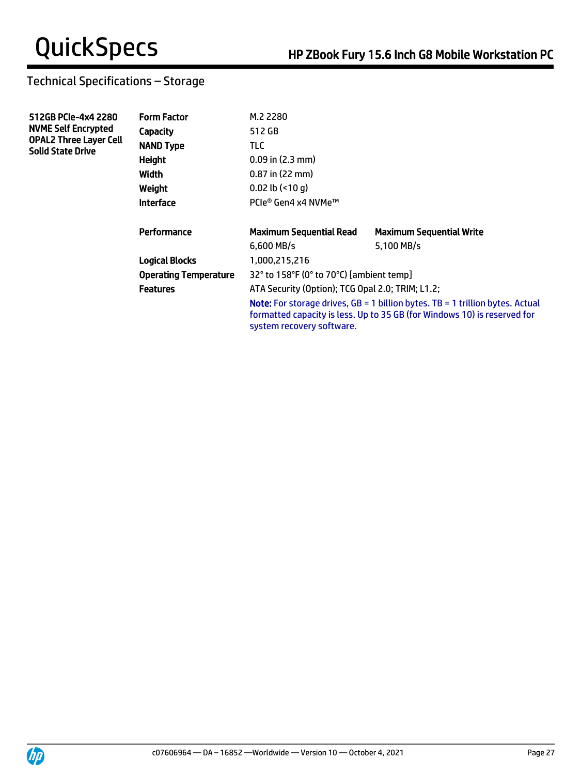| 512GB PCIe-4x4 2280<br><b>NVME Self Encrypted</b>         | <b>Form Factor</b>           | M.2 2280                                                                                                                                                                                        |                                 |  |
|-----------------------------------------------------------|------------------------------|-------------------------------------------------------------------------------------------------------------------------------------------------------------------------------------------------|---------------------------------|--|
|                                                           | Capacity                     | 512 GB                                                                                                                                                                                          |                                 |  |
| <b>OPAL2 Three Layer Cell</b><br><b>Solid State Drive</b> | <b>NAND Type</b>             | TLC.                                                                                                                                                                                            |                                 |  |
|                                                           | Height                       | $0.09$ in $(2.3$ mm)                                                                                                                                                                            |                                 |  |
|                                                           | Width                        | $0.87$ in (22 mm)                                                                                                                                                                               |                                 |  |
|                                                           | Weight                       | $0.02$ lb $($ <10 q)                                                                                                                                                                            |                                 |  |
|                                                           | <b>Interface</b>             | PCle® Gen4 x4 NVMe™                                                                                                                                                                             |                                 |  |
|                                                           | Performance                  | <b>Maximum Sequential Read</b>                                                                                                                                                                  | <b>Maximum Sequential Write</b> |  |
|                                                           |                              | $6.600$ MB/s                                                                                                                                                                                    | 5.100 MB/s                      |  |
|                                                           | <b>Logical Blocks</b>        | 1,000,215,216                                                                                                                                                                                   |                                 |  |
|                                                           | <b>Operating Temperature</b> | 32° to 158°F (0° to 70°C) [ambient temp]                                                                                                                                                        |                                 |  |
|                                                           | <b>Features</b>              | ATA Security (Option); TCG Opal 2.0; TRIM; L1.2;                                                                                                                                                |                                 |  |
|                                                           |                              | <b>Note:</b> For storage drives, $GB = 1$ billion bytes. TB = 1 trillion bytes. Actual<br>formatted capacity is less. Up to 35 GB (for Windows 10) is reserved for<br>system recovery software. |                                 |  |

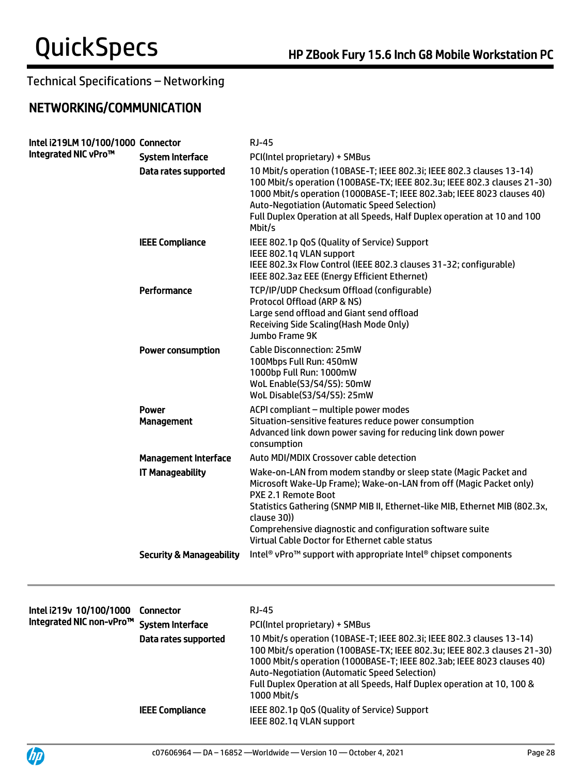## NETWORKING/COMMUNICATION

| Intel i219LM 10/100/1000 Connector<br>Integrated NIC vPro™ |                                     | <b>RJ-45</b>                                                                                                                                                                                                                                                                                                                                                                 |
|------------------------------------------------------------|-------------------------------------|------------------------------------------------------------------------------------------------------------------------------------------------------------------------------------------------------------------------------------------------------------------------------------------------------------------------------------------------------------------------------|
|                                                            | <b>System Interface</b>             | PCI(Intel proprietary) + SMBus                                                                                                                                                                                                                                                                                                                                               |
|                                                            | Data rates supported                | 10 Mbit/s operation (10BASE-T; IEEE 802.3i; IEEE 802.3 clauses 13-14)<br>100 Mbit/s operation (100BASE-TX; IEEE 802.3u; IEEE 802.3 clauses 21-30)<br>1000 Mbit/s operation (1000BASE-T; IEEE 802.3ab; IEEE 8023 clauses 40)<br><b>Auto-Negotiation (Automatic Speed Selection)</b><br>Full Duplex Operation at all Speeds, Half Duplex operation at 10 and 100<br>Mbit/s     |
|                                                            | <b>IEEE Compliance</b>              | IEEE 802.1p QoS (Quality of Service) Support<br>IEEE 802.1q VLAN support<br>IEEE 802.3x Flow Control (IEEE 802.3 clauses 31-32; configurable)<br>IEEE 802.3az EEE (Energy Efficient Ethernet)                                                                                                                                                                                |
|                                                            | Performance                         | TCP/IP/UDP Checksum Offload (configurable)<br>Protocol Offload (ARP & NS)<br>Large send offload and Giant send offload<br>Receiving Side Scaling (Hash Mode Only)<br>Jumbo Frame 9K                                                                                                                                                                                          |
|                                                            | <b>Power consumption</b>            | Cable Disconnection: 25mW<br>100Mbps Full Run: 450mW<br>1000bp Full Run: 1000mW<br>WoL Enable(S3/S4/S5): 50mW<br>WoL Disable(S3/S4/S5): 25mW                                                                                                                                                                                                                                 |
|                                                            | <b>Power</b><br><b>Management</b>   | ACPI compliant - multiple power modes<br>Situation-sensitive features reduce power consumption<br>Advanced link down power saving for reducing link down power<br>consumption                                                                                                                                                                                                |
|                                                            | <b>Management Interface</b>         | Auto MDI/MDIX Crossover cable detection                                                                                                                                                                                                                                                                                                                                      |
|                                                            | <b>IT Manageability</b>             | Wake-on-LAN from modem standby or sleep state (Magic Packet and<br>Microsoft Wake-Up Frame); Wake-on-LAN from off (Magic Packet only)<br>PXE 2.1 Remote Boot<br>Statistics Gathering (SNMP MIB II, Ethernet-like MIB, Ethernet MIB (802.3x,<br>clause 30))<br>Comprehensive diagnostic and configuration software suite<br>Virtual Cable Doctor for Ethernet cable status    |
|                                                            | <b>Security &amp; Manageability</b> | Intel <sup>®</sup> vPro <sup>™</sup> support with appropriate Intel® chipset components                                                                                                                                                                                                                                                                                      |
|                                                            | <b>Connector</b>                    | <b>RJ-45</b>                                                                                                                                                                                                                                                                                                                                                                 |
| Intel i219v 10/100/1000<br>Integrated NIC non-vPro™        | <b>System Interface</b>             | PCI(Intel proprietary) + SMBus                                                                                                                                                                                                                                                                                                                                               |
|                                                            | Data rates supported                | 10 Mbit/s operation (10BASE-T; IEEE 802.3i; IEEE 802.3 clauses 13-14)<br>100 Mbit/s operation (100BASE-TX; IEEE 802.3u; IEEE 802.3 clauses 21-30)<br>1000 Mbit/s operation (1000BASE-T; IEEE 802.3ab; IEEE 8023 clauses 40)<br><b>Auto-Negotiation (Automatic Speed Selection)</b><br>Full Duplex Operation at all Speeds, Half Duplex operation at 10, 100 &<br>1000 Mbit/s |
|                                                            | <b>IEEE Compliance</b>              | IEEE 802.1p QoS (Quality of Service) Support<br>IEEE 802.1q VLAN support                                                                                                                                                                                                                                                                                                     |

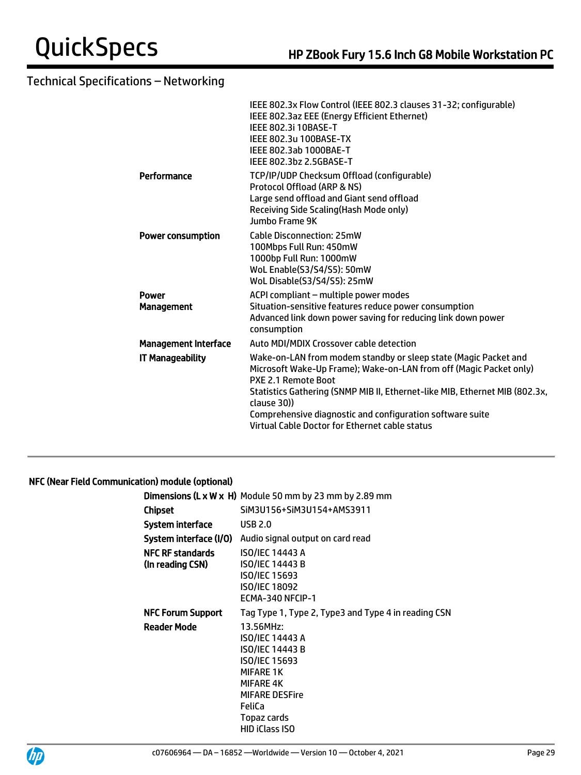|                             | IEEE 802.3x Flow Control (IEEE 802.3 clauses 31-32; configurable)<br>IEEE 802.3az EEE (Energy Efficient Ethernet)<br><b>IEEE 802.3i 10BASE-T</b><br>IEEE 802.3u 100BASE-TX<br>IEEE 802.3ab 1000BAE-T<br>IEEE 802.3bz 2.5GBASE-T                                                                                                                                           |
|-----------------------------|---------------------------------------------------------------------------------------------------------------------------------------------------------------------------------------------------------------------------------------------------------------------------------------------------------------------------------------------------------------------------|
| Performance                 | TCP/IP/UDP Checksum Offload (configurable)<br>Protocol Offload (ARP & NS)<br>Large send offload and Giant send offload<br>Receiving Side Scaling (Hash Mode only)<br>Jumbo Frame 9K                                                                                                                                                                                       |
| <b>Power consumption</b>    | <b>Cable Disconnection: 25mW</b><br>100Mbps Full Run: 450mW<br>1000bp Full Run: 1000mW<br>WoL Enable(S3/S4/S5): 50mW<br>WoL Disable(S3/S4/S5): 25mW                                                                                                                                                                                                                       |
| Power<br><b>Management</b>  | ACPI compliant - multiple power modes<br>Situation-sensitive features reduce power consumption<br>Advanced link down power saving for reducing link down power<br>consumption                                                                                                                                                                                             |
| <b>Management Interface</b> | Auto MDI/MDIX Crossover cable detection                                                                                                                                                                                                                                                                                                                                   |
| <b>IT Manageability</b>     | Wake-on-LAN from modem standby or sleep state (Magic Packet and<br>Microsoft Wake-Up Frame); Wake-on-LAN from off (Magic Packet only)<br>PXE 2.1 Remote Boot<br>Statistics Gathering (SNMP MIB II, Ethernet-like MIB, Ethernet MIB (802.3x,<br>clause 30))<br>Comprehensive diagnostic and configuration software suite<br>Virtual Cable Doctor for Ethernet cable status |
|                             |                                                                                                                                                                                                                                                                                                                                                                           |

## NFC (Near Field Communication) module (optional)

|                                             | <b>Dimensions (L x W x H)</b> Module 50 mm by 23 mm by 2.89 mm                                                                                                                      |
|---------------------------------------------|-------------------------------------------------------------------------------------------------------------------------------------------------------------------------------------|
| Chipset                                     | SiM3U156+SiM3U154+AMS3911                                                                                                                                                           |
| System interface                            | <b>USB 2.0</b>                                                                                                                                                                      |
|                                             | <b>System interface (I/O)</b> Audio signal output on card read                                                                                                                      |
| <b>NFC RF standards</b><br>(In reading CSN) | <b>ISO/IEC 14443 A</b><br><b>ISO/IEC 14443 B</b><br><b>ISO/IEC 15693</b><br>ISO/IEC 18092<br>ECMA-340 NFCIP-1                                                                       |
| <b>NFC Forum Support</b>                    | Tag Type 1, Type 2, Type3 and Type 4 in reading CSN                                                                                                                                 |
| <b>Reader Mode</b>                          | 13.56MHz:<br>ISO/IEC 14443 A<br>ISO/IEC 14443 B<br><b>ISO/IEC 15693</b><br><b>MIFARE 1K</b><br><b>MIFARE 4K</b><br><b>MIFARE DESFire</b><br>FeliCa<br>Topaz cards<br>HID iClass ISO |



j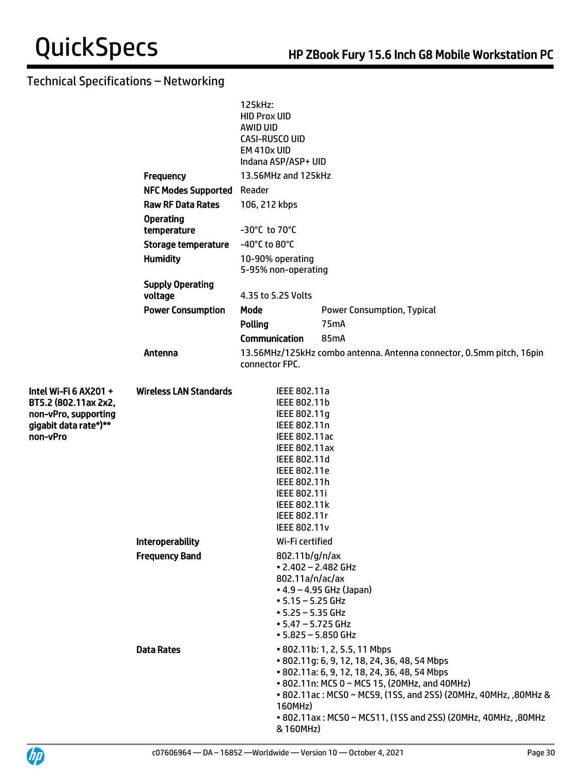|                                                                                                            |                                    | 125kHz:<br><b>HID Prox UID</b><br>AWID UID<br>CASI-RUSCO UID<br><b>EM 410x UID</b><br>Indana ASP/ASP+ UID                                                                                                                           |                                                                                                                                                                                                                                                                                                                    |  |  |  |
|------------------------------------------------------------------------------------------------------------|------------------------------------|-------------------------------------------------------------------------------------------------------------------------------------------------------------------------------------------------------------------------------------|--------------------------------------------------------------------------------------------------------------------------------------------------------------------------------------------------------------------------------------------------------------------------------------------------------------------|--|--|--|
|                                                                                                            | <b>Frequency</b>                   | 13.56MHz and 125kHz                                                                                                                                                                                                                 |                                                                                                                                                                                                                                                                                                                    |  |  |  |
|                                                                                                            | <b>NFC Modes Supported Reader</b>  |                                                                                                                                                                                                                                     |                                                                                                                                                                                                                                                                                                                    |  |  |  |
|                                                                                                            | <b>Raw RF Data Rates</b>           | 106, 212 kbps                                                                                                                                                                                                                       |                                                                                                                                                                                                                                                                                                                    |  |  |  |
|                                                                                                            | <b>Operating</b><br>temperature    | -30°C to 70°C                                                                                                                                                                                                                       |                                                                                                                                                                                                                                                                                                                    |  |  |  |
|                                                                                                            | <b>Storage temperature</b>         | -40°C to 80°C                                                                                                                                                                                                                       |                                                                                                                                                                                                                                                                                                                    |  |  |  |
|                                                                                                            | <b>Humidity</b>                    | 10-90% operating<br>5-95% non-operating                                                                                                                                                                                             |                                                                                                                                                                                                                                                                                                                    |  |  |  |
|                                                                                                            | <b>Supply Operating</b><br>voltage | 4.35 to 5.25 Volts                                                                                                                                                                                                                  |                                                                                                                                                                                                                                                                                                                    |  |  |  |
|                                                                                                            | <b>Power Consumption</b>           | Mode                                                                                                                                                                                                                                | <b>Power Consumption, Typical</b>                                                                                                                                                                                                                                                                                  |  |  |  |
|                                                                                                            |                                    | <b>Polling</b>                                                                                                                                                                                                                      | 75 <sub>m</sub> A                                                                                                                                                                                                                                                                                                  |  |  |  |
|                                                                                                            |                                    | <b>Communication</b>                                                                                                                                                                                                                | 85mA                                                                                                                                                                                                                                                                                                               |  |  |  |
|                                                                                                            | Antenna                            | connector FPC.                                                                                                                                                                                                                      | 13.56MHz/125kHz combo antenna. Antenna connector, 0.5mm pitch, 16pin                                                                                                                                                                                                                                               |  |  |  |
| Intel Wi-Fi 6 AX201 +<br>BT5.2 (802.11ax 2x2,<br>non-vPro, supporting<br>gigabit data rate*)**<br>non-vPro | <b>Wireless LAN Standards</b>      | IEEE 802.11a<br>IEEE 802.11b<br>IEEE 802.11g<br>IEEE 802.11n<br>IEEE 802.11ac<br>IEEE 802.11ax<br>IEEE 802.11d<br>IEEE 802.11e<br>IEEE 802.11h<br><b>IEEE 802.11i</b><br><b>IEEE 802.11k</b><br>IEEE 802.11r<br><b>IEEE 802.11v</b> |                                                                                                                                                                                                                                                                                                                    |  |  |  |
|                                                                                                            | <b>Interoperability</b>            | Wi-Fi certified                                                                                                                                                                                                                     |                                                                                                                                                                                                                                                                                                                    |  |  |  |
|                                                                                                            | <b>Frequency Band</b>              | 802.11b/g/n/ax<br>802.11a/n/ac/ax<br>$• 5.15 - 5.25$ GHz<br>$• 5.25 - 5.35$ GHz<br>$• 5.47 - 5.725$ GHz                                                                                                                             | $\cdot$ 2.402 - 2.482 GHz<br>$\bullet$ 4.9 – 4.95 GHz (Japan)<br>$• 5.825 - 5.850$ GHz                                                                                                                                                                                                                             |  |  |  |
|                                                                                                            | <b>Data Rates</b>                  | 160MHz)<br>& 160MHz)                                                                                                                                                                                                                | • 802.11b: 1, 2, 5.5, 11 Mbps<br>• 802.11g: 6, 9, 12, 18, 24, 36, 48, 54 Mbps<br>• 802.11a: 6, 9, 12, 18, 24, 36, 48, 54 Mbps<br>• 802.11n: MCS 0 ~ MCS 15, (20MHz, and 40MHz)<br>• 802.11ac: MCS0 ~ MCS9, (1SS, and 2SS) (20MHz, 40MHz, ,80MHz &<br>• 802.11ax: MCS0 ~ MCS11, (1SS and 2SS) (20MHz, 40MHz, ,80MHz |  |  |  |

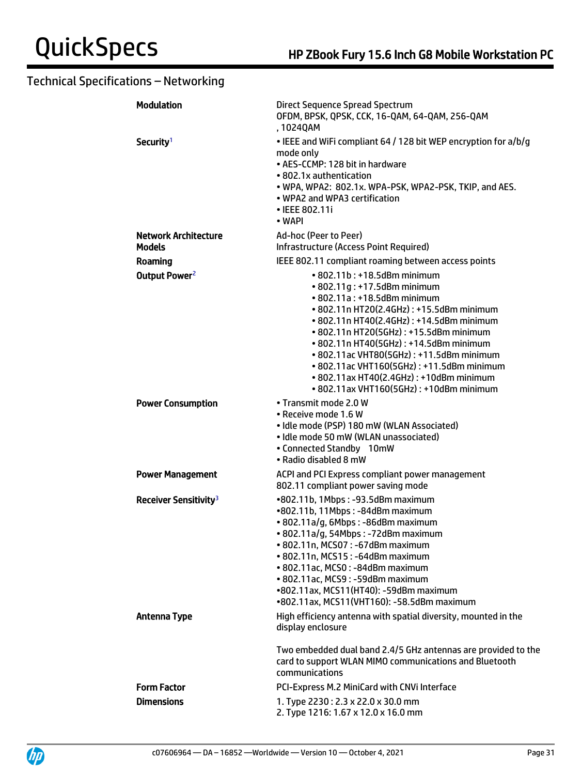| <b>Modulation</b>                     | Direct Sequence Spread Spectrum<br>OFDM, BPSK, QPSK, CCK, 16-QAM, 64-QAM, 256-QAM<br>, 1024QAM                                                                                                                                                                                                                                                                                                                                                       |
|---------------------------------------|------------------------------------------------------------------------------------------------------------------------------------------------------------------------------------------------------------------------------------------------------------------------------------------------------------------------------------------------------------------------------------------------------------------------------------------------------|
| Security <sup>1</sup>                 | • IEEE and WiFi compliant 64 / 128 bit WEP encryption for a/b/g<br>mode only<br>• AES-CCMP: 128 bit in hardware<br>• 802.1x authentication<br>• WPA, WPA2: 802.1x. WPA-PSK, WPA2-PSK, TKIP, and AES.<br>• WPA2 and WPA3 certification<br>• IEEE 802.11i<br>• WAPI                                                                                                                                                                                    |
| <b>Network Architecture</b><br>Models | Ad-hoc (Peer to Peer)<br>Infrastructure (Access Point Required)                                                                                                                                                                                                                                                                                                                                                                                      |
| Roaming                               | IEEE 802.11 compliant roaming between access points                                                                                                                                                                                                                                                                                                                                                                                                  |
| Output Power <sup>2</sup>             | • 802.11b: +18.5dBm minimum<br>• 802.11g: +17.5dBm minimum<br>• 802.11a: +18.5dBm minimum<br>• 802.11n HT20(2.4GHz): +15.5dBm minimum<br>• 802.11n HT40(2.4GHz): +14.5dBm minimum<br>• 802.11n HT20(5GHz): +15.5dBm minimum<br>• 802.11n HT40(5GHz): +14.5dBm minimum<br>• 802.11ac VHT80(5GHz): +11.5dBm minimum<br>• 802.11ac VHT160(5GHz): +11.5dBm minimum<br>• 802.11ax HT40(2.4GHz): +10dBm minimum<br>• 802.11ax VHT160(5GHz): +10dBm minimum |
| <b>Power Consumption</b>              | • Transmit mode 2.0 W<br>• Receive mode 1.6 W<br>· Idle mode (PSP) 180 mW (WLAN Associated)<br>· Idle mode 50 mW (WLAN unassociated)<br>• Connected Standby 10mW<br>• Radio disabled 8 mW                                                                                                                                                                                                                                                            |
| <b>Power Management</b>               | ACPI and PCI Express compliant power management<br>802.11 compliant power saving mode                                                                                                                                                                                                                                                                                                                                                                |
| Receiver Sensitivity <sup>3</sup>     | •802.11b, 1Mbps: -93.5dBm maximum<br>•802.11b, 11Mbps: -84dBm maximum<br>• 802.11a/g, 6Mbps: -86dBm maximum<br>• 802.11a/g, 54Mbps: -72dBm maximum<br>• 802.11n, MCS07: -67dBm maximum<br>• 802.11n, MCS15: -64dBm maximum<br>• 802.11ac, MCS0: -84dBm maximum<br>• 802.11ac, MCS9: -59dBm maximum<br>•802.11ax, MCS11(HT40): -59dBm maximum<br>•802.11ax, MCS11(VHT160): -58.5dBm maximum                                                           |
| <b>Antenna Type</b>                   | High efficiency antenna with spatial diversity, mounted in the<br>display enclosure                                                                                                                                                                                                                                                                                                                                                                  |
|                                       | Two embedded dual band 2.4/5 GHz antennas are provided to the<br>card to support WLAN MIMO communications and Bluetooth<br>communications                                                                                                                                                                                                                                                                                                            |
| <b>Form Factor</b>                    | PCI-Express M.2 MiniCard with CNVi Interface                                                                                                                                                                                                                                                                                                                                                                                                         |
| <b>Dimensions</b>                     | 1. Type 2230: 2.3 x 22.0 x 30.0 mm<br>2. Type 1216: 1.67 x 12.0 x 16.0 mm                                                                                                                                                                                                                                                                                                                                                                            |

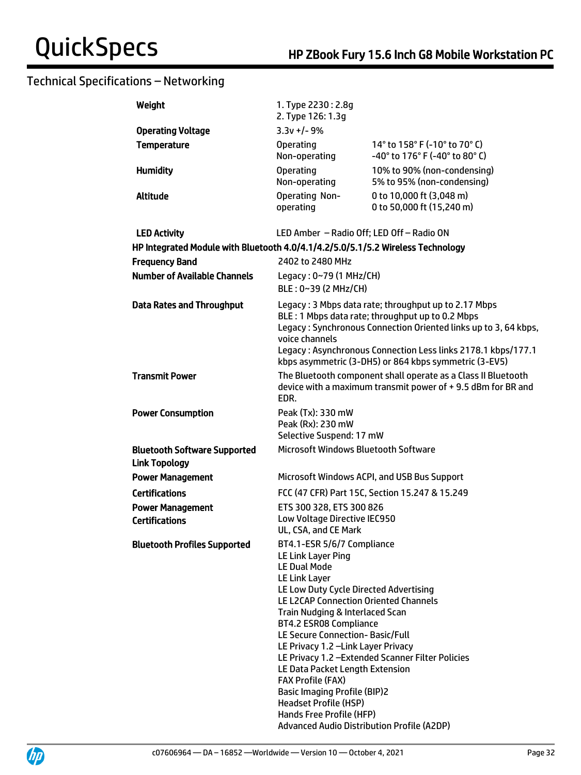| Weight                                                                          | 1. Type 2230: 2.8g<br>2. Type 126: 1.3g                                                                                                                                                                                                                                                                                                                                                                                                                                                                                                          |                                                                                                                                                                                                                                                                                                      |
|---------------------------------------------------------------------------------|--------------------------------------------------------------------------------------------------------------------------------------------------------------------------------------------------------------------------------------------------------------------------------------------------------------------------------------------------------------------------------------------------------------------------------------------------------------------------------------------------------------------------------------------------|------------------------------------------------------------------------------------------------------------------------------------------------------------------------------------------------------------------------------------------------------------------------------------------------------|
| <b>Operating Voltage</b>                                                        | $3.3v + 1 - 9%$                                                                                                                                                                                                                                                                                                                                                                                                                                                                                                                                  |                                                                                                                                                                                                                                                                                                      |
| <b>Temperature</b>                                                              | <b>Operating</b><br>Non-operating                                                                                                                                                                                                                                                                                                                                                                                                                                                                                                                | 14° to 158° F (-10° to 70° C)<br>-40° to 176° F (-40° to 80° C)                                                                                                                                                                                                                                      |
| <b>Humidity</b>                                                                 | <b>Operating</b><br>Non-operating                                                                                                                                                                                                                                                                                                                                                                                                                                                                                                                | 10% to 90% (non-condensing)<br>5% to 95% (non-condensing)                                                                                                                                                                                                                                            |
| <b>Altitude</b>                                                                 | Operating Non-<br>operating                                                                                                                                                                                                                                                                                                                                                                                                                                                                                                                      | 0 to 10,000 ft (3,048 m)<br>0 to 50,000 ft (15,240 m)                                                                                                                                                                                                                                                |
| <b>LED Activity</b>                                                             | LED Amber - Radio Off; LED Off - Radio ON                                                                                                                                                                                                                                                                                                                                                                                                                                                                                                        |                                                                                                                                                                                                                                                                                                      |
| HP Integrated Module with Bluetooth 4.0/4.1/4.2/5.0/5.1/5.2 Wireless Technology |                                                                                                                                                                                                                                                                                                                                                                                                                                                                                                                                                  |                                                                                                                                                                                                                                                                                                      |
| <b>Frequency Band</b>                                                           | 2402 to 2480 MHz                                                                                                                                                                                                                                                                                                                                                                                                                                                                                                                                 |                                                                                                                                                                                                                                                                                                      |
| <b>Number of Available Channels</b>                                             | Legacy: 0~79 (1 MHz/CH)                                                                                                                                                                                                                                                                                                                                                                                                                                                                                                                          |                                                                                                                                                                                                                                                                                                      |
|                                                                                 | BLE: 0~39 (2 MHz/CH)                                                                                                                                                                                                                                                                                                                                                                                                                                                                                                                             |                                                                                                                                                                                                                                                                                                      |
| <b>Data Rates and Throughput</b>                                                | voice channels                                                                                                                                                                                                                                                                                                                                                                                                                                                                                                                                   | Legacy: 3 Mbps data rate; throughput up to 2.17 Mbps<br>BLE: 1 Mbps data rate; throughput up to 0.2 Mbps<br>Legacy: Synchronous Connection Oriented links up to 3, 64 kbps,<br>Legacy: Asynchronous Connection Less links 2178.1 kbps/177.1<br>kbps asymmetric (3-DH5) or 864 kbps symmetric (3-EV5) |
| <b>Transmit Power</b>                                                           | EDR.                                                                                                                                                                                                                                                                                                                                                                                                                                                                                                                                             | The Bluetooth component shall operate as a Class II Bluetooth<br>device with a maximum transmit power of +9.5 dBm for BR and                                                                                                                                                                         |
| <b>Power Consumption</b>                                                        | Peak (Tx): 330 mW<br>Peak (Rx): 230 mW<br>Selective Suspend: 17 mW                                                                                                                                                                                                                                                                                                                                                                                                                                                                               |                                                                                                                                                                                                                                                                                                      |
| <b>Bluetooth Software Supported</b><br><b>Link Topology</b>                     | Microsoft Windows Bluetooth Software                                                                                                                                                                                                                                                                                                                                                                                                                                                                                                             |                                                                                                                                                                                                                                                                                                      |
| <b>Power Management</b>                                                         |                                                                                                                                                                                                                                                                                                                                                                                                                                                                                                                                                  | Microsoft Windows ACPI, and USB Bus Support                                                                                                                                                                                                                                                          |
| <b>Certifications</b>                                                           |                                                                                                                                                                                                                                                                                                                                                                                                                                                                                                                                                  | FCC (47 CFR) Part 15C, Section 15.247 & 15.249                                                                                                                                                                                                                                                       |
| <b>Power Management</b><br><b>Certifications</b>                                | ETS 300 328, ETS 300 826<br>Low Voltage Directive IEC950<br>UL, CSA, and CE Mark                                                                                                                                                                                                                                                                                                                                                                                                                                                                 |                                                                                                                                                                                                                                                                                                      |
| <b>Bluetooth Profiles Supported</b>                                             | BT4.1-ESR 5/6/7 Compliance<br>LE Link Layer Ping<br><b>LE Dual Mode</b><br><b>LE Link Layer</b><br>LE Low Duty Cycle Directed Advertising<br>LE L2CAP Connection Oriented Channels<br>Train Nudging & Interlaced Scan<br>BT4.2 ESR08 Compliance<br>LE Secure Connection-Basic/Full<br>LE Privacy 1.2 - Link Layer Privacy<br>LE Data Packet Length Extension<br><b>FAX Profile (FAX)</b><br><b>Basic Imaging Profile (BIP)2</b><br><b>Headset Profile (HSP)</b><br>Hands Free Profile (HFP)<br><b>Advanced Audio Distribution Profile (A2DP)</b> | LE Privacy 1.2 - Extended Scanner Filter Policies                                                                                                                                                                                                                                                    |

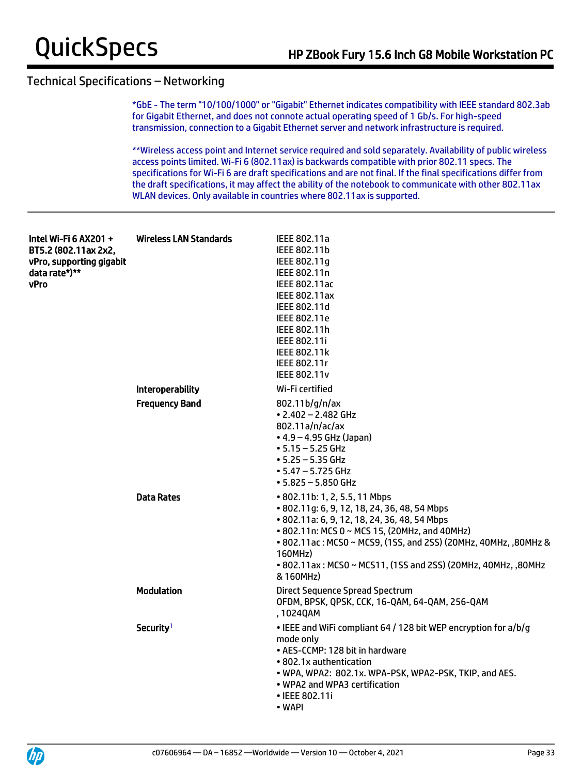\*GbE - The term "10/100/1000" or "Gigabit" Ethernet indicates compatibility with IEEE standard 802.3ab for Gigabit Ethernet, and does not connote actual operating speed of 1 Gb/s. For high-speed transmission, connection to a Gigabit Ethernet server and network infrastructure is required.

\*\*Wireless access point and Internet service required and sold separately. Availability of public wireless access points limited. Wi-Fi 6 (802.11ax) is backwards compatible with prior 802.11 specs. The specifications for Wi-Fi 6 are draft specifications and are not final. If the final specifications differ from the draft specifications, it may affect the ability of the notebook to communicate with other 802.11ax WLAN devices. Only available in countries where 802.11ax is supported.

| Intel Wi-Fi 6 AX201 +<br>BT5.2 (802.11ax 2x2,<br>vPro, supporting gigabit<br>data rate*)**<br><b>vPro</b> | Wireless LAN Standards  | IEEE 802.11a<br>IEEE 802.11b<br>IEEE 802.11g<br>IEEE 802.11n<br><b>IEEE 802.11ac</b><br><b>IEEE 802.11ax</b><br>IEEE 802.11d<br><b>IEEE 802.11e</b><br>IEEE 802.11h<br><b>IEEE 802.11i</b><br><b>IEEE 802.11k</b><br>IEEE 802.11r<br><b>IEEE 802.11v</b>                                                                                   |
|-----------------------------------------------------------------------------------------------------------|-------------------------|--------------------------------------------------------------------------------------------------------------------------------------------------------------------------------------------------------------------------------------------------------------------------------------------------------------------------------------------|
|                                                                                                           | <b>Interoperability</b> | Wi-Fi certified                                                                                                                                                                                                                                                                                                                            |
|                                                                                                           | <b>Frequency Band</b>   | 802.11b/g/n/ax<br>$\cdot$ 2.402 - 2.482 GHz<br>802.11a/n/ac/ax<br>$\bullet$ 4.9 – 4.95 GHz (Japan)<br>$• 5.15 - 5.25$ GHz<br>$• 5.25 - 5.35$ GHz<br>$• 5.47 - 5.725$ GHz<br>$• 5.825 - 5.850$ GHz                                                                                                                                          |
|                                                                                                           | <b>Data Rates</b>       | • 802.11b: 1, 2, 5.5, 11 Mbps<br>• 802.11g: 6, 9, 12, 18, 24, 36, 48, 54 Mbps<br>• 802.11a: 6, 9, 12, 18, 24, 36, 48, 54 Mbps<br>• 802.11n: MCS 0 ~ MCS 15, (20MHz, and 40MHz)<br>• 802.11ac: MCS0 ~ MCS9, (1SS, and 2SS) (20MHz, 40MHz, ,80MHz &<br>160MHz)<br>• 802.11ax: MCS0 ~ MCS11, (1SS and 2SS) (20MHz, 40MHz, ,80MHz<br>& 160MHz) |
|                                                                                                           | <b>Modulation</b>       | <b>Direct Sequence Spread Spectrum</b><br>OFDM, BPSK, QPSK, CCK, 16-QAM, 64-QAM, 256-QAM<br>,1024QAM                                                                                                                                                                                                                                       |
|                                                                                                           | Security <sup>1</sup>   | • IEEE and WiFi compliant 64 / 128 bit WEP encryption for a/b/g<br>mode only<br>• AES-CCMP: 128 bit in hardware<br>• 802.1x authentication<br>. WPA, WPA2: 802.1x. WPA-PSK, WPA2-PSK, TKIP, and AES.<br>• WPA2 and WPA3 certification<br>• IEEE 802.11i<br>• WAPI                                                                          |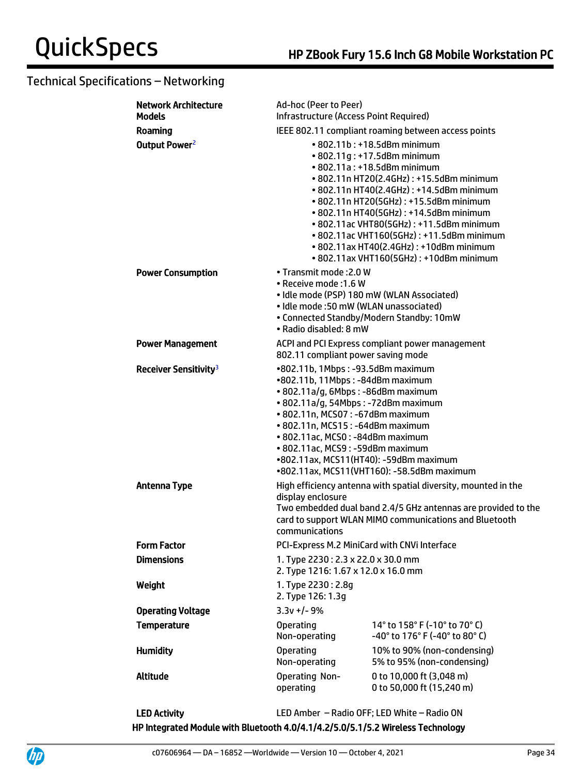| <b>Network Architecture</b><br><b>Models</b> | Ad-hoc (Peer to Peer)<br><b>Infrastructure (Access Point Required)</b>                                                                                                                                                                                                                                                                                                                                                                               |                                                                                                                                                                                           |  |
|----------------------------------------------|------------------------------------------------------------------------------------------------------------------------------------------------------------------------------------------------------------------------------------------------------------------------------------------------------------------------------------------------------------------------------------------------------------------------------------------------------|-------------------------------------------------------------------------------------------------------------------------------------------------------------------------------------------|--|
| Roaming                                      | IEEE 802.11 compliant roaming between access points                                                                                                                                                                                                                                                                                                                                                                                                  |                                                                                                                                                                                           |  |
| Output Power <sup>2</sup>                    | • 802.11b: +18.5dBm minimum<br>• 802.11g: +17.5dBm minimum<br>• 802.11a: +18.5dBm minimum<br>• 802.11n HT20(2.4GHz): +15.5dBm minimum<br>• 802.11n HT40(2.4GHz): +14.5dBm minimum<br>• 802.11n HT20(5GHz): +15.5dBm minimum<br>• 802.11n HT40(5GHz): +14.5dBm minimum<br>• 802.11ac VHT80(5GHz): +11.5dBm minimum<br>• 802.11ac VHT160(5GHz): +11.5dBm minimum<br>• 802.11ax HT40(2.4GHz): +10dBm minimum<br>• 802.11ax VHT160(5GHz): +10dBm minimum |                                                                                                                                                                                           |  |
| <b>Power Consumption</b>                     | • Transmit mode: 2.0 W<br>• Receive mode: 1.6 W<br>• Idle mode (PSP) 180 mW (WLAN Associated)<br>• Idle mode: 50 mW (WLAN unassociated)<br>• Radio disabled: 8 mW                                                                                                                                                                                                                                                                                    | • Connected Standby/Modern Standby: 10mW                                                                                                                                                  |  |
| <b>Power Management</b>                      | 802.11 compliant power saving mode                                                                                                                                                                                                                                                                                                                                                                                                                   | ACPI and PCI Express compliant power management                                                                                                                                           |  |
| Receiver Sensitivity <sup>3</sup>            | •802.11b, 1Mbps: -93.5dBm maximum<br>•802.11b, 11Mbps: -84dBm maximum<br>• 802.11a/g, 6Mbps: -86dBm maximum<br>• 802.11a/g, 54Mbps: -72dBm maximum<br>• 802.11n, MCS07: -67dBm maximum<br>• 802.11n, MCS15: -64dBm maximum<br>• 802.11ac, MCS0: -84dBm maximum<br>• 802.11ac, MCS9: -59dBm maximum<br>•802.11ax, MCS11(HT40): -59dBm maximum<br>•802.11ax, MCS11(VHT160): -58.5dBm maximum                                                           |                                                                                                                                                                                           |  |
| <b>Antenna Type</b>                          | display enclosure<br>communications                                                                                                                                                                                                                                                                                                                                                                                                                  | High efficiency antenna with spatial diversity, mounted in the<br>Two embedded dual band 2.4/5 GHz antennas are provided to the<br>card to support WLAN MIMO communications and Bluetooth |  |
| <b>Form Factor</b>                           | PCI-Express M.2 MiniCard with CNVi Interface                                                                                                                                                                                                                                                                                                                                                                                                         |                                                                                                                                                                                           |  |
| <b>Dimensions</b>                            | 1. Type 2230: 2.3 x 22.0 x 30.0 mm<br>2. Type 1216: 1.67 x 12.0 x 16.0 mm                                                                                                                                                                                                                                                                                                                                                                            |                                                                                                                                                                                           |  |
| Weight                                       | 1. Type 2230: 2.8g<br>2. Type 126: 1.3g                                                                                                                                                                                                                                                                                                                                                                                                              |                                                                                                                                                                                           |  |
| <b>Operating Voltage</b>                     | $3.3v +/- 9%$                                                                                                                                                                                                                                                                                                                                                                                                                                        |                                                                                                                                                                                           |  |
| <b>Temperature</b>                           | <b>Operating</b><br>Non-operating                                                                                                                                                                                                                                                                                                                                                                                                                    | 14° to 158° F (-10° to 70° C)<br>-40° to 176° F (-40° to 80° C)                                                                                                                           |  |
| <b>Humidity</b>                              | <b>Operating</b><br>Non-operating                                                                                                                                                                                                                                                                                                                                                                                                                    | 10% to 90% (non-condensing)<br>5% to 95% (non-condensing)                                                                                                                                 |  |
| Altitude                                     | Operating Non-<br>operating                                                                                                                                                                                                                                                                                                                                                                                                                          | 0 to 10,000 ft (3,048 m)<br>0 to 50,000 ft (15,240 m)                                                                                                                                     |  |

LED Activity LED Amber – Radio OFF; LED White – Radio ON HP Integrated Module with Bluetooth 4.0/4.1/4.2/5.0/5.1/5.2 Wireless Technology

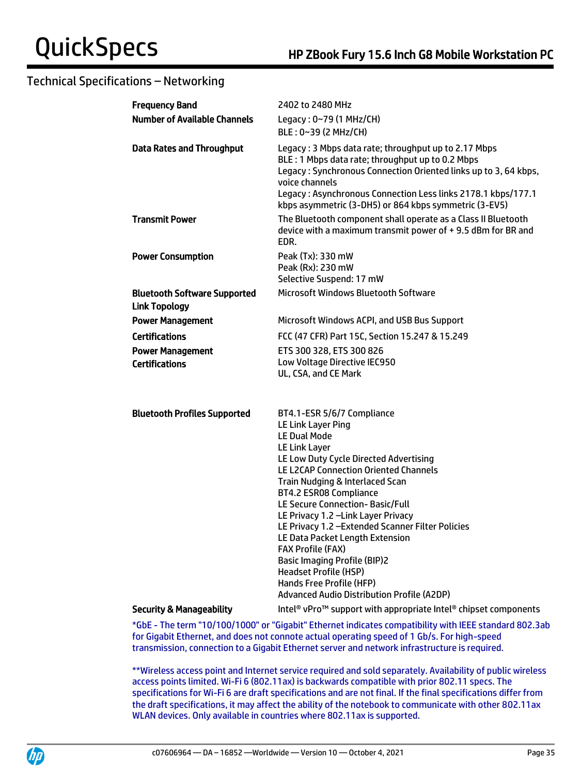| <b>Frequency Band</b>                                       | 2402 to 2480 MHz                                                                                                                                                                                                                                                                                                                                                                                                                                                                                                                                                                                |
|-------------------------------------------------------------|-------------------------------------------------------------------------------------------------------------------------------------------------------------------------------------------------------------------------------------------------------------------------------------------------------------------------------------------------------------------------------------------------------------------------------------------------------------------------------------------------------------------------------------------------------------------------------------------------|
| <b>Number of Available Channels</b>                         | Legacy: 0~79 (1 MHz/CH)                                                                                                                                                                                                                                                                                                                                                                                                                                                                                                                                                                         |
|                                                             | BLE: 0~39 (2 MHz/CH)                                                                                                                                                                                                                                                                                                                                                                                                                                                                                                                                                                            |
| <b>Data Rates and Throughput</b>                            | Legacy: 3 Mbps data rate; throughput up to 2.17 Mbps<br>BLE: 1 Mbps data rate; throughput up to 0.2 Mbps<br>Legacy: Synchronous Connection Oriented links up to 3, 64 kbps,<br>voice channels<br>Legacy: Asynchronous Connection Less links 2178.1 kbps/177.1<br>kbps asymmetric (3-DH5) or 864 kbps symmetric (3-EV5)                                                                                                                                                                                                                                                                          |
| <b>Transmit Power</b>                                       | The Bluetooth component shall operate as a Class II Bluetooth<br>device with a maximum transmit power of +9.5 dBm for BR and<br>EDR.                                                                                                                                                                                                                                                                                                                                                                                                                                                            |
| <b>Power Consumption</b>                                    | Peak (Tx): 330 mW                                                                                                                                                                                                                                                                                                                                                                                                                                                                                                                                                                               |
|                                                             | Peak (Rx): 230 mW                                                                                                                                                                                                                                                                                                                                                                                                                                                                                                                                                                               |
|                                                             | Selective Suspend: 17 mW<br><b>Microsoft Windows Bluetooth Software</b>                                                                                                                                                                                                                                                                                                                                                                                                                                                                                                                         |
| <b>Bluetooth Software Supported</b><br><b>Link Topology</b> |                                                                                                                                                                                                                                                                                                                                                                                                                                                                                                                                                                                                 |
| <b>Power Management</b>                                     | Microsoft Windows ACPI, and USB Bus Support                                                                                                                                                                                                                                                                                                                                                                                                                                                                                                                                                     |
| <b>Certifications</b>                                       | FCC (47 CFR) Part 15C, Section 15.247 & 15.249                                                                                                                                                                                                                                                                                                                                                                                                                                                                                                                                                  |
| <b>Power Management</b>                                     | ETS 300 328, ETS 300 826                                                                                                                                                                                                                                                                                                                                                                                                                                                                                                                                                                        |
| <b>Certifications</b>                                       | Low Voltage Directive IEC950<br>UL, CSA, and CE Mark                                                                                                                                                                                                                                                                                                                                                                                                                                                                                                                                            |
| <b>Bluetooth Profiles Supported</b>                         | BT4.1-ESR 5/6/7 Compliance<br>LE Link Layer Ping<br><b>LE Dual Mode</b><br>LE Link Layer<br>LE Low Duty Cycle Directed Advertising<br><b>LE L2CAP Connection Oriented Channels</b><br>Train Nudging & Interlaced Scan<br>BT4.2 ESR08 Compliance<br>LE Secure Connection- Basic/Full<br>LE Privacy 1.2 - Link Layer Privacy<br>LE Privacy 1.2 - Extended Scanner Filter Policies<br>LE Data Packet Length Extension<br><b>FAX Profile (FAX)</b><br><b>Basic Imaging Profile (BIP)2</b><br><b>Headset Profile (HSP)</b><br>Hands Free Profile (HFP)<br>Advanced Audio Distribution Profile (A2DP) |
| <b>Security &amp; Manageability</b>                         | Intel <sup>®</sup> vPro <sup>™</sup> support with appropriate Intel <sup>®</sup> chipset components                                                                                                                                                                                                                                                                                                                                                                                                                                                                                             |

\*GbE - The term "10/100/1000" or "Gigabit" Ethernet indicates compatibility with IEEE standard 802.3ab for Gigabit Ethernet, and does not connote actual operating speed of 1 Gb/s. For high-speed transmission, connection to a Gigabit Ethernet server and network infrastructure is required.

\*\*Wireless access point and Internet service required and sold separately. Availability of public wireless access points limited. Wi-Fi 6 (802.11ax) is backwards compatible with prior 802.11 specs. The specifications for Wi-Fi 6 are draft specifications and are not final. If the final specifications differ from the draft specifications, it may affect the ability of the notebook to communicate with other 802.11ax WLAN devices. Only available in countries where 802.11ax is supported.

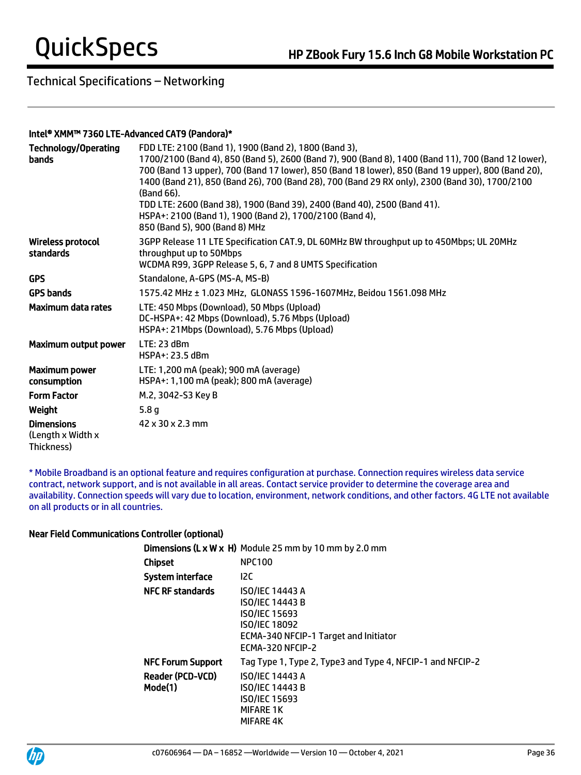#### Intel® XMM™ 7360 LTE-Advanced CAT9 (Pandora)\*

| <b>Technology/Operating</b><br><b>bands</b>          | FDD LTE: 2100 (Band 1), 1900 (Band 2), 1800 (Band 3),<br>1700/2100 (Band 4), 850 (Band 5), 2600 (Band 7), 900 (Band 8), 1400 (Band 11), 700 (Band 12 lower),<br>700 (Band 13 upper), 700 (Band 17 lower), 850 (Band 18 lower), 850 (Band 19 upper), 800 (Band 20),<br>1400 (Band 21), 850 (Band 26), 700 (Band 28), 700 (Band 29 RX only), 2300 (Band 30), 1700/2100<br>(Band 66).<br>TDD LTE: 2600 (Band 38), 1900 (Band 39), 2400 (Band 40), 2500 (Band 41).<br>HSPA+: 2100 (Band 1), 1900 (Band 2), 1700/2100 (Band 4),<br>850 (Band 5), 900 (Band 8) MHz |
|------------------------------------------------------|--------------------------------------------------------------------------------------------------------------------------------------------------------------------------------------------------------------------------------------------------------------------------------------------------------------------------------------------------------------------------------------------------------------------------------------------------------------------------------------------------------------------------------------------------------------|
| <b>Wireless protocol</b><br>standards                | 3GPP Release 11 LTE Specification CAT.9, DL 60MHz BW throughput up to 450Mbps; UL 20MHz<br>throughput up to 50Mbps<br>WCDMA R99, 3GPP Release 5, 6, 7 and 8 UMTS Specification                                                                                                                                                                                                                                                                                                                                                                               |
| <b>GPS</b>                                           | Standalone, A-GPS (MS-A, MS-B)                                                                                                                                                                                                                                                                                                                                                                                                                                                                                                                               |
| <b>GPS bands</b>                                     | 1575.42 MHz ± 1.023 MHz, GLONASS 1596-1607MHz, Beidou 1561.098 MHz                                                                                                                                                                                                                                                                                                                                                                                                                                                                                           |
| Maximum data rates                                   | LTE: 450 Mbps (Download), 50 Mbps (Upload)<br>DC-HSPA+: 42 Mbps (Download), 5.76 Mbps (Upload)<br>HSPA+: 21Mbps (Download), 5.76 Mbps (Upload)                                                                                                                                                                                                                                                                                                                                                                                                               |
| Maximum output power                                 | LTE: 23 dBm<br>HSPA+: 23.5 dBm                                                                                                                                                                                                                                                                                                                                                                                                                                                                                                                               |
| <b>Maximum power</b><br>consumption                  | LTE: 1,200 mA (peak); 900 mA (average)<br>HSPA+: 1,100 mA (peak); 800 mA (average)                                                                                                                                                                                                                                                                                                                                                                                                                                                                           |
| <b>Form Factor</b>                                   | M.2, 3042-S3 Key B                                                                                                                                                                                                                                                                                                                                                                                                                                                                                                                                           |
| Weight                                               | 5.8 <sub>g</sub>                                                                                                                                                                                                                                                                                                                                                                                                                                                                                                                                             |
| <b>Dimensions</b><br>(Length x Width x<br>Thickness) | 42 x 30 x 2.3 mm                                                                                                                                                                                                                                                                                                                                                                                                                                                                                                                                             |

\* Mobile Broadband is an optional feature and requires configuration at purchase. Connection requires wireless data service contract, network support, and is not available in all areas. Contact service provider to determine the coverage area and availability. Connection speeds will vary due to location, environment, network conditions, and other factors. 4G LTE not available on all products or in all countries.

#### Near Field Communications Controller (optional)

|                                    | <b>Dimensions (L x W x H)</b> Module 25 mm by 10 mm by 2.0 mm                                                                                                 |
|------------------------------------|---------------------------------------------------------------------------------------------------------------------------------------------------------------|
| Chipset                            | <b>NPC100</b>                                                                                                                                                 |
| System interface                   | 12C                                                                                                                                                           |
| <b>NFC RF standards</b>            | <b>ISO/IEC 14443 A</b><br><b>ISO/IEC 14443 B</b><br><b>ISO/IEC 15693</b><br><b>ISO/IEC 18092</b><br>ECMA-340 NFCIP-1 Target and Initiator<br>ECMA-320 NFCIP-2 |
| <b>NFC Forum Support</b>           | Tag Type 1, Type 2, Type3 and Type 4, NFCIP-1 and NFCIP-2                                                                                                     |
| <b>Reader (PCD-VCD)</b><br>Mode(1) | <b>ISO/IEC 14443 A</b><br><b>ISO/IEC 14443 B</b><br><b>ISO/IEC 15693</b><br><b>MIFARE 1K</b><br>MIFARE 4K                                                     |

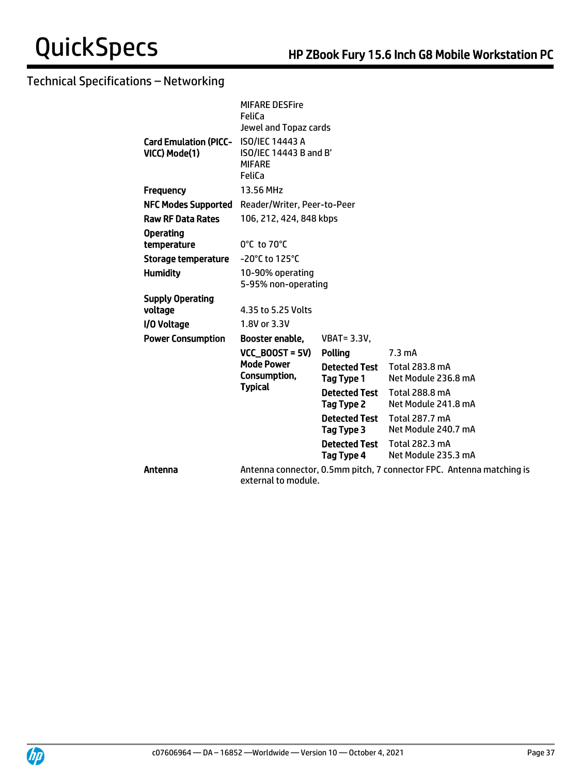|                                                        | <b>MIFARE DESFire</b><br>FeliCa                                            |                                    |                                                                      |
|--------------------------------------------------------|----------------------------------------------------------------------------|------------------------------------|----------------------------------------------------------------------|
| Card Emulation (PICC- ISO/IEC 14443 A<br>VICC) Mode(1) | Jewel and Topaz cards<br>ISO/IEC 14443 B and B'<br><b>MIFARE</b><br>FeliCa |                                    |                                                                      |
| <b>Frequency</b>                                       | 13.56 MHz                                                                  |                                    |                                                                      |
| <b>NFC Modes Supported</b>                             | Reader/Writer, Peer-to-Peer                                                |                                    |                                                                      |
| <b>Raw RF Data Rates</b>                               | 106, 212, 424, 848 kbps                                                    |                                    |                                                                      |
| <b>Operating</b>                                       |                                                                            |                                    |                                                                      |
| temperature                                            | $0^{\circ}$ C to 70 $^{\circ}$ C                                           |                                    |                                                                      |
| <b>Storage temperature</b>                             | -20°C to 125°C                                                             |                                    |                                                                      |
| <b>Humidity</b>                                        | 10-90% operating<br>5-95% non-operating                                    |                                    |                                                                      |
| <b>Supply Operating</b>                                |                                                                            |                                    |                                                                      |
| voltage                                                | 4.35 to 5.25 Volts                                                         |                                    |                                                                      |
| I/O Voltage                                            | 1.8V or 3.3V                                                               |                                    |                                                                      |
| <b>Power Consumption</b>                               | Booster enable,                                                            | <b>VBAT = 3.3V,</b>                |                                                                      |
|                                                        | $VCC$ BOOST = 5V)                                                          | Polling                            | $7.3 \text{ mA}$                                                     |
|                                                        | <b>Mode Power</b><br>Consumption,<br><b>Typical</b>                        | <b>Detected Test</b><br>Tag Type 1 | Total 283.8 mA<br>Net Module 236.8 mA                                |
|                                                        |                                                                            | <b>Detected Test</b><br>Tag Type 2 | <b>Total 288.8 mA</b><br>Net Module 241.8 mA                         |
|                                                        |                                                                            | <b>Detected Test</b><br>Tag Type 3 | Total 287.7 mA<br>Net Module 240.7 mA                                |
|                                                        |                                                                            | <b>Detected Test</b><br>Tag Type 4 | Total 282.3 mA<br>Net Module 235.3 mA                                |
| Antenna                                                | external to module.                                                        |                                    | Antenna connector, 0.5mm pitch, 7 connector FPC. Antenna matching is |

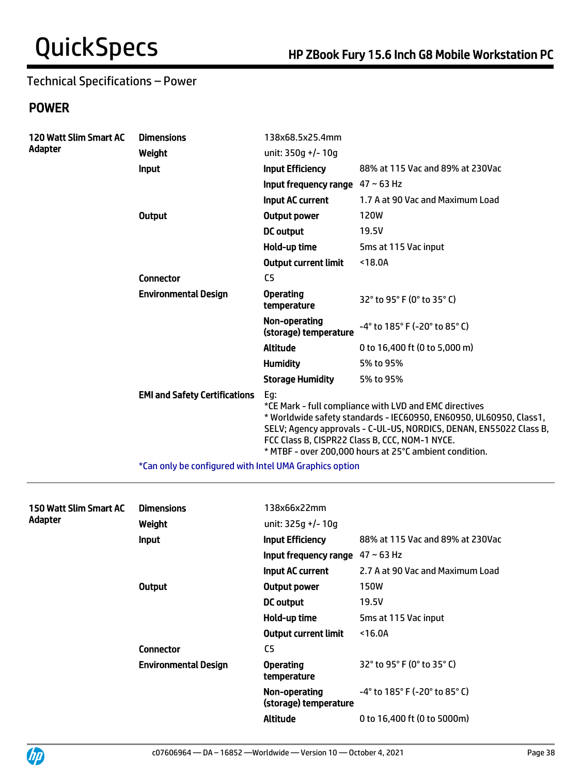## Technical Specifications – Power

## POWER

| <b>120 Watt Slim Smart AC</b> | <b>Dimensions</b>                                      | 138x68.5x25.4mm                        |                                                                                                                                                                                                                                                                                                                |
|-------------------------------|--------------------------------------------------------|----------------------------------------|----------------------------------------------------------------------------------------------------------------------------------------------------------------------------------------------------------------------------------------------------------------------------------------------------------------|
| Adapter                       | Weight                                                 | unit: 350q +/- 10q                     |                                                                                                                                                                                                                                                                                                                |
|                               | <b>Input</b>                                           | <b>Input Efficiency</b>                | 88% at 115 Vac and 89% at 230Vac                                                                                                                                                                                                                                                                               |
|                               |                                                        | Input frequency range $47 \sim 63$ Hz  |                                                                                                                                                                                                                                                                                                                |
|                               |                                                        | Input AC current                       | 1.7 A at 90 Vac and Maximum Load                                                                                                                                                                                                                                                                               |
|                               | <b>Output</b>                                          | Output power                           | <b>120W</b>                                                                                                                                                                                                                                                                                                    |
|                               |                                                        | <b>DC</b> output                       | 19.5V                                                                                                                                                                                                                                                                                                          |
|                               |                                                        | Hold-up time                           | 5ms at 115 Vac input                                                                                                                                                                                                                                                                                           |
|                               |                                                        | <b>Output current limit</b>            | < 18.0A                                                                                                                                                                                                                                                                                                        |
|                               | <b>Connector</b>                                       | C <sub>5</sub>                         |                                                                                                                                                                                                                                                                                                                |
|                               | <b>Environmental Design</b>                            | <b>Operating</b><br>temperature        | 32° to 95° F (0° to 35° C)                                                                                                                                                                                                                                                                                     |
|                               |                                                        | Non-operating<br>(storage) temperature | -4° to 185° F (-20° to 85° C)                                                                                                                                                                                                                                                                                  |
|                               |                                                        | <b>Altitude</b>                        | 0 to 16,400 ft (0 to 5,000 m)                                                                                                                                                                                                                                                                                  |
|                               |                                                        | <b>Humidity</b>                        | 5% to 95%                                                                                                                                                                                                                                                                                                      |
|                               |                                                        | <b>Storage Humidity</b>                | 5% to 95%                                                                                                                                                                                                                                                                                                      |
|                               | <b>EMI and Safety Certifications</b>                   | Eg:                                    | *CE Mark - full compliance with LVD and EMC directives<br>* Worldwide safety standards - IEC60950, EN60950, UL60950, Class1,<br>SELV; Agency approvals - C-UL-US, NORDICS, DENAN, EN55022 Class B,<br>FCC Class B, CISPR22 Class B, CCC, NOM-1 NYCE.<br>* MTBF - over 200,000 hours at 25°C ambient condition. |
|                               | *Can only be configured with Intel UMA Graphics option |                                        |                                                                                                                                                                                                                                                                                                                |

| 150 Watt Slim Smart AC<br>Adapter | <b>Dimensions</b><br>Weight | 138x66x22mm<br>unit: 325g +/- 10g      |                                                                      |
|-----------------------------------|-----------------------------|----------------------------------------|----------------------------------------------------------------------|
|                                   | <b>Input</b>                | <b>Input Efficiency</b>                | 88% at 115 Vac and 89% at 230Vac                                     |
|                                   |                             | Input frequency range                  | $47 \sim 63$ Hz                                                      |
|                                   |                             | Input AC current                       | 2.7 A at 90 Vac and Maximum Load                                     |
|                                   | <b>Output</b>               | Output power                           | <b>150W</b>                                                          |
|                                   |                             | <b>DC</b> output                       | 19.5V                                                                |
|                                   |                             | Hold-up time                           | 5ms at 115 Vac input                                                 |
|                                   |                             | <b>Output current limit</b>            | $16.0A$                                                              |
|                                   | <b>Connector</b>            | C <sub>5</sub>                         |                                                                      |
|                                   | <b>Environmental Design</b> | <b>Operating</b><br>temperature        | $32^{\circ}$ to 95 $^{\circ}$ F (0 $^{\circ}$ to 35 $^{\circ}$ C)    |
|                                   |                             | Non-operating<br>(storage) temperature | $-4^{\circ}$ to 185 $^{\circ}$ F (-20 $^{\circ}$ to 85 $^{\circ}$ C) |
|                                   |                             | Altitude                               | 0 to 16,400 ft (0 to 5000m)                                          |

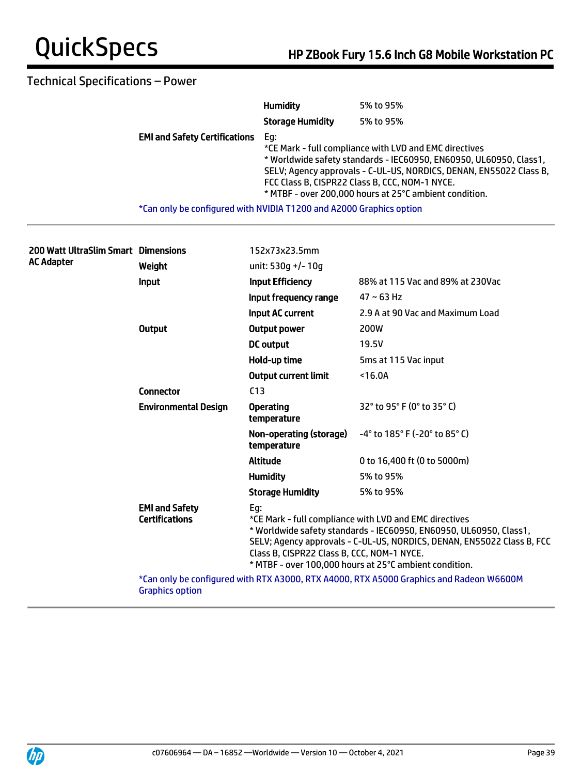## Technical Specifications – Power

|                                                                     | <b>Humidity</b>         | 5% to 95%                                                                                                                                                                                                                                                                                                      |
|---------------------------------------------------------------------|-------------------------|----------------------------------------------------------------------------------------------------------------------------------------------------------------------------------------------------------------------------------------------------------------------------------------------------------------|
|                                                                     | <b>Storage Humidity</b> | 5% to 95%                                                                                                                                                                                                                                                                                                      |
| <b>EMI and Safety Certifications</b>                                | Eq:                     | *CE Mark - full compliance with LVD and EMC directives<br>* Worldwide safety standards - IEC60950, EN60950, UL60950, Class1,<br>SELV; Agency approvals - C-UL-US, NORDICS, DENAN, EN55022 Class B,<br>FCC Class B, CISPR22 Class B, CCC, NOM-1 NYCE.<br>* MTBF - over 200,000 hours at 25°C ambient condition. |
| *Can only be configured with NVIDIA T1200 and A2000 Graphics option |                         |                                                                                                                                                                                                                                                                                                                |

| 200 Watt UltraSlim Smart Dimensions<br>AC Adapter |                                                | 152x73x23.5mm                                                                                                                                                                                                                                                                                                         |                                                                                         |
|---------------------------------------------------|------------------------------------------------|-----------------------------------------------------------------------------------------------------------------------------------------------------------------------------------------------------------------------------------------------------------------------------------------------------------------------|-----------------------------------------------------------------------------------------|
|                                                   | Weight                                         | unit: 530q +/- 10q                                                                                                                                                                                                                                                                                                    |                                                                                         |
|                                                   | Input                                          | <b>Input Efficiency</b>                                                                                                                                                                                                                                                                                               | 88% at 115 Vac and 89% at 230Vac                                                        |
|                                                   |                                                | Input frequency range                                                                                                                                                                                                                                                                                                 | $47 - 63$ Hz                                                                            |
|                                                   |                                                | <b>Input AC current</b>                                                                                                                                                                                                                                                                                               | 2.9 A at 90 Vac and Maximum Load                                                        |
|                                                   | <b>Output</b>                                  | <b>Output power</b>                                                                                                                                                                                                                                                                                                   | 200W                                                                                    |
|                                                   |                                                | DC output                                                                                                                                                                                                                                                                                                             | 19.5V                                                                                   |
|                                                   |                                                | Hold-up time                                                                                                                                                                                                                                                                                                          | 5ms at 115 Vac input                                                                    |
|                                                   |                                                | <b>Output current limit</b>                                                                                                                                                                                                                                                                                           | $16.0A$                                                                                 |
|                                                   | <b>Connector</b>                               | C <sub>13</sub>                                                                                                                                                                                                                                                                                                       |                                                                                         |
|                                                   | <b>Environmental Design</b>                    | <b>Operating</b><br>temperature                                                                                                                                                                                                                                                                                       | 32° to 95° F (0° to 35° C)                                                              |
|                                                   |                                                | Non-operating (storage)<br>temperature                                                                                                                                                                                                                                                                                | $-4^{\circ}$ to 185° F (-20° to 85° C)                                                  |
|                                                   |                                                | <b>Altitude</b>                                                                                                                                                                                                                                                                                                       | 0 to 16,400 ft (0 to 5000m)                                                             |
|                                                   |                                                | <b>Humidity</b>                                                                                                                                                                                                                                                                                                       | 5% to 95%                                                                               |
|                                                   |                                                | <b>Storage Humidity</b>                                                                                                                                                                                                                                                                                               | 5% to 95%                                                                               |
|                                                   | <b>EMI and Safety</b><br><b>Certifications</b> | Eg:<br>*CE Mark - full compliance with LVD and EMC directives<br>* Worldwide safety standards - IEC60950, EN60950, UL60950, Class1,<br>SELV; Agency approvals - C-UL-US, NORDICS, DENAN, EN55022 Class B, FCC<br>Class B, CISPR22 Class B, CCC, NOM-1 NYCE.<br>* MTBF - over 100,000 hours at 25°C ambient condition. |                                                                                         |
|                                                   | <b>Graphics option</b>                         |                                                                                                                                                                                                                                                                                                                       | *Can only be configured with RTX A3000, RTX A4000, RTX A5000 Graphics and Radeon W6600M |
|                                                   |                                                |                                                                                                                                                                                                                                                                                                                       |                                                                                         |

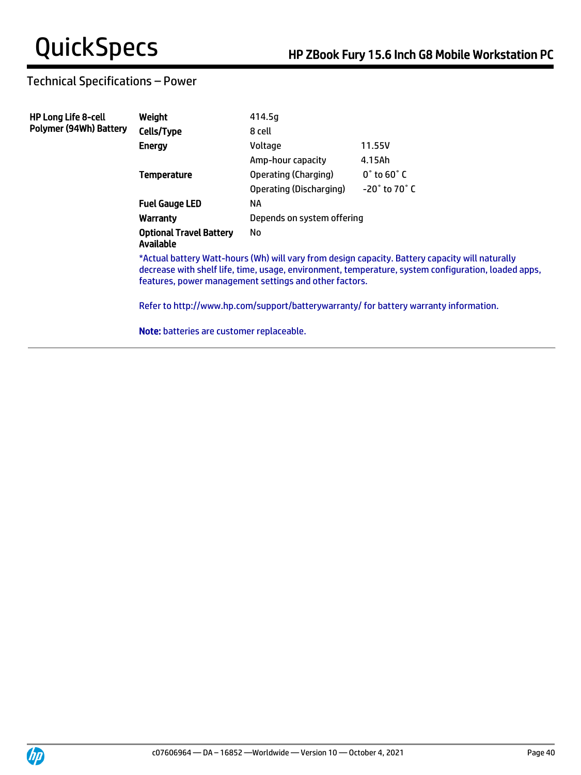## Technical Specifications – Power

| <b>HP Long Life 8-cell</b>    | Weight                                                                                                                                                                                                                                                           | 414.5g                     |                                |  |
|-------------------------------|------------------------------------------------------------------------------------------------------------------------------------------------------------------------------------------------------------------------------------------------------------------|----------------------------|--------------------------------|--|
| <b>Polymer (94Wh) Battery</b> | Cells/Type                                                                                                                                                                                                                                                       | 8 cell                     |                                |  |
|                               | <b>Energy</b>                                                                                                                                                                                                                                                    | Voltage                    | 11.55V                         |  |
|                               |                                                                                                                                                                                                                                                                  | Amp-hour capacity          | 4.15Ah                         |  |
|                               | <b>Temperature</b>                                                                                                                                                                                                                                               | Operating (Charging)       | $0^{\circ}$ to 60 $^{\circ}$ C |  |
|                               |                                                                                                                                                                                                                                                                  | Operating (Discharging)    | $-20^\circ$ to 70 $^\circ$ C   |  |
|                               | <b>Fuel Gauge LED</b>                                                                                                                                                                                                                                            | NA                         |                                |  |
|                               | Warranty                                                                                                                                                                                                                                                         | Depends on system offering |                                |  |
|                               | <b>Optional Travel Battery</b><br><b>Available</b>                                                                                                                                                                                                               | No                         |                                |  |
|                               | *Actual battery Watt-hours (Wh) will vary from design capacity. Battery capacity will naturally<br>decrease with shelf life, time, usage, environment, temperature, system configuration, loaded apps,<br>features, power management settings and other factors. |                            |                                |  |
|                               | Refer to http://www.hp.com/support/batterywarranty/ for battery warranty information.                                                                                                                                                                            |                            |                                |  |
|                               | <b>Note:</b> batteries are customer replaceable.                                                                                                                                                                                                                 |                            |                                |  |

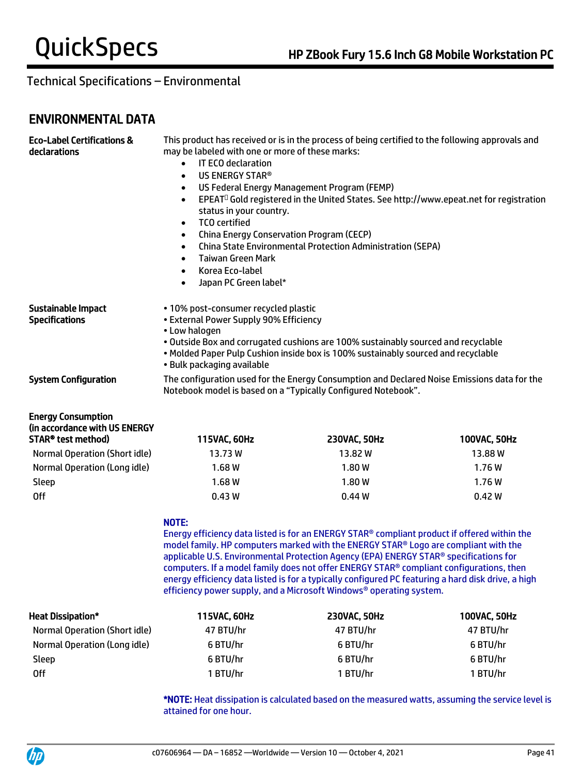## ENVIRONMENTAL DATA

| <b>Eco-Label Certifications &amp;</b><br>declarations                            | This product has received or is in the process of being certified to the following approvals and<br>may be labeled with one or more of these marks:<br>IT ECO declaration<br>$\bullet$<br>US ENERGY STAR®<br>$\bullet$<br>US Federal Energy Management Program (FEMP)<br>$\bullet$<br>EPEAT <sup>O</sup> Gold registered in the United States. See http://www.epeat.net for registration<br>$\bullet$<br>status in your country.<br><b>TCO</b> certified<br>$\bullet$<br>China Energy Conservation Program (CECP)<br>$\bullet$<br><b>China State Environmental Protection Administration (SEPA)</b><br>$\bullet$<br>Taiwan Green Mark<br>$\bullet$<br>Korea Eco-label<br>$\bullet$<br>Japan PC Green label*<br>$\bullet$ |                                                                                                                                                                                                                                                                                                                                                                                                                                                                                                                                                      |              |  |
|----------------------------------------------------------------------------------|--------------------------------------------------------------------------------------------------------------------------------------------------------------------------------------------------------------------------------------------------------------------------------------------------------------------------------------------------------------------------------------------------------------------------------------------------------------------------------------------------------------------------------------------------------------------------------------------------------------------------------------------------------------------------------------------------------------------------|------------------------------------------------------------------------------------------------------------------------------------------------------------------------------------------------------------------------------------------------------------------------------------------------------------------------------------------------------------------------------------------------------------------------------------------------------------------------------------------------------------------------------------------------------|--------------|--|
| Sustainable Impact<br><b>Specifications</b>                                      | • 10% post-consumer recycled plastic<br>• External Power Supply 90% Efficiency<br>• Low halogen<br>· Bulk packaging available                                                                                                                                                                                                                                                                                                                                                                                                                                                                                                                                                                                            | . Outside Box and corrugated cushions are 100% sustainably sourced and recyclable<br>. Molded Paper Pulp Cushion inside box is 100% sustainably sourced and recyclable                                                                                                                                                                                                                                                                                                                                                                               |              |  |
| <b>System Configuration</b>                                                      | The configuration used for the Energy Consumption and Declared Noise Emissions data for the<br>Notebook model is based on a "Typically Configured Notebook".                                                                                                                                                                                                                                                                                                                                                                                                                                                                                                                                                             |                                                                                                                                                                                                                                                                                                                                                                                                                                                                                                                                                      |              |  |
| <b>Energy Consumption</b><br>(in accordance with US ENERGY<br>STAR® test method) | 115VAC, 60Hz                                                                                                                                                                                                                                                                                                                                                                                                                                                                                                                                                                                                                                                                                                             | 230VAC, 50Hz                                                                                                                                                                                                                                                                                                                                                                                                                                                                                                                                         | 100VAC, 50Hz |  |
| <b>Normal Operation (Short idle)</b>                                             | 13.73W                                                                                                                                                                                                                                                                                                                                                                                                                                                                                                                                                                                                                                                                                                                   | 13.82W                                                                                                                                                                                                                                                                                                                                                                                                                                                                                                                                               | 13.88W       |  |
| Normal Operation (Long idle)                                                     | 1.68W                                                                                                                                                                                                                                                                                                                                                                                                                                                                                                                                                                                                                                                                                                                    | 1.80W                                                                                                                                                                                                                                                                                                                                                                                                                                                                                                                                                | 1.76W        |  |
| Sleep                                                                            | 1.68W                                                                                                                                                                                                                                                                                                                                                                                                                                                                                                                                                                                                                                                                                                                    | 1.80W                                                                                                                                                                                                                                                                                                                                                                                                                                                                                                                                                | 1.76W        |  |
| <b>Off</b>                                                                       | 0.43W                                                                                                                                                                                                                                                                                                                                                                                                                                                                                                                                                                                                                                                                                                                    | 0.44W                                                                                                                                                                                                                                                                                                                                                                                                                                                                                                                                                | 0.42W        |  |
|                                                                                  | NOTE:                                                                                                                                                                                                                                                                                                                                                                                                                                                                                                                                                                                                                                                                                                                    | Energy efficiency data listed is for an ENERGY STAR® compliant product if offered within the<br>model family. HP computers marked with the ENERGY STAR® Logo are compliant with the<br>applicable U.S. Environmental Protection Agency (EPA) ENERGY STAR® specifications for<br>computers. If a model family does not offer ENERGY STAR® compliant configurations, then<br>energy efficiency data listed is for a typically configured PC featuring a hard disk drive, a high<br>efficiency power supply, and a Microsoft Windows® operating system. |              |  |
| <b>Heat Dissipation*</b>                                                         | 115VAC, 60Hz                                                                                                                                                                                                                                                                                                                                                                                                                                                                                                                                                                                                                                                                                                             | 230VAC, 50Hz                                                                                                                                                                                                                                                                                                                                                                                                                                                                                                                                         | 100VAC, 50Hz |  |
| <b>Normal Operation (Short idle)</b>                                             | 47 BTU/hr                                                                                                                                                                                                                                                                                                                                                                                                                                                                                                                                                                                                                                                                                                                | 47 BTU/hr                                                                                                                                                                                                                                                                                                                                                                                                                                                                                                                                            | 47 BTU/hr    |  |
| Normal Operation (Long idle)                                                     | 6 BTU/hr                                                                                                                                                                                                                                                                                                                                                                                                                                                                                                                                                                                                                                                                                                                 | 6 BTU/hr                                                                                                                                                                                                                                                                                                                                                                                                                                                                                                                                             | 6 BTU/hr     |  |
| Sleep                                                                            | 6 BTU/hr<br>6 BTU/hr<br>6 BTU/hr                                                                                                                                                                                                                                                                                                                                                                                                                                                                                                                                                                                                                                                                                         |                                                                                                                                                                                                                                                                                                                                                                                                                                                                                                                                                      |              |  |
| <b>Off</b>                                                                       | 1 BTU/hr                                                                                                                                                                                                                                                                                                                                                                                                                                                                                                                                                                                                                                                                                                                 | 1 BTU/hr                                                                                                                                                                                                                                                                                                                                                                                                                                                                                                                                             | 1 BTU/hr     |  |

\*NOTE: Heat dissipation is calculated based on the measured watts, assuming the service level is attained for one hour.

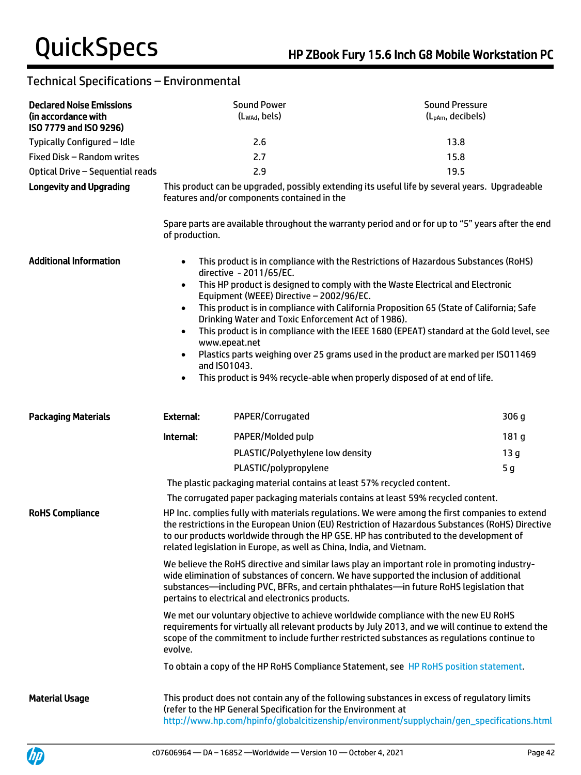| <b>Declared Noise Emissions</b><br>(in accordance with<br>ISO 7779 and ISO 9296) |                                                                                                                                                                                                                                                                                                                                                                      | <b>Sound Power</b><br>(Lwad, bels)                                                                                        | <b>Sound Pressure</b><br>(L <sub>pAm</sub> , decibels)                                                                                                                                                                                                                                                                                                                                                                                                                                                                         |
|----------------------------------------------------------------------------------|----------------------------------------------------------------------------------------------------------------------------------------------------------------------------------------------------------------------------------------------------------------------------------------------------------------------------------------------------------------------|---------------------------------------------------------------------------------------------------------------------------|--------------------------------------------------------------------------------------------------------------------------------------------------------------------------------------------------------------------------------------------------------------------------------------------------------------------------------------------------------------------------------------------------------------------------------------------------------------------------------------------------------------------------------|
| Typically Configured - Idle                                                      |                                                                                                                                                                                                                                                                                                                                                                      | 2.6                                                                                                                       | 13.8                                                                                                                                                                                                                                                                                                                                                                                                                                                                                                                           |
| Fixed Disk - Random writes                                                       |                                                                                                                                                                                                                                                                                                                                                                      | 2.7                                                                                                                       | 15.8                                                                                                                                                                                                                                                                                                                                                                                                                                                                                                                           |
| Optical Drive - Sequential reads                                                 |                                                                                                                                                                                                                                                                                                                                                                      | 2.9                                                                                                                       | 19.5                                                                                                                                                                                                                                                                                                                                                                                                                                                                                                                           |
| <b>Longevity and Upgrading</b>                                                   | of production.                                                                                                                                                                                                                                                                                                                                                       | features and/or components contained in the                                                                               | This product can be upgraded, possibly extending its useful life by several years. Upgradeable<br>Spare parts are available throughout the warranty period and or for up to "5" years after the end                                                                                                                                                                                                                                                                                                                            |
| <b>Additional Information</b>                                                    | $\bullet$<br>$\bullet$<br>$\bullet$<br>$\bullet$<br>www.epeat.net<br>$\bullet$<br>and ISO1043.<br>$\bullet$                                                                                                                                                                                                                                                          | directive - 2011/65/EC.<br>Equipment (WEEE) Directive - 2002/96/EC.<br>Drinking Water and Toxic Enforcement Act of 1986). | This product is in compliance with the Restrictions of Hazardous Substances (RoHS)<br>This HP product is designed to comply with the Waste Electrical and Electronic<br>This product is in compliance with California Proposition 65 (State of California; Safe<br>This product is in compliance with the IEEE 1680 (EPEAT) standard at the Gold level, see<br>Plastics parts weighing over 25 grams used in the product are marked per ISO11469<br>This product is 94% recycle-able when properly disposed of at end of life. |
| <b>Packaging Materials</b>                                                       | <b>External:</b>                                                                                                                                                                                                                                                                                                                                                     | PAPER/Corrugated                                                                                                          | 306 g                                                                                                                                                                                                                                                                                                                                                                                                                                                                                                                          |
|                                                                                  | Internal:                                                                                                                                                                                                                                                                                                                                                            | PAPER/Molded pulp                                                                                                         | 181 g                                                                                                                                                                                                                                                                                                                                                                                                                                                                                                                          |
|                                                                                  |                                                                                                                                                                                                                                                                                                                                                                      | PLASTIC/Polyethylene low density                                                                                          | 13 <sub>g</sub>                                                                                                                                                                                                                                                                                                                                                                                                                                                                                                                |
|                                                                                  |                                                                                                                                                                                                                                                                                                                                                                      | PLASTIC/polypropylene                                                                                                     | 5 <sub>g</sub>                                                                                                                                                                                                                                                                                                                                                                                                                                                                                                                 |
|                                                                                  |                                                                                                                                                                                                                                                                                                                                                                      | The plastic packaging material contains at least 57% recycled content.                                                    |                                                                                                                                                                                                                                                                                                                                                                                                                                                                                                                                |
|                                                                                  |                                                                                                                                                                                                                                                                                                                                                                      |                                                                                                                           | The corrugated paper packaging materials contains at least 59% recycled content.                                                                                                                                                                                                                                                                                                                                                                                                                                               |
| <b>RoHS Compliance</b>                                                           | HP Inc. complies fully with materials regulations. We were among the first companies to extend<br>the restrictions in the European Union (EU) Restriction of Hazardous Substances (RoHS) Directive<br>to our products worldwide through the HP GSE. HP has contributed to the development of<br>related legislation in Europe, as well as China, India, and Vietnam. |                                                                                                                           |                                                                                                                                                                                                                                                                                                                                                                                                                                                                                                                                |
|                                                                                  |                                                                                                                                                                                                                                                                                                                                                                      | pertains to electrical and electronics products.                                                                          | We believe the RoHS directive and similar laws play an important role in promoting industry-<br>wide elimination of substances of concern. We have supported the inclusion of additional<br>substances—including PVC, BFRs, and certain phthalates—in future RoHS legislation that                                                                                                                                                                                                                                             |
|                                                                                  | evolve.                                                                                                                                                                                                                                                                                                                                                              |                                                                                                                           | We met our voluntary objective to achieve worldwide compliance with the new EU RoHS<br>requirements for virtually all relevant products by July 2013, and we will continue to extend the<br>scope of the commitment to include further restricted substances as regulations continue to                                                                                                                                                                                                                                        |
|                                                                                  |                                                                                                                                                                                                                                                                                                                                                                      |                                                                                                                           | To obtain a copy of the HP RoHS Compliance Statement, see HP RoHS position statement.                                                                                                                                                                                                                                                                                                                                                                                                                                          |
| <b>Material Usage</b>                                                            |                                                                                                                                                                                                                                                                                                                                                                      | (refer to the HP General Specification for the Environment at                                                             | This product does not contain any of the following substances in excess of regulatory limits<br>http://www.hp.com/hpinfo/globalcitizenship/environment/supplychain/gen_specifications.html                                                                                                                                                                                                                                                                                                                                     |

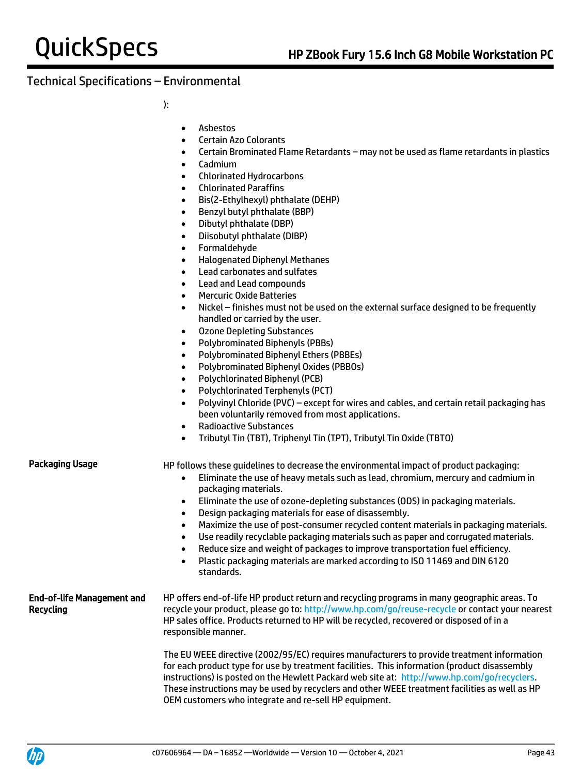):

- Asbestos
- Certain Azo Colorants
- Certain Brominated Flame Retardants may not be used as flame retardants in plastics
- Cadmium
- Chlorinated Hydrocarbons
- Chlorinated Paraffins
- Bis(2-Ethylhexyl) phthalate (DEHP)
- Benzyl butyl phthalate (BBP)
- Dibutyl phthalate (DBP)
- Diisobutyl phthalate (DIBP)
- Formaldehyde
- Halogenated Diphenyl Methanes
- Lead carbonates and sulfates
- Lead and Lead compounds
- Mercuric Oxide Batteries
- Nickel finishes must not be used on the external surface designed to be frequently handled or carried by the user.
- Ozone Depleting Substances
- Polybrominated Biphenyls (PBBs)
- Polybrominated Biphenyl Ethers (PBBEs)
- Polybrominated Biphenyl Oxides (PBBOs)
- Polychlorinated Biphenyl (PCB)
- Polychlorinated Terphenyls (PCT)
- Polyvinyl Chloride (PVC) except for wires and cables, and certain retail packaging has been voluntarily removed from most applications.
- Radioactive Substances
- Tributyl Tin (TBT), Triphenyl Tin (TPT), Tributyl Tin Oxide (TBTO)

Packaging Usage HP follows these quidelines to decrease the environmental impact of product packaging:

- Eliminate the use of heavy metals such as lead, chromium, mercury and cadmium in packaging materials.
- Eliminate the use of ozone-depleting substances (ODS) in packaging materials.
- Design packaging materials for ease of disassembly.
- Maximize the use of post-consumer recycled content materials in packaging materials.
- Use readily recyclable packaging materials such as paper and corrugated materials.
- Reduce size and weight of packages to improve transportation fuel efficiency.
- Plastic packaging materials are marked according to ISO 11469 and DIN 6120 standards.

#### End-of-life Management and Recycling HP offers end-of-life HP product return and recycling programs in many geographic areas. To recycle your product, please go to:<http://www.hp.com/go/reuse-recycle> or contact your nearest HP sales office. Products returned to HP will be recycled, recovered or disposed of in a responsible manner.

The EU WEEE directive (2002/95/EC) requires manufacturers to provide treatment information for each product type for use by treatment facilities. This information (product disassembly instructions) is posted on the Hewlett Packard web site at: [http://www.hp.com/go/recyclers.](http://www.hp.com/go/recyclers) These instructions may be used by recyclers and other WEEE treatment facilities as well as HP OEM customers who integrate and re-sell HP equipment.

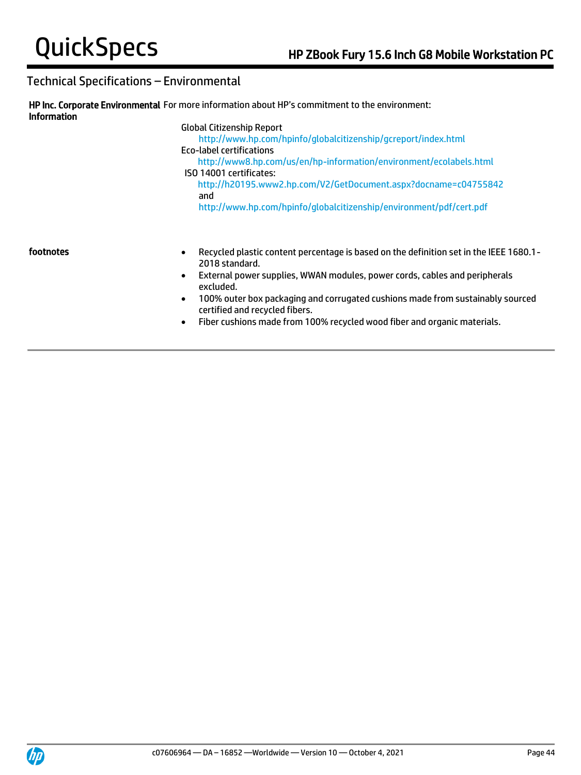| <b>Information</b> | HP Inc. Corporate Environmental For more information about HP's commitment to the environment:                                                                                                                                |
|--------------------|-------------------------------------------------------------------------------------------------------------------------------------------------------------------------------------------------------------------------------|
|                    | <b>Global Citizenship Report</b><br>http://www.hp.com/hpinfo/globalcitizenship/gcreport/index.html<br><b>Eco-label certifications</b><br>http://www8.hp.com/us/en/hp-information/environment/ecolabels.html                   |
|                    | ISO 14001 certificates:<br>http://h20195.www2.hp.com/V2/GetDocument.aspx?docname=c04755842<br>and<br>http://www.hp.com/hpinfo/globalcitizenship/environment/pdf/cert.pdf                                                      |
| footnotes          | Recycled plastic content percentage is based on the definition set in the IEEE 1680.1-<br>$\bullet$<br>2018 standard.<br>External power supplies, WWAN modules, power cords, cables and peripherals<br>$\bullet$<br>excluded. |

- 100% outer box packaging and corrugated cushions made from sustainably sourced certified and recycled fibers.
- Fiber cushions made from 100% recycled wood fiber and organic materials.

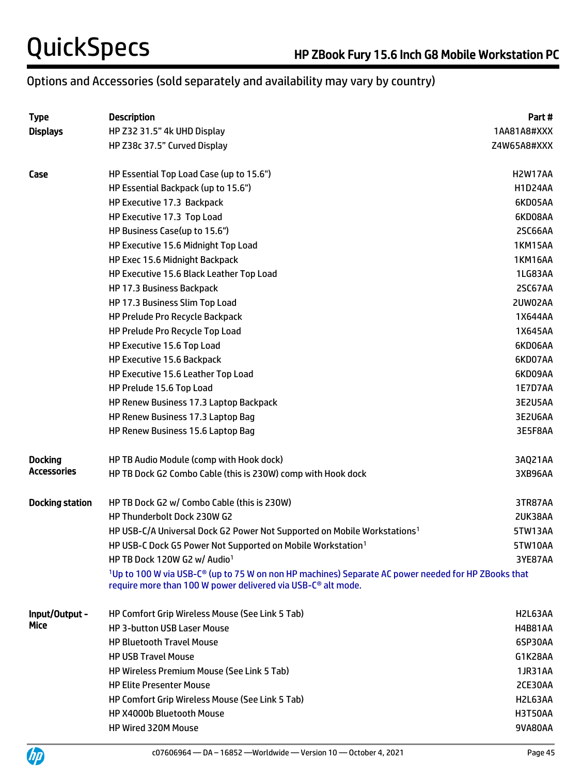# Options and Accessories (sold separately and availability may vary by country)

| <b>Type</b>            | <b>Description</b>                                                                                                                                                                                      | Part#          |
|------------------------|---------------------------------------------------------------------------------------------------------------------------------------------------------------------------------------------------------|----------------|
| <b>Displays</b>        | HP Z32 31.5" 4k UHD Display                                                                                                                                                                             | 1AA81A8#XXX    |
|                        | HP Z38c 37.5" Curved Display                                                                                                                                                                            | Z4W65A8#XXX    |
| Case                   | HP Essential Top Load Case (up to 15.6")                                                                                                                                                                | H2W17AA        |
|                        | HP Essential Backpack (up to 15.6")                                                                                                                                                                     | <b>H1D24AA</b> |
|                        | HP Executive 17.3 Backpack                                                                                                                                                                              | 6KD05AA        |
|                        | HP Executive 17.3 Top Load                                                                                                                                                                              | 6KD08AA        |
|                        | HP Business Case(up to 15.6")                                                                                                                                                                           | 2SC66AA        |
|                        | HP Executive 15.6 Midnight Top Load                                                                                                                                                                     | <b>1KM15AA</b> |
|                        | HP Exec 15.6 Midnight Backpack                                                                                                                                                                          | <b>1KM16AA</b> |
|                        | HP Executive 15.6 Black Leather Top Load                                                                                                                                                                | 1LG83AA        |
|                        | HP 17.3 Business Backpack                                                                                                                                                                               | 2SC67AA        |
|                        | HP 17.3 Business Slim Top Load                                                                                                                                                                          | 2UW02AA        |
|                        | HP Prelude Pro Recycle Backpack                                                                                                                                                                         | 1X644AA        |
|                        | HP Prelude Pro Recycle Top Load                                                                                                                                                                         | 1X645AA        |
|                        | HP Executive 15.6 Top Load                                                                                                                                                                              | 6KD06AA        |
|                        | HP Executive 15.6 Backpack                                                                                                                                                                              | 6KD07AA        |
|                        | HP Executive 15.6 Leather Top Load                                                                                                                                                                      | 6KD09AA        |
|                        | HP Prelude 15.6 Top Load                                                                                                                                                                                | 1E7D7AA        |
|                        | HP Renew Business 17.3 Laptop Backpack                                                                                                                                                                  | 3E2U5AA        |
|                        | HP Renew Business 17.3 Laptop Bag                                                                                                                                                                       | 3E2U6AA        |
|                        | HP Renew Business 15.6 Laptop Bag                                                                                                                                                                       | 3E5F8AA        |
| <b>Docking</b>         | HP TB Audio Module (comp with Hook dock)                                                                                                                                                                | 3AQ21AA        |
| Accessories            | HP TB Dock G2 Combo Cable (this is 230W) comp with Hook dock                                                                                                                                            | 3XB96AA        |
| <b>Docking station</b> | HP TB Dock G2 w/ Combo Cable (this is 230W)                                                                                                                                                             | 3TR87AA        |
|                        | HP Thunderbolt Dock 230W G2                                                                                                                                                                             | 2UK38AA        |
|                        | HP USB-C/A Universal Dock G2 Power Not Supported on Mobile Workstations <sup>1</sup>                                                                                                                    | 5TW13AA        |
|                        | HP USB-C Dock G5 Power Not Supported on Mobile Workstation <sup>1</sup>                                                                                                                                 | 5TW10AA        |
|                        | HP TB Dock 120W G2 w/ Audio <sup>1</sup>                                                                                                                                                                | 3YE87AA        |
|                        | <sup>1</sup> Up to 100 W via USB-C <sup>®</sup> (up to 75 W on non HP machines) Separate AC power needed for HP ZBooks that<br>require more than 100 W power delivered via USB-C <sup>®</sup> alt mode. |                |
| Input/Output -         | HP Comfort Grip Wireless Mouse (See Link 5 Tab)                                                                                                                                                         | H2L63AA        |
| Mice                   | <b>HP 3-button USB Laser Mouse</b>                                                                                                                                                                      | <b>H4B81AA</b> |
|                        | <b>HP Bluetooth Travel Mouse</b>                                                                                                                                                                        | 6SP30AA        |
|                        | <b>HP USB Travel Mouse</b>                                                                                                                                                                              | G1K28AA        |
|                        | <b>HP Wireless Premium Mouse (See Link 5 Tab)</b>                                                                                                                                                       | 1JR31AA        |
|                        | <b>HP Elite Presenter Mouse</b>                                                                                                                                                                         | 2CE30AA        |
|                        | HP Comfort Grip Wireless Mouse (See Link 5 Tab)                                                                                                                                                         | H2L63AA        |
|                        | HP X4000b Bluetooth Mouse                                                                                                                                                                               | <b>H3T50AA</b> |
|                        | HP Wired 320M Mouse                                                                                                                                                                                     | 9VA80AA        |

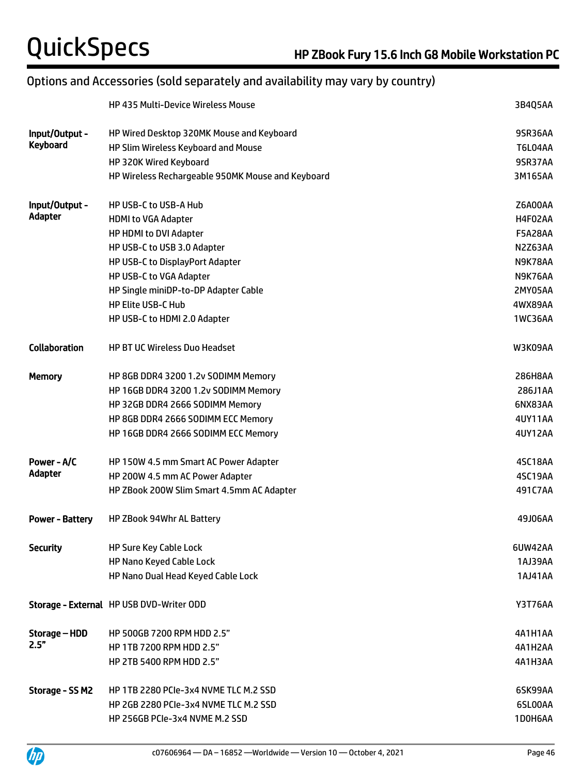# Options and Accessories (sold separately and availability may vary by country)

|                        | <b>HP 435 Multi-Device Wireless Mouse</b>         | 3B4Q5AA        |
|------------------------|---------------------------------------------------|----------------|
| Input/Output -         | HP Wired Desktop 320MK Mouse and Keyboard         | 9SR36AA        |
| <b>Keyboard</b>        | HP Slim Wireless Keyboard and Mouse               | <b>T6L04AA</b> |
|                        | HP 320K Wired Keyboard                            | 9SR37AA        |
|                        | HP Wireless Rechargeable 950MK Mouse and Keyboard | 3M165AA        |
| Input/Output -         | HP USB-C to USB-A Hub                             | Z6A00AA        |
| Adapter                | <b>HDMI to VGA Adapter</b>                        | H4F02AA        |
|                        | HP HDMI to DVI Adapter                            | <b>F5A28AA</b> |
|                        | HP USB-C to USB 3.0 Adapter                       | N2Z63AA        |
|                        | HP USB-C to DisplayPort Adapter                   | N9K78AA        |
|                        | HP USB-C to VGA Adapter                           | N9K76AA        |
|                        | HP Single miniDP-to-DP Adapter Cable              | 2MY05AA        |
|                        | <b>HP Elite USB-C Hub</b>                         | 4WX89AA        |
|                        | HP USB-C to HDMI 2.0 Adapter                      | <b>1WC36AA</b> |
| <b>Collaboration</b>   | <b>HP BT UC Wireless Duo Headset</b>              | W3K09AA        |
| <b>Memory</b>          | HP 8GB DDR4 3200 1.2v SODIMM Memory               | 286H8AA        |
|                        | HP 16GB DDR4 3200 1.2v SODIMM Memory              | 286J1AA        |
|                        | HP 32GB DDR4 2666 SODIMM Memory                   | 6NX83AA        |
|                        | HP 8GB DDR4 2666 SODIMM ECC Memory                | 4UY11AA        |
|                        | HP 16GB DDR4 2666 SODIMM ECC Memory               | <b>4UY12AA</b> |
| Power - A/C            | HP 150W 4.5 mm Smart AC Power Adapter             | 4SC18AA        |
| Adapter                | HP 200W 4.5 mm AC Power Adapter                   | 4SC19AA        |
|                        | HP ZBook 200W Slim Smart 4.5mm AC Adapter         | 491C7AA        |
| <b>Power - Battery</b> | HP ZBook 94Whr AL Battery                         | 49J06AA        |
| <b>Security</b>        | <b>HP Sure Key Cable Lock</b>                     | 6UW42AA        |
|                        | HP Nano Keyed Cable Lock                          | 1AJ39AA        |
|                        | HP Nano Dual Head Keyed Cable Lock                | 1AJ41AA        |
|                        | Storage - External HP USB DVD-Writer ODD          | <b>Y3T76AA</b> |
| Storage – HDD          | HP 500GB 7200 RPM HDD 2.5"                        | 4A1H1AA        |
| 2.5"                   | HP 1TB 7200 RPM HDD 2.5"                          | 4A1H2AA        |
|                        | HP 2TB 5400 RPM HDD 2.5"                          | 4A1H3AA        |
| Storage - SS M2        | HP 1TB 2280 PCIe-3x4 NVME TLC M.2 SSD             | 6SK99AA        |
|                        | HP 2GB 2280 PCIe-3x4 NVME TLC M.2 SSD             | 6SL00AA        |
|                        | HP 256GB PCIe-3x4 NVME M.2 SSD                    | 1D0H6AA        |

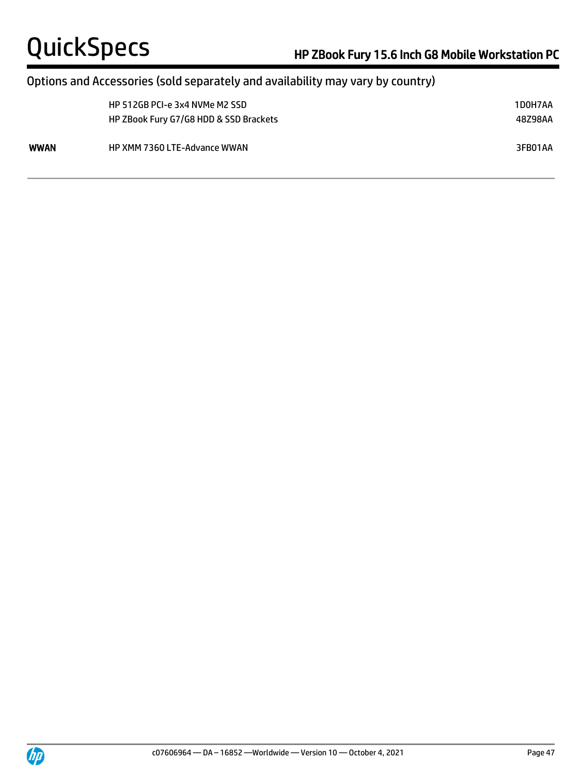## Options and Accessories (sold separately and availability may vary by country)

|      | HP 512GB PCI-e 3x4 NVMe M2 SSD<br>HP ZBook Fury G7/G8 HDD & SSD Brackets | 1D0H7AA<br>48Z98AA |
|------|--------------------------------------------------------------------------|--------------------|
| WWAN | <b>HP XMM 7360 LTE-Advance WWAN</b>                                      | 3FB01AA            |



 $\overline{a}$